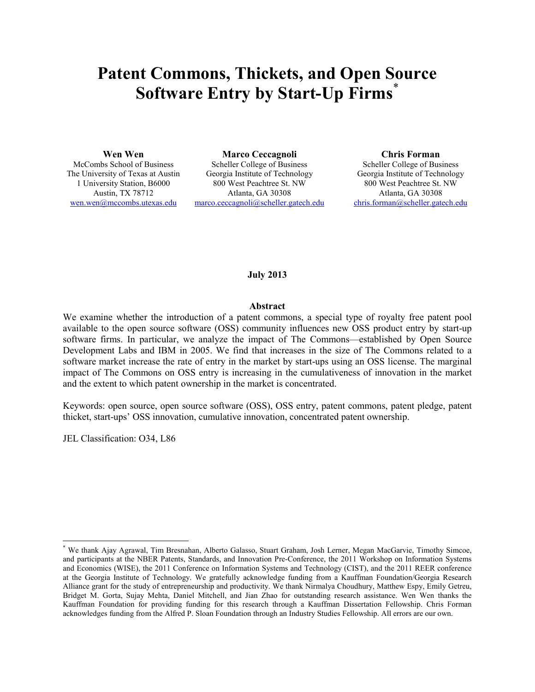# **Patent Commons, Thickets, and Open Source Software Entry by Start-Up Firms**\*

**Wen Wen** 

McCombs School of Business The University of Texas at Austin 1 University Station, B6000 Austin, TX 78712 wen.wen@mccombs.utexas.edu

**Marco Ceccagnoli**  Scheller College of Business Georgia Institute of Technology 800 West Peachtree St. NW Atlanta, GA 30308 marco.ceccagnoli@scheller.gatech.edu **Chris Forman** 

Scheller College of Business Georgia Institute of Technology 800 West Peachtree St. NW Atlanta, GA 30308 chris.forman@scheller.gatech.edu

# **July 2013**

# **Abstract**

We examine whether the introduction of a patent commons, a special type of royalty free patent pool available to the open source software (OSS) community influences new OSS product entry by start-up software firms. In particular, we analyze the impact of The Commons—established by Open Source Development Labs and IBM in 2005. We find that increases in the size of The Commons related to a software market increase the rate of entry in the market by start-ups using an OSS license. The marginal impact of The Commons on OSS entry is increasing in the cumulativeness of innovation in the market and the extent to which patent ownership in the market is concentrated.

Keywords: open source, open source software (OSS), OSS entry, patent commons, patent pledge, patent thicket, start-ups' OSS innovation, cumulative innovation, concentrated patent ownership.

JEL Classification: O34, L86

-

<sup>\*</sup> We thank Ajay Agrawal, Tim Bresnahan, Alberto Galasso, Stuart Graham, Josh Lerner, Megan MacGarvie, Timothy Simcoe, and participants at the NBER Patents, Standards, and Innovation Pre-Conference, the 2011 Workshop on Information Systems and Economics (WISE), the 2011 Conference on Information Systems and Technology (CIST), and the 2011 REER conference at the Georgia Institute of Technology. We gratefully acknowledge funding from a Kauffman Foundation/Georgia Research Alliance grant for the study of entrepreneurship and productivity. We thank Nirmalya Choudhury, Matthew Espy, Emily Getreu, Bridget M. Gorta, Sujay Mehta, Daniel Mitchell, and Jian Zhao for outstanding research assistance. Wen Wen thanks the Kauffman Foundation for providing funding for this research through a Kauffman Dissertation Fellowship. Chris Forman acknowledges funding from the Alfred P. Sloan Foundation through an Industry Studies Fellowship. All errors are our own.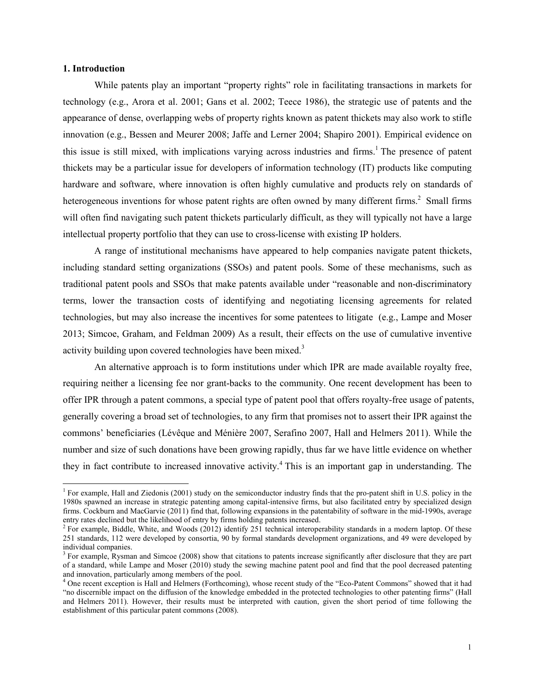# **1. Introduction**

-

While patents play an important "property rights" role in facilitating transactions in markets for technology (e.g., Arora et al. 2001; Gans et al. 2002; Teece 1986), the strategic use of patents and the appearance of dense, overlapping webs of property rights known as patent thickets may also work to stifle innovation (e.g., Bessen and Meurer 2008; Jaffe and Lerner 2004; Shapiro 2001). Empirical evidence on this issue is still mixed, with implications varying across industries and firms.<sup>1</sup> The presence of patent thickets may be a particular issue for developers of information technology (IT) products like computing hardware and software, where innovation is often highly cumulative and products rely on standards of heterogeneous inventions for whose patent rights are often owned by many different firms.<sup>2</sup> Small firms will often find navigating such patent thickets particularly difficult, as they will typically not have a large intellectual property portfolio that they can use to cross-license with existing IP holders.

A range of institutional mechanisms have appeared to help companies navigate patent thickets, including standard setting organizations (SSOs) and patent pools. Some of these mechanisms, such as traditional patent pools and SSOs that make patents available under "reasonable and non-discriminatory terms, lower the transaction costs of identifying and negotiating licensing agreements for related technologies, but may also increase the incentives for some patentees to litigate (e.g., Lampe and Moser 2013; Simcoe, Graham, and Feldman 2009) As a result, their effects on the use of cumulative inventive activity building upon covered technologies have been mixed.<sup>3</sup>

An alternative approach is to form institutions under which IPR are made available royalty free, requiring neither a licensing fee nor grant-backs to the community. One recent development has been to offer IPR through a patent commons, a special type of patent pool that offers royalty-free usage of patents, generally covering a broad set of technologies, to any firm that promises not to assert their IPR against the commons' beneficiaries (Lévêque and Ménière 2007, Serafino 2007, Hall and Helmers 2011). While the number and size of such donations have been growing rapidly, thus far we have little evidence on whether they in fact contribute to increased innovative activity.<sup>4</sup> This is an important gap in understanding. The

<sup>&</sup>lt;sup>1</sup> For example, Hall and Ziedonis (2001) study on the semiconductor industry finds that the pro-patent shift in U.S. policy in the 1980s spawned an increase in strategic patenting among capital-intensive firms, but also facilitated entry by specialized design firms. Cockburn and MacGarvie (2011) find that, following expansions in the patentability of software in the mid-1990s, average entry rates declined but the likelihood of entry by firms holding patents increased.

 $2^2$  For example, Biddle, White, and Woods (2012) identify 251 technical interoperability standards in a modern laptop. Of these 251 standards, 112 were developed by consortia, 90 by formal standards development organizations, and 49 were developed by individual companies.

 $3$  For example, Rysman and Simcoe (2008) show that citations to patents increase significantly after disclosure that they are part of a standard, while Lampe and Moser (2010) study the sewing machine patent pool and find that the pool decreased patenting and innovation, particularly among members of the pool.

<sup>&</sup>lt;sup>4</sup> One recent exception is Hall and Helmers (Forthcoming), whose recent study of the "Eco-Patent Commons" showed that it had "no discernible impact on the diffusion of the knowledge embedded in the protected technologies to other patenting firms" (Hall and Helmers 2011). However, their results must be interpreted with caution, given the short period of time following the establishment of this particular patent commons (2008).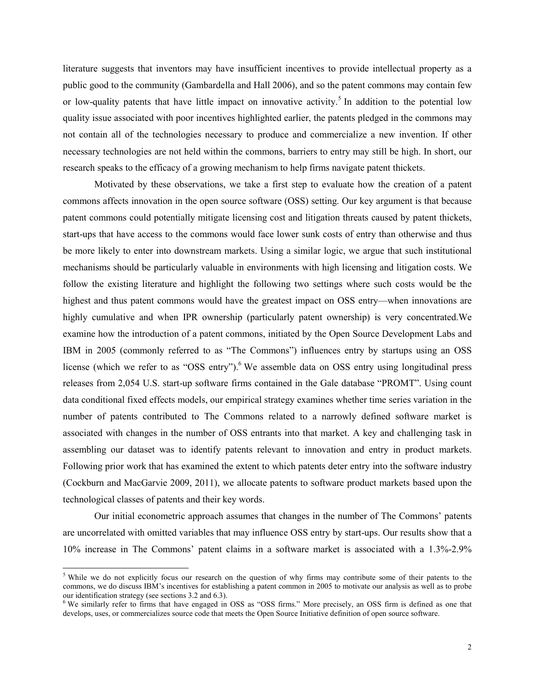literature suggests that inventors may have insufficient incentives to provide intellectual property as a public good to the community (Gambardella and Hall 2006), and so the patent commons may contain few or low-quality patents that have little impact on innovative activity.<sup>5</sup> In addition to the potential low quality issue associated with poor incentives highlighted earlier, the patents pledged in the commons may not contain all of the technologies necessary to produce and commercialize a new invention. If other necessary technologies are not held within the commons, barriers to entry may still be high. In short, our research speaks to the efficacy of a growing mechanism to help firms navigate patent thickets.

Motivated by these observations, we take a first step to evaluate how the creation of a patent commons affects innovation in the open source software (OSS) setting. Our key argument is that because patent commons could potentially mitigate licensing cost and litigation threats caused by patent thickets, start-ups that have access to the commons would face lower sunk costs of entry than otherwise and thus be more likely to enter into downstream markets. Using a similar logic, we argue that such institutional mechanisms should be particularly valuable in environments with high licensing and litigation costs. We follow the existing literature and highlight the following two settings where such costs would be the highest and thus patent commons would have the greatest impact on OSS entry—when innovations are highly cumulative and when IPR ownership (particularly patent ownership) is very concentrated.We examine how the introduction of a patent commons, initiated by the Open Source Development Labs and IBM in 2005 (commonly referred to as "The Commons") influences entry by startups using an OSS license (which we refer to as "OSS entry").<sup>6</sup> We assemble data on OSS entry using longitudinal press releases from 2,054 U.S. start-up software firms contained in the Gale database "PROMT". Using count data conditional fixed effects models, our empirical strategy examines whether time series variation in the number of patents contributed to The Commons related to a narrowly defined software market is associated with changes in the number of OSS entrants into that market. A key and challenging task in assembling our dataset was to identify patents relevant to innovation and entry in product markets. Following prior work that has examined the extent to which patents deter entry into the software industry (Cockburn and MacGarvie 2009, 2011), we allocate patents to software product markets based upon the technological classes of patents and their key words.

Our initial econometric approach assumes that changes in the number of The Commons' patents are uncorrelated with omitted variables that may influence OSS entry by start-ups. Our results show that a 10% increase in The Commons' patent claims in a software market is associated with a 1.3%-2.9%

 $\overline{a}$ 

<sup>&</sup>lt;sup>5</sup> While we do not explicitly focus our research on the question of why firms may contribute some of their patents to the commons, we do discuss IBM's incentives for establishing a patent common in 2005 to motivate our analysis as well as to probe our identification strategy (see sections 3.2 and 6.3).<br><sup>6</sup> We similarly refer to firms that have engaged in OSS as "OSS firms." More precisely, an OSS firm is defined as one that

develops, uses, or commercializes source code that meets the Open Source Initiative definition of open source software.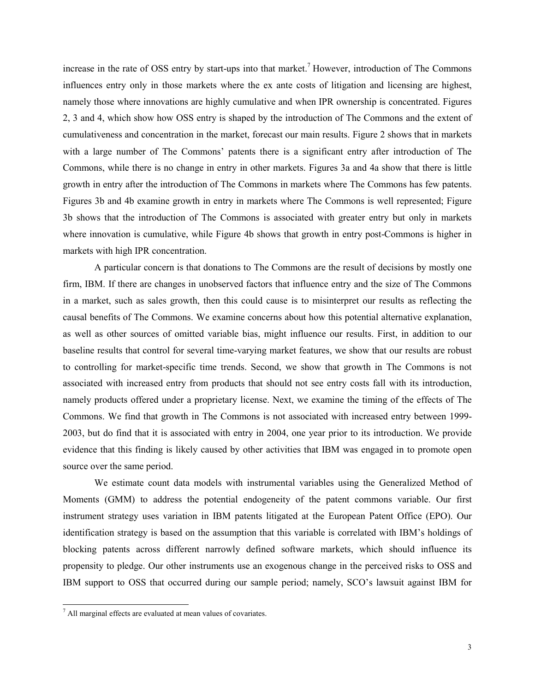increase in the rate of OSS entry by start-ups into that market.<sup>7</sup> However, introduction of The Commons influences entry only in those markets where the ex ante costs of litigation and licensing are highest, namely those where innovations are highly cumulative and when IPR ownership is concentrated. Figures 2, 3 and 4, which show how OSS entry is shaped by the introduction of The Commons and the extent of cumulativeness and concentration in the market, forecast our main results. Figure 2 shows that in markets with a large number of The Commons' patents there is a significant entry after introduction of The Commons, while there is no change in entry in other markets. Figures 3a and 4a show that there is little growth in entry after the introduction of The Commons in markets where The Commons has few patents. Figures 3b and 4b examine growth in entry in markets where The Commons is well represented; Figure 3b shows that the introduction of The Commons is associated with greater entry but only in markets where innovation is cumulative, while Figure 4b shows that growth in entry post-Commons is higher in markets with high IPR concentration.

A particular concern is that donations to The Commons are the result of decisions by mostly one firm, IBM. If there are changes in unobserved factors that influence entry and the size of The Commons in a market, such as sales growth, then this could cause is to misinterpret our results as reflecting the causal benefits of The Commons. We examine concerns about how this potential alternative explanation, as well as other sources of omitted variable bias, might influence our results. First, in addition to our baseline results that control for several time-varying market features, we show that our results are robust to controlling for market-specific time trends. Second, we show that growth in The Commons is not associated with increased entry from products that should not see entry costs fall with its introduction, namely products offered under a proprietary license. Next, we examine the timing of the effects of The Commons. We find that growth in The Commons is not associated with increased entry between 1999- 2003, but do find that it is associated with entry in 2004, one year prior to its introduction. We provide evidence that this finding is likely caused by other activities that IBM was engaged in to promote open source over the same period.

We estimate count data models with instrumental variables using the Generalized Method of Moments (GMM) to address the potential endogeneity of the patent commons variable. Our first instrument strategy uses variation in IBM patents litigated at the European Patent Office (EPO). Our identification strategy is based on the assumption that this variable is correlated with IBM's holdings of blocking patents across different narrowly defined software markets, which should influence its propensity to pledge. Our other instruments use an exogenous change in the perceived risks to OSS and IBM support to OSS that occurred during our sample period; namely, SCO's lawsuit against IBM for

 7 All marginal effects are evaluated at mean values of covariates.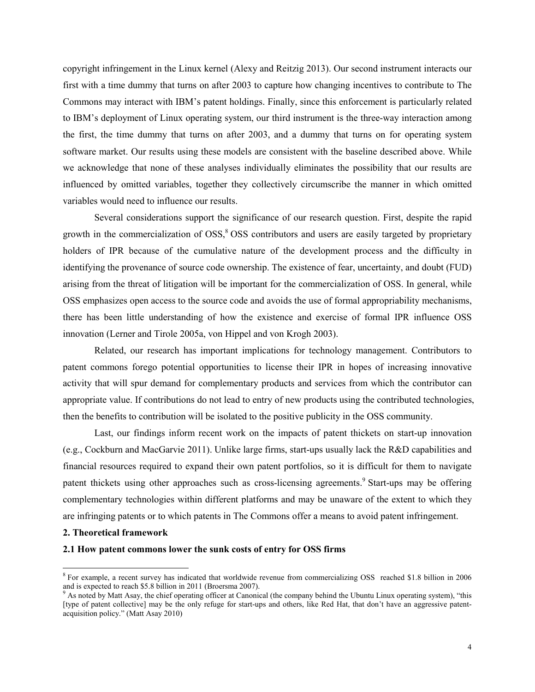copyright infringement in the Linux kernel (Alexy and Reitzig 2013). Our second instrument interacts our first with a time dummy that turns on after 2003 to capture how changing incentives to contribute to The Commons may interact with IBM's patent holdings. Finally, since this enforcement is particularly related to IBM's deployment of Linux operating system, our third instrument is the three-way interaction among the first, the time dummy that turns on after 2003, and a dummy that turns on for operating system software market. Our results using these models are consistent with the baseline described above. While we acknowledge that none of these analyses individually eliminates the possibility that our results are influenced by omitted variables, together they collectively circumscribe the manner in which omitted variables would need to influence our results.

Several considerations support the significance of our research question. First, despite the rapid growth in the commercialization of OSS,<sup>8</sup> OSS contributors and users are easily targeted by proprietary holders of IPR because of the cumulative nature of the development process and the difficulty in identifying the provenance of source code ownership. The existence of fear, uncertainty, and doubt (FUD) arising from the threat of litigation will be important for the commercialization of OSS. In general, while OSS emphasizes open access to the source code and avoids the use of formal appropriability mechanisms, there has been little understanding of how the existence and exercise of formal IPR influence OSS innovation (Lerner and Tirole 2005a, von Hippel and von Krogh 2003).

Related, our research has important implications for technology management. Contributors to patent commons forego potential opportunities to license their IPR in hopes of increasing innovative activity that will spur demand for complementary products and services from which the contributor can appropriate value. If contributions do not lead to entry of new products using the contributed technologies, then the benefits to contribution will be isolated to the positive publicity in the OSS community.

Last, our findings inform recent work on the impacts of patent thickets on start-up innovation (e.g., Cockburn and MacGarvie 2011). Unlike large firms, start-ups usually lack the R&D capabilities and financial resources required to expand their own patent portfolios, so it is difficult for them to navigate patent thickets using other approaches such as cross-licensing agreements.<sup>9</sup> Start-ups may be offering complementary technologies within different platforms and may be unaware of the extent to which they are infringing patents or to which patents in The Commons offer a means to avoid patent infringement.

#### **2. Theoretical framework**

<u>.</u>

# **2.1 How patent commons lower the sunk costs of entry for OSS firms**

<sup>&</sup>lt;sup>8</sup> For example, a recent survey has indicated that worldwide revenue from commercializing OSS reached \$1.8 billion in 2006 and is expected to reach \$5.8 billion in 2011 (Broersma 2007).

As noted by Matt Asay, the chief operating officer at Canonical (the company behind the Ubuntu Linux operating system), "this [type of patent collective] may be the only refuge for start-ups and others, like Red Hat, that don't have an aggressive patentacquisition policy." (Matt Asay 2010)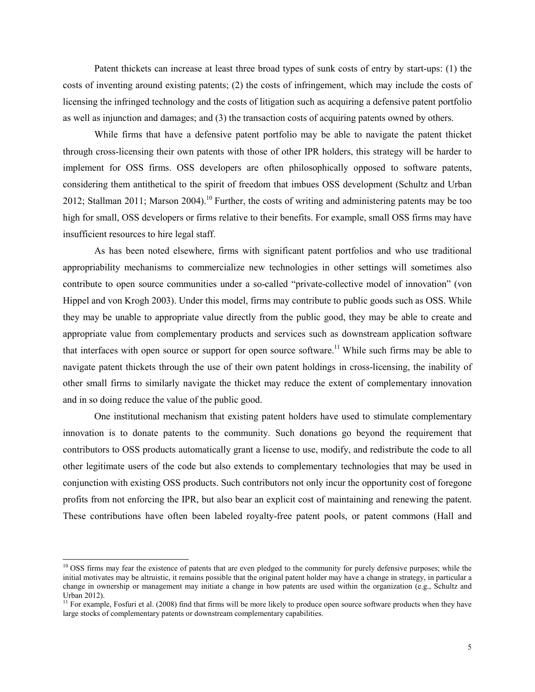Patent thickets can increase at least three broad types of sunk costs of entry by start-ups: (1) the costs of inventing around existing patents; (2) the costs of infringement, which may include the costs of licensing the infringed technology and the costs of litigation such as acquiring a defensive patent portfolio as well as injunction and damages; and (3) the transaction costs of acquiring patents owned by others.

While firms that have a defensive patent portfolio may be able to navigate the patent thicket through cross-licensing their own patents with those of other IPR holders, this strategy will be harder to implement for OSS firms. OSS developers are often philosophically opposed to software patents, considering them antithetical to the spirit of freedom that imbues OSS development (Schultz and Urban 2012; Stallman 2011; Marson 2004).<sup>10</sup> Further, the costs of writing and administering patents may be too high for small, OSS developers or firms relative to their benefits. For example, small OSS firms may have insufficient resources to hire legal staff.

As has been noted elsewhere, firms with significant patent portfolios and who use traditional appropriability mechanisms to commercialize new technologies in other settings will sometimes also contribute to open source communities under a so-called "private-collective model of innovation" (von Hippel and von Krogh 2003). Under this model, firms may contribute to public goods such as OSS. While they may be unable to appropriate value directly from the public good, they may be able to create and appropriate value from complementary products and services such as downstream application software that interfaces with open source or support for open source software.<sup>11</sup> While such firms may be able to navigate patent thickets through the use of their own patent holdings in cross-licensing, the inability of other small firms to similarly navigate the thicket may reduce the extent of complementary innovation and in so doing reduce the value of the public good.

One institutional mechanism that existing patent holders have used to stimulate complementary innovation is to donate patents to the community. Such donations go beyond the requirement that contributors to OSS products automatically grant a license to use, modify, and redistribute the code to all other legitimate users of the code but also extends to complementary technologies that may be used in conjunction with existing OSS products. Such contributors not only incur the opportunity cost of foregone profits from not enforcing the IPR, but also bear an explicit cost of maintaining and renewing the patent. These contributions have often been labeled royalty-free patent pools, or patent commons (Hall and

-

<sup>&</sup>lt;sup>10</sup> OSS firms may fear the existence of patents that are even pledged to the community for purely defensive purposes; while the initial motivates may be altruistic, it remains possible that the original patent holder may have a change in strategy, in particular a change in ownership or management may initiate a change in how patents are used within the organization (e.g., Schultz and Urban 2012).

<sup>&</sup>lt;sup>11</sup> For example, Fosfuri et al. (2008) find that firms will be more likely to produce open source software products when they have large stocks of complementary patents or downstream complementary capabilities.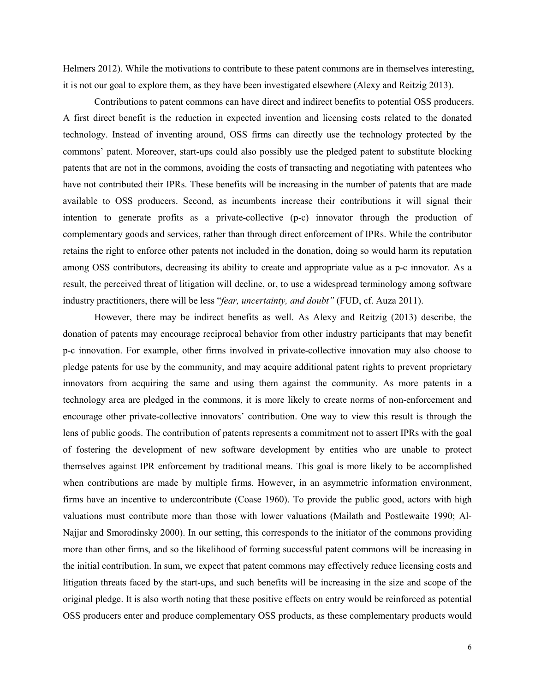Helmers 2012). While the motivations to contribute to these patent commons are in themselves interesting, it is not our goal to explore them, as they have been investigated elsewhere (Alexy and Reitzig 2013).

Contributions to patent commons can have direct and indirect benefits to potential OSS producers. A first direct benefit is the reduction in expected invention and licensing costs related to the donated technology. Instead of inventing around, OSS firms can directly use the technology protected by the commons' patent. Moreover, start-ups could also possibly use the pledged patent to substitute blocking patents that are not in the commons, avoiding the costs of transacting and negotiating with patentees who have not contributed their IPRs. These benefits will be increasing in the number of patents that are made available to OSS producers. Second, as incumbents increase their contributions it will signal their intention to generate profits as a private-collective (p-c) innovator through the production of complementary goods and services, rather than through direct enforcement of IPRs. While the contributor retains the right to enforce other patents not included in the donation, doing so would harm its reputation among OSS contributors, decreasing its ability to create and appropriate value as a p-c innovator. As a result, the perceived threat of litigation will decline, or, to use a widespread terminology among software industry practitioners, there will be less "*fear, uncertainty, and doubt"* (FUD, cf. Auza 2011).

However, there may be indirect benefits as well. As Alexy and Reitzig (2013) describe, the donation of patents may encourage reciprocal behavior from other industry participants that may benefit p-c innovation. For example, other firms involved in private-collective innovation may also choose to pledge patents for use by the community, and may acquire additional patent rights to prevent proprietary innovators from acquiring the same and using them against the community. As more patents in a technology area are pledged in the commons, it is more likely to create norms of non-enforcement and encourage other private-collective innovators' contribution. One way to view this result is through the lens of public goods. The contribution of patents represents a commitment not to assert IPRs with the goal of fostering the development of new software development by entities who are unable to protect themselves against IPR enforcement by traditional means. This goal is more likely to be accomplished when contributions are made by multiple firms. However, in an asymmetric information environment, firms have an incentive to undercontribute (Coase 1960). To provide the public good, actors with high valuations must contribute more than those with lower valuations (Mailath and Postlewaite 1990; Al-Najjar and Smorodinsky 2000). In our setting, this corresponds to the initiator of the commons providing more than other firms, and so the likelihood of forming successful patent commons will be increasing in the initial contribution. In sum, we expect that patent commons may effectively reduce licensing costs and litigation threats faced by the start-ups, and such benefits will be increasing in the size and scope of the original pledge. It is also worth noting that these positive effects on entry would be reinforced as potential OSS producers enter and produce complementary OSS products, as these complementary products would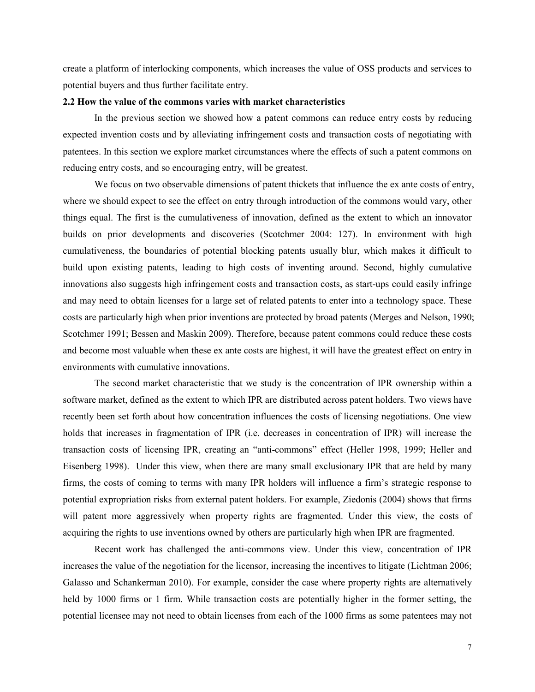create a platform of interlocking components, which increases the value of OSS products and services to potential buyers and thus further facilitate entry.

# **2.2 How the value of the commons varies with market characteristics**

In the previous section we showed how a patent commons can reduce entry costs by reducing expected invention costs and by alleviating infringement costs and transaction costs of negotiating with patentees. In this section we explore market circumstances where the effects of such a patent commons on reducing entry costs, and so encouraging entry, will be greatest.

We focus on two observable dimensions of patent thickets that influence the ex ante costs of entry, where we should expect to see the effect on entry through introduction of the commons would vary, other things equal. The first is the cumulativeness of innovation, defined as the extent to which an innovator builds on prior developments and discoveries (Scotchmer 2004: 127). In environment with high cumulativeness, the boundaries of potential blocking patents usually blur, which makes it difficult to build upon existing patents, leading to high costs of inventing around. Second, highly cumulative innovations also suggests high infringement costs and transaction costs, as start-ups could easily infringe and may need to obtain licenses for a large set of related patents to enter into a technology space. These costs are particularly high when prior inventions are protected by broad patents (Merges and Nelson, 1990; Scotchmer 1991; Bessen and Maskin 2009). Therefore, because patent commons could reduce these costs and become most valuable when these ex ante costs are highest, it will have the greatest effect on entry in environments with cumulative innovations.

The second market characteristic that we study is the concentration of IPR ownership within a software market, defined as the extent to which IPR are distributed across patent holders. Two views have recently been set forth about how concentration influences the costs of licensing negotiations. One view holds that increases in fragmentation of IPR (i.e. decreases in concentration of IPR) will increase the transaction costs of licensing IPR, creating an "anti-commons" effect (Heller 1998, 1999; Heller and Eisenberg 1998). Under this view, when there are many small exclusionary IPR that are held by many firms, the costs of coming to terms with many IPR holders will influence a firm's strategic response to potential expropriation risks from external patent holders. For example, Ziedonis (2004) shows that firms will patent more aggressively when property rights are fragmented. Under this view, the costs of acquiring the rights to use inventions owned by others are particularly high when IPR are fragmented.

Recent work has challenged the anti-commons view. Under this view, concentration of IPR increases the value of the negotiation for the licensor, increasing the incentives to litigate (Lichtman 2006; Galasso and Schankerman 2010). For example, consider the case where property rights are alternatively held by 1000 firms or 1 firm. While transaction costs are potentially higher in the former setting, the potential licensee may not need to obtain licenses from each of the 1000 firms as some patentees may not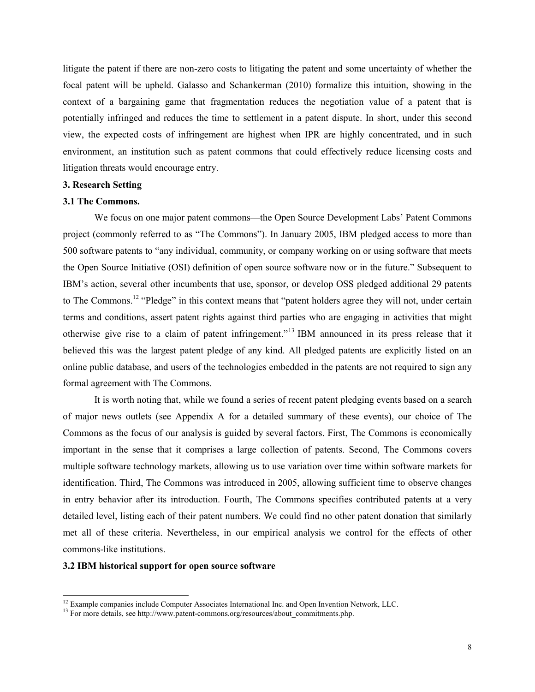litigate the patent if there are non-zero costs to litigating the patent and some uncertainty of whether the focal patent will be upheld. Galasso and Schankerman (2010) formalize this intuition, showing in the context of a bargaining game that fragmentation reduces the negotiation value of a patent that is potentially infringed and reduces the time to settlement in a patent dispute. In short, under this second view, the expected costs of infringement are highest when IPR are highly concentrated, and in such environment, an institution such as patent commons that could effectively reduce licensing costs and litigation threats would encourage entry.

#### **3. Research Setting**

# **3.1 The Commons.**

We focus on one major patent commons—the Open Source Development Labs' Patent Commons project (commonly referred to as "The Commons"). In January 2005, IBM pledged access to more than 500 software patents to "any individual, community, or company working on or using software that meets the Open Source Initiative (OSI) definition of open source software now or in the future." Subsequent to IBM's action, several other incumbents that use, sponsor, or develop OSS pledged additional 29 patents to The Commons.<sup>12</sup> "Pledge" in this context means that "patent holders agree they will not, under certain terms and conditions, assert patent rights against third parties who are engaging in activities that might otherwise give rise to a claim of patent infringement."<sup>13</sup> IBM announced in its press release that it believed this was the largest patent pledge of any kind. All pledged patents are explicitly listed on an online public database, and users of the technologies embedded in the patents are not required to sign any formal agreement with The Commons.

It is worth noting that, while we found a series of recent patent pledging events based on a search of major news outlets (see Appendix A for a detailed summary of these events), our choice of The Commons as the focus of our analysis is guided by several factors. First, The Commons is economically important in the sense that it comprises a large collection of patents. Second, The Commons covers multiple software technology markets, allowing us to use variation over time within software markets for identification. Third, The Commons was introduced in 2005, allowing sufficient time to observe changes in entry behavior after its introduction. Fourth, The Commons specifies contributed patents at a very detailed level, listing each of their patent numbers. We could find no other patent donation that similarly met all of these criteria. Nevertheless, in our empirical analysis we control for the effects of other commons-like institutions.

# **3.2 IBM historical support for open source software**

 $\overline{a}$ 

<sup>&</sup>lt;sup>12</sup> Example companies include Computer Associates International Inc. and Open Invention Network, LLC.

 $^{13}$  For more details, see http://www.patent-commons.org/resources/about\_commitments.php.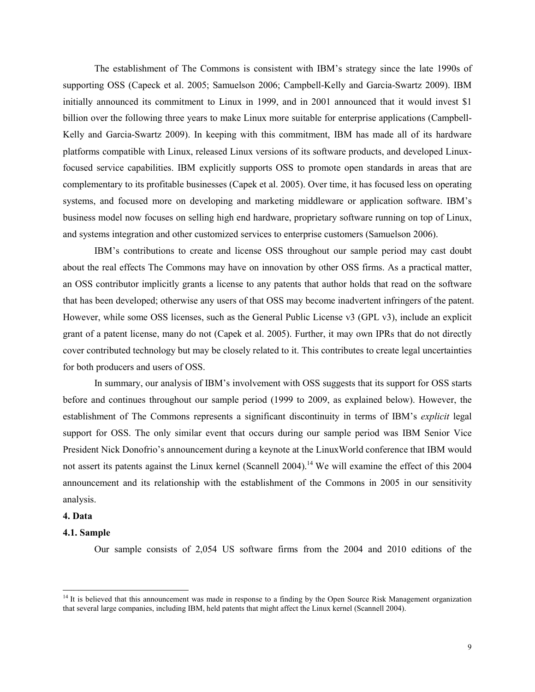The establishment of The Commons is consistent with IBM's strategy since the late 1990s of supporting OSS (Capeck et al. 2005; Samuelson 2006; Campbell-Kelly and Garcia-Swartz 2009). IBM initially announced its commitment to Linux in 1999, and in 2001 announced that it would invest \$1 billion over the following three years to make Linux more suitable for enterprise applications (Campbell-Kelly and Garcia-Swartz 2009). In keeping with this commitment, IBM has made all of its hardware platforms compatible with Linux, released Linux versions of its software products, and developed Linuxfocused service capabilities. IBM explicitly supports OSS to promote open standards in areas that are complementary to its profitable businesses (Capek et al. 2005). Over time, it has focused less on operating systems, and focused more on developing and marketing middleware or application software. IBM's business model now focuses on selling high end hardware, proprietary software running on top of Linux, and systems integration and other customized services to enterprise customers (Samuelson 2006).

IBM's contributions to create and license OSS throughout our sample period may cast doubt about the real effects The Commons may have on innovation by other OSS firms. As a practical matter, an OSS contributor implicitly grants a license to any patents that author holds that read on the software that has been developed; otherwise any users of that OSS may become inadvertent infringers of the patent. However, while some OSS licenses, such as the General Public License v3 (GPL v3), include an explicit grant of a patent license, many do not (Capek et al. 2005). Further, it may own IPRs that do not directly cover contributed technology but may be closely related to it. This contributes to create legal uncertainties for both producers and users of OSS.

In summary, our analysis of IBM's involvement with OSS suggests that its support for OSS starts before and continues throughout our sample period (1999 to 2009, as explained below). However, the establishment of The Commons represents a significant discontinuity in terms of IBM's *explicit* legal support for OSS. The only similar event that occurs during our sample period was IBM Senior Vice President Nick Donofrio's announcement during a keynote at the LinuxWorld conference that IBM would not assert its patents against the Linux kernel (Scannell 2004).<sup>14</sup> We will examine the effect of this 2004 announcement and its relationship with the establishment of the Commons in 2005 in our sensitivity analysis.

#### **4. Data**

<u>.</u>

# **4.1. Sample**

Our sample consists of 2,054 US software firms from the 2004 and 2010 editions of the

 $14$  It is believed that this announcement was made in response to a finding by the Open Source Risk Management organization that several large companies, including IBM, held patents that might affect the Linux kernel (Scannell 2004).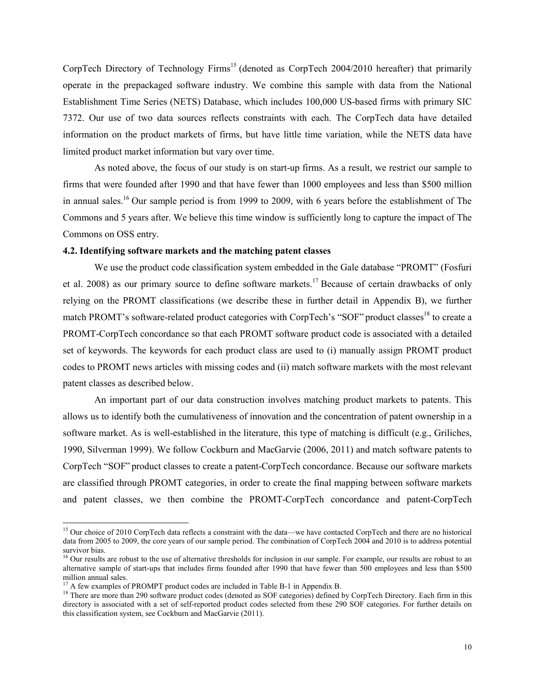CorpTech Directory of Technology Firms<sup>15</sup> (denoted as CorpTech 2004/2010 hereafter) that primarily operate in the prepackaged software industry. We combine this sample with data from the National Establishment Time Series (NETS) Database, which includes 100,000 US-based firms with primary SIC 7372. Our use of two data sources reflects constraints with each. The CorpTech data have detailed information on the product markets of firms, but have little time variation, while the NETS data have limited product market information but vary over time.

As noted above, the focus of our study is on start-up firms. As a result, we restrict our sample to firms that were founded after 1990 and that have fewer than 1000 employees and less than \$500 million in annual sales.<sup>16</sup> Our sample period is from 1999 to 2009, with 6 years before the establishment of The Commons and 5 years after. We believe this time window is sufficiently long to capture the impact of The Commons on OSS entry.

# **4.2. Identifying software markets and the matching patent classes**

We use the product code classification system embedded in the Gale database "PROMT" (Fosfuri et al. 2008) as our primary source to define software markets.<sup>17</sup> Because of certain drawbacks of only relying on the PROMT classifications (we describe these in further detail in Appendix B), we further match PROMT's software-related product categories with CorpTech's "SOF" product classes<sup>18</sup> to create a PROMT-CorpTech concordance so that each PROMT software product code is associated with a detailed set of keywords. The keywords for each product class are used to (i) manually assign PROMT product codes to PROMT news articles with missing codes and (ii) match software markets with the most relevant patent classes as described below.

An important part of our data construction involves matching product markets to patents. This allows us to identify both the cumulativeness of innovation and the concentration of patent ownership in a software market. As is well-established in the literature, this type of matching is difficult (e.g., Griliches, 1990, Silverman 1999). We follow Cockburn and MacGarvie (2006, 2011) and match software patents to CorpTech "SOF" product classes to create a patent-CorpTech concordance. Because our software markets are classified through PROMT categories, in order to create the final mapping between software markets and patent classes, we then combine the PROMT-CorpTech concordance and patent-CorpTech

 $\overline{a}$ 

<sup>&</sup>lt;sup>15</sup> Our choice of 2010 CorpTech data reflects a constraint with the data—we have contacted CorpTech and there are no historical data from 2005 to 2009, the core years of our sample period. The combination of CorpTech 2004 and 2010 is to address potential survivor bias.

<sup>&</sup>lt;sup>16</sup> Our results are robust to the use of alternative thresholds for inclusion in our sample. For example, our results are robust to an alternative sample of start-ups that includes firms founded after 1990 that have fewer than 500 employees and less than \$500 million annual sales.

 $17$  A few examples of PROMPT product codes are included in Table B-1 in Appendix B.

<sup>&</sup>lt;sup>18</sup> There are more than 290 software product codes (denoted as SOF categories) defined by CorpTech Directory. Each firm in this directory is associated with a set of self-reported product codes selected from these 290 SOF categories. For further details on this classification system, see Cockburn and MacGarvie (2011).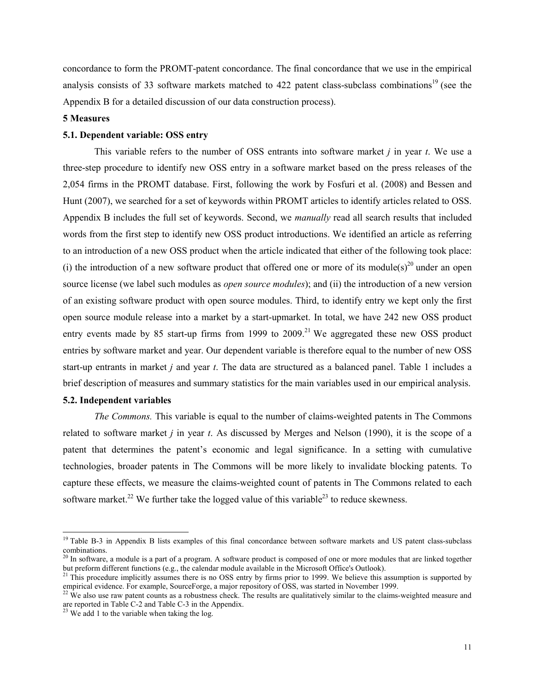concordance to form the PROMT-patent concordance. The final concordance that we use in the empirical analysis consists of 33 software markets matched to 422 patent class-subclass combinations<sup>19</sup> (see the Appendix B for a detailed discussion of our data construction process).

# **5 Measures**

# **5.1. Dependent variable: OSS entry**

This variable refers to the number of OSS entrants into software market *j* in year *t*. We use a three-step procedure to identify new OSS entry in a software market based on the press releases of the 2,054 firms in the PROMT database. First, following the work by Fosfuri et al. (2008) and Bessen and Hunt (2007), we searched for a set of keywords within PROMT articles to identify articles related to OSS. Appendix B includes the full set of keywords. Second, we *manually* read all search results that included words from the first step to identify new OSS product introductions. We identified an article as referring to an introduction of a new OSS product when the article indicated that either of the following took place: (i) the introduction of a new software product that offered one or more of its module(s)<sup>20</sup> under an open source license (we label such modules as *open source modules*); and (ii) the introduction of a new version of an existing software product with open source modules. Third, to identify entry we kept only the first open source module release into a market by a start-upmarket. In total, we have 242 new OSS product entry events made by 85 start-up firms from 1999 to 2009.<sup>21</sup> We aggregated these new OSS product entries by software market and year. Our dependent variable is therefore equal to the number of new OSS start-up entrants in market *j* and year *t*. The data are structured as a balanced panel. Table 1 includes a brief description of measures and summary statistics for the main variables used in our empirical analysis.

#### **5.2. Independent variables**

 $\overline{a}$ 

*The Commons.* This variable is equal to the number of claims-weighted patents in The Commons related to software market *j* in year *t*. As discussed by Merges and Nelson (1990), it is the scope of a patent that determines the patent's economic and legal significance. In a setting with cumulative technologies, broader patents in The Commons will be more likely to invalidate blocking patents. To capture these effects, we measure the claims-weighted count of patents in The Commons related to each software market.<sup>22</sup> We further take the logged value of this variable<sup>23</sup> to reduce skewness.

<sup>&</sup>lt;sup>19</sup> Table B-3 in Appendix B lists examples of this final concordance between software markets and US patent class-subclass combinations.

 $^{20}$  In software, a module is a part of a program. A software product is composed of one or more modules that are linked together but preform different functions (e.g., the calendar module available in the Microsoft Office's Outlook).

<sup>&</sup>lt;sup>21</sup> This procedure implicitly assumes there is no OSS entry by firms prior to 1999. We believe this assumption is supported by empirical evidence. For example, SourceForge, a major repository of OSS, was started in November 1999.

 $^{22}$  We also use raw patent counts as a robustness check. The results are qualitatively similar to the claims-weighted measure and are reported in Table C-2 and Table C-3 in the Appendix.

 $23$  We add 1 to the variable when taking the log.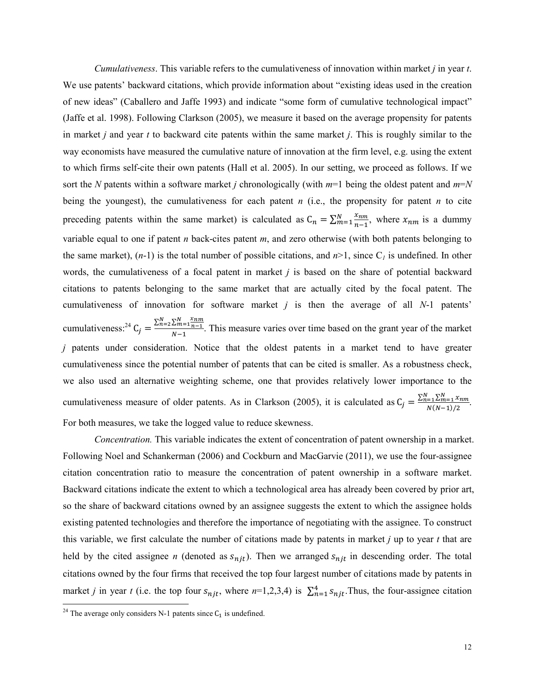*Cumulativeness*. This variable refers to the cumulativeness of innovation within market *j* in year *t*. We use patents' backward citations, which provide information about "existing ideas used in the creation of new ideas" (Caballero and Jaffe 1993) and indicate "some form of cumulative technological impact" (Jaffe et al. 1998). Following Clarkson (2005), we measure it based on the average propensity for patents in market *j* and year *t* to backward cite patents within the same market *j*. This is roughly similar to the way economists have measured the cumulative nature of innovation at the firm level, e.g. using the extent to which firms self-cite their own patents (Hall et al. 2005). In our setting, we proceed as follows. If we sort the *N* patents within a software market *j* chronologically (with *m*=1 being the oldest patent and *m*=*N* being the youngest), the cumulativeness for each patent *n* (i.e., the propensity for patent *n* to cite preceding patents within the same market) is calculated as  $C_n = \sum_{m=1}^{N} \frac{x_{nm}}{n-1}$  $n-1$  $\frac{x_{nm}}{m=1}$ , where  $x_{nm}$  is a dummy variable equal to one if patent *n* back-cites patent *m*, and zero otherwise (with both patents belonging to the same market),  $(n-1)$  is the total number of possible citations, and  $n>1$ , since C<sub>l</sub> is undefined. In other words, the cumulativeness of a focal patent in market *j* is based on the share of potential backward citations to patents belonging to the same market that are actually cited by the focal patent. The cumulativeness of innovation for software market *j* is then the average of all *N*-1 patents' cumulativeness:<sup>24</sup> C<sub>j</sub> =  $\frac{\sum_{n=2}^{N} \sum_{m=1}^{N} x_{nm}}{N-1}$  $\frac{2m-1}{N-1}$ . This measure varies over time based on the grant year of the market *j* patents under consideration. Notice that the oldest patents in a market tend to have greater cumulativeness since the potential number of patents that can be cited is smaller. As a robustness check, we also used an alternative weighting scheme, one that provides relatively lower importance to the cumulativeness measure of older patents. As in Clarkson (2005), it is calculated as  $C_j = \frac{\sum_{n=1}^{N} \sum_{m=1}^{N} x_{nm}}{N(N-1)/2}$  $\frac{1}{2} \frac{\Delta m}{1-\Delta m}$ .<br> $N(N-1)/2$ . For both measures, we take the logged value to reduce skewness.

*Concentration.* This variable indicates the extent of concentration of patent ownership in a market. Following Noel and Schankerman (2006) and Cockburn and MacGarvie (2011), we use the four-assignee citation concentration ratio to measure the concentration of patent ownership in a software market. Backward citations indicate the extent to which a technological area has already been covered by prior art, so the share of backward citations owned by an assignee suggests the extent to which the assignee holds existing patented technologies and therefore the importance of negotiating with the assignee. To construct this variable, we first calculate the number of citations made by patents in market *j* up to year *t* that are held by the cited assignee *n* (denoted as  $s_{njt}$ ). Then we arranged  $s_{njt}$  in descending order. The total citations owned by the four firms that received the top four largest number of citations made by patents in market *j* in year *t* (i.e. the top four  $s_{njt}$ , where  $n=1,2,3,4$ ) is  $\sum_{n=1}^{4} s_{njt}$ . Thus, the four-assignee citation

 $\overline{a}$ 

<sup>&</sup>lt;sup>24</sup> The average only considers N-1 patents since  $C_1$  is undefined.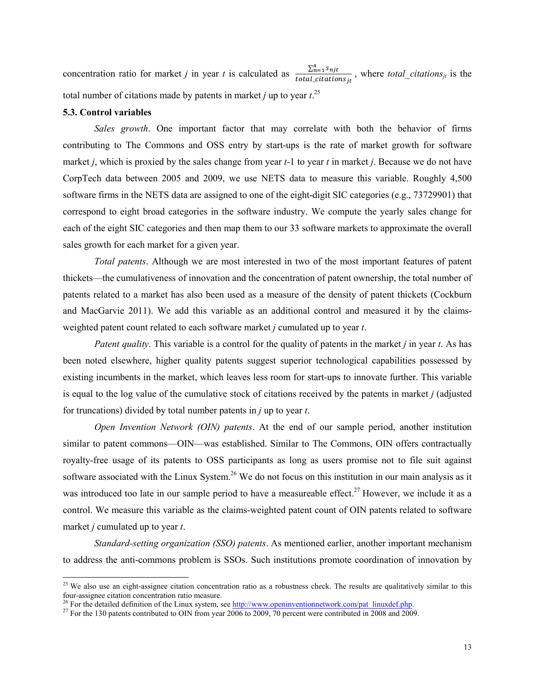concentration ratio for market *j* in year *t* is calculated as  $\frac{\sum_{n=1}^{4} S_{njt}}{\sum_{n=1}^{4} S_{njt}}$  $\frac{\Delta n = 1 \cdot n_f t}{total_citations_{jt}}$ , where *total\_citations<sub>jt</sub>* is the total number of citations made by patents in market *j* up to year  $t$ .<sup>25</sup>

#### **5.3. Control variables**

<u>.</u>

*Sales growth*. One important factor that may correlate with both the behavior of firms contributing to The Commons and OSS entry by start-ups is the rate of market growth for software market *j*, which is proxied by the sales change from year *t*-1 to year *t* in market *j*. Because we do not have CorpTech data between 2005 and 2009, we use NETS data to measure this variable. Roughly 4,500 software firms in the NETS data are assigned to one of the eight-digit SIC categories (e.g., 73729901) that correspond to eight broad categories in the software industry. We compute the yearly sales change for each of the eight SIC categories and then map them to our 33 software markets to approximate the overall sales growth for each market for a given year.

*Total patents*. Although we are most interested in two of the most important features of patent thickets—the cumulativeness of innovation and the concentration of patent ownership, the total number of patents related to a market has also been used as a measure of the density of patent thickets (Cockburn and MacGarvie 2011). We add this variable as an additional control and measured it by the claimsweighted patent count related to each software market *j* cumulated up to year *t*.

*Patent quality*. This variable is a control for the quality of patents in the market *j* in year *t*. As has been noted elsewhere, higher quality patents suggest superior technological capabilities possessed by existing incumbents in the market, which leaves less room for start-ups to innovate further. This variable is equal to the log value of the cumulative stock of citations received by the patents in market *j* (adjusted for truncations) divided by total number patents in *j* up to year *t*.

*Open Invention Network (OIN) patents*. At the end of our sample period, another institution similar to patent commons—OIN—was established. Similar to The Commons, OIN offers contractually royalty-free usage of its patents to OSS participants as long as users promise not to file suit against software associated with the Linux System.<sup>26</sup> We do not focus on this institution in our main analysis as it was introduced too late in our sample period to have a measureable effect.<sup>27</sup> However, we include it as a control. We measure this variable as the claims-weighted patent count of OIN patents related to software market *j* cumulated up to year *t*.

*Standard-setting organization (SSO) patents*. As mentioned earlier, another important mechanism to address the anti-commons problem is SSOs. Such institutions promote coordination of innovation by

<sup>&</sup>lt;sup>25</sup> We also use an eight-assignee citation concentration ratio as a robustness check. The results are qualitatively similar to this four-assignee citation concentration ratio measure.

<sup>&</sup>lt;sup>26</sup> For the detailed definition of the Linux system, see http://www.openinventionnetwork.com/pat\_linuxdef.php.

<sup>&</sup>lt;sup>27</sup> For the 130 patents contributed to OIN from year 2006 to 2009, 70 percent were contributed in 2008 and 2009.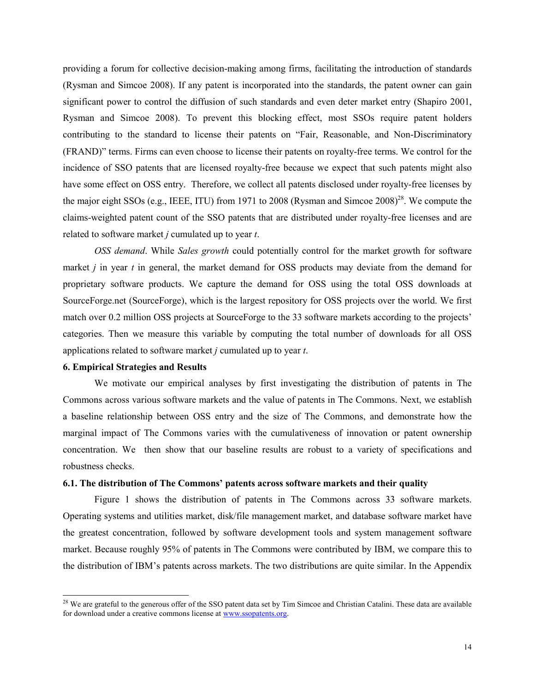providing a forum for collective decision-making among firms, facilitating the introduction of standards (Rysman and Simcoe 2008). If any patent is incorporated into the standards, the patent owner can gain significant power to control the diffusion of such standards and even deter market entry (Shapiro 2001, Rysman and Simcoe 2008). To prevent this blocking effect, most SSOs require patent holders contributing to the standard to license their patents on "Fair, Reasonable, and Non-Discriminatory (FRAND)" terms. Firms can even choose to license their patents on royalty-free terms. We control for the incidence of SSO patents that are licensed royalty-free because we expect that such patents might also have some effect on OSS entry. Therefore, we collect all patents disclosed under royalty-free licenses by the major eight SSOs (e.g., IEEE, ITU) from 1971 to 2008 (Rysman and Simcoe 2008)<sup>28</sup>. We compute the claims-weighted patent count of the SSO patents that are distributed under royalty-free licenses and are related to software market *j* cumulated up to year *t*.

*OSS demand*. While *Sales growth* could potentially control for the market growth for software market *j* in year *t* in general, the market demand for OSS products may deviate from the demand for proprietary software products. We capture the demand for OSS using the total OSS downloads at SourceForge.net (SourceForge), which is the largest repository for OSS projects over the world. We first match over 0.2 million OSS projects at SourceForge to the 33 software markets according to the projects' categories. Then we measure this variable by computing the total number of downloads for all OSS applications related to software market *j* cumulated up to year *t*.

## **6. Empirical Strategies and Results**

<u>.</u>

We motivate our empirical analyses by first investigating the distribution of patents in The Commons across various software markets and the value of patents in The Commons. Next, we establish a baseline relationship between OSS entry and the size of The Commons, and demonstrate how the marginal impact of The Commons varies with the cumulativeness of innovation or patent ownership concentration. We then show that our baseline results are robust to a variety of specifications and robustness checks.

#### **6.1. The distribution of The Commons' patents across software markets and their quality**

Figure 1 shows the distribution of patents in The Commons across 33 software markets. Operating systems and utilities market, disk/file management market, and database software market have the greatest concentration, followed by software development tools and system management software market. Because roughly 95% of patents in The Commons were contributed by IBM, we compare this to the distribution of IBM's patents across markets. The two distributions are quite similar. In the Appendix

 $28$  We are grateful to the generous offer of the SSO patent data set by Tim Simcoe and Christian Catalini. These data are available for download under a creative commons license at www.ssopatents.org.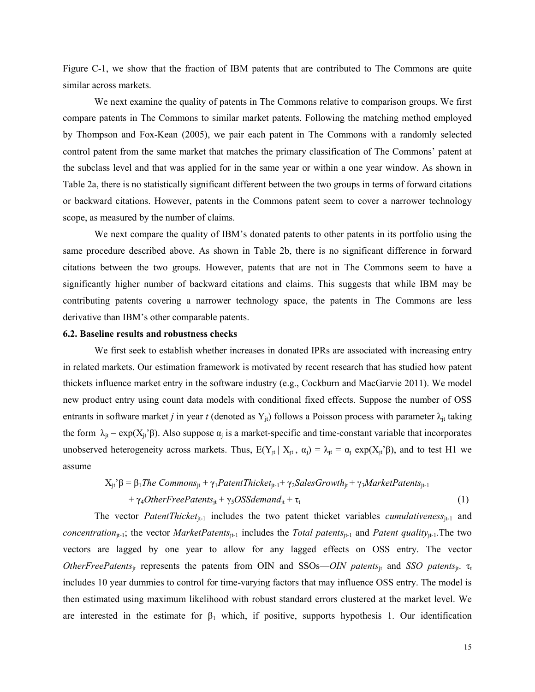Figure C-1, we show that the fraction of IBM patents that are contributed to The Commons are quite similar across markets.

We next examine the quality of patents in The Commons relative to comparison groups. We first compare patents in The Commons to similar market patents. Following the matching method employed by Thompson and Fox-Kean (2005), we pair each patent in The Commons with a randomly selected control patent from the same market that matches the primary classification of The Commons' patent at the subclass level and that was applied for in the same year or within a one year window. As shown in Table 2a, there is no statistically significant different between the two groups in terms of forward citations or backward citations. However, patents in the Commons patent seem to cover a narrower technology scope, as measured by the number of claims.

We next compare the quality of IBM's donated patents to other patents in its portfolio using the same procedure described above. As shown in Table 2b, there is no significant difference in forward citations between the two groups. However, patents that are not in The Commons seem to have a significantly higher number of backward citations and claims. This suggests that while IBM may be contributing patents covering a narrower technology space, the patents in The Commons are less derivative than IBM's other comparable patents.

#### **6.2. Baseline results and robustness checks**

We first seek to establish whether increases in donated IPRs are associated with increasing entry in related markets. Our estimation framework is motivated by recent research that has studied how patent thickets influence market entry in the software industry (e.g., Cockburn and MacGarvie 2011). We model new product entry using count data models with conditional fixed effects. Suppose the number of OSS entrants in software market *j* in year *t* (denoted as  $Y_{it}$ ) follows a Poisson process with parameter  $\lambda_{it}$  taking the form  $\lambda_{jt} = \exp(X_{jt} \hat{\beta})$ . Also suppose  $\alpha_j$  is a market-specific and time-constant variable that incorporates unobserved heterogeneity across markets. Thus,  $E(Y_{jt} | X_{jt}, \alpha_j) = \lambda_{jt} = \alpha_j \exp(X_{jt} \beta)$ , and to test H1 we assume

$$
X_{jt}^{\dagger} \beta = \beta_1
$$
*The Commons<sub>jt</sub>* +  $\gamma_1$ *PatentThicket<sub>jt-1</sub>* +  $\gamma_2$ *SalesGrowth<sub>jt</sub>* +  $\gamma_3$ *Market Patterns<sub>jt-1</sub>*  
+  $\gamma_4$ *OtherFreePatterns<sub>jt</sub>* +  $\gamma_5$ *OSSdemand<sub>jt</sub>* +  $\tau_t$  (1)

The vector *PatentThicket*<sub>it-1</sub> includes the two patent thicket variables *cumulativeness*<sub>it-1</sub> and *concentration*<sub>jt-1</sub>; the vector *MarketPatents*<sub>jt-1</sub> includes the *Total patents*<sub>jt-1</sub> and *Patent quality*<sub>jt-1</sub>. The two vectors are lagged by one year to allow for any lagged effects on OSS entry. The vector *OtherFreePatents*<sub>it</sub> represents the patents from OIN and SSOs—*OIN patents*<sub>it</sub> and SSO patents<sub>it</sub>. τ<sub>t</sub> includes 10 year dummies to control for time-varying factors that may influence OSS entry. The model is then estimated using maximum likelihood with robust standard errors clustered at the market level. We are interested in the estimate for  $\beta_1$  which, if positive, supports hypothesis 1. Our identification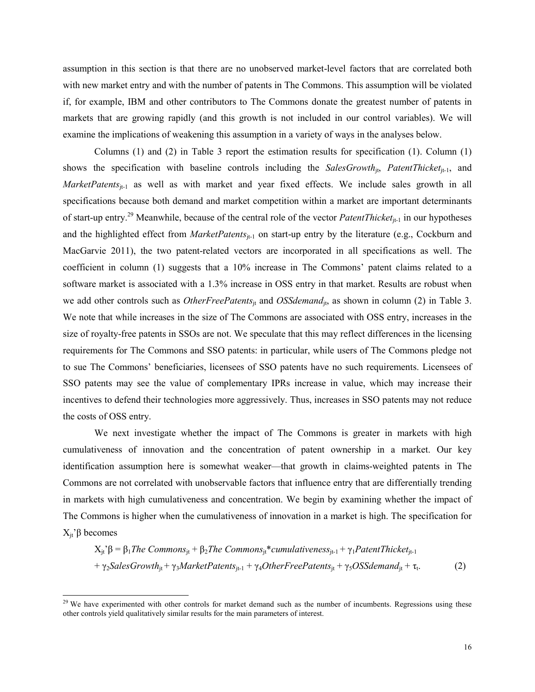assumption in this section is that there are no unobserved market-level factors that are correlated both with new market entry and with the number of patents in The Commons. This assumption will be violated if, for example, IBM and other contributors to The Commons donate the greatest number of patents in markets that are growing rapidly (and this growth is not included in our control variables). We will examine the implications of weakening this assumption in a variety of ways in the analyses below.

 Columns (1) and (2) in Table 3 report the estimation results for specification (1). Column (1) shows the specification with baseline controls including the *SalesGrowth*<sub>it</sub>, *PatentThicket*<sub>it-1</sub>, and *MarketPatents*<sub>jt-1</sub> as well as with market and year fixed effects. We include sales growth in all specifications because both demand and market competition within a market are important determinants of start-up entry.<sup>29</sup> Meanwhile, because of the central role of the vector *PatentThicket*<sub>jt-1</sub> in our hypotheses and the highlighted effect from *MarketPatents*<sub>it-1</sub> on start-up entry by the literature (e.g., Cockburn and MacGarvie 2011), the two patent-related vectors are incorporated in all specifications as well. The coefficient in column (1) suggests that a 10% increase in The Commons' patent claims related to a software market is associated with a 1.3% increase in OSS entry in that market. Results are robust when we add other controls such as *OtherFreePatents*<sub>jt</sub> and *OSSdemand*<sub>jt</sub>, as shown in column (2) in Table 3. We note that while increases in the size of The Commons are associated with OSS entry, increases in the size of royalty-free patents in SSOs are not. We speculate that this may reflect differences in the licensing requirements for The Commons and SSO patents: in particular, while users of The Commons pledge not to sue The Commons' beneficiaries, licensees of SSO patents have no such requirements. Licensees of SSO patents may see the value of complementary IPRs increase in value, which may increase their incentives to defend their technologies more aggressively. Thus, increases in SSO patents may not reduce the costs of OSS entry.

 We next investigate whether the impact of The Commons is greater in markets with high cumulativeness of innovation and the concentration of patent ownership in a market. Our key identification assumption here is somewhat weaker—that growth in claims-weighted patents in The Commons are not correlated with unobservable factors that influence entry that are differentially trending in markets with high cumulativeness and concentration. We begin by examining whether the impact of The Commons is higher when the cumulativeness of innovation in a market is high. The specification for  $X<sub>jt</sub>$ 'β becomes

 $X_i$ <sup>2</sup> $β = β_1$ *The Commons*<sub>it</sub> + β<sub>2</sub>*The Commons*<sub>it</sub><sup>\*</sup>*cumulativeness*<sub>it-1</sub> + γ<sub>1</sub>*PatentThicket*<sub>it-1</sub> + γ<sub>2</sub>*SalesGrowth*<sub>it</sub> + γ<sub>3</sub>*MarketPatents*<sub>it-1</sub> + γ<sub>4</sub>*OtherFreePatents*<sub>it</sub> + γ<sub>5</sub>*OSSdemand*<sub>it</sub> + τ<sub>t</sub>.  $(2)$ 

<u>.</u>

 $29$  We have experimented with other controls for market demand such as the number of incumbents. Regressions using these other controls yield qualitatively similar results for the main parameters of interest.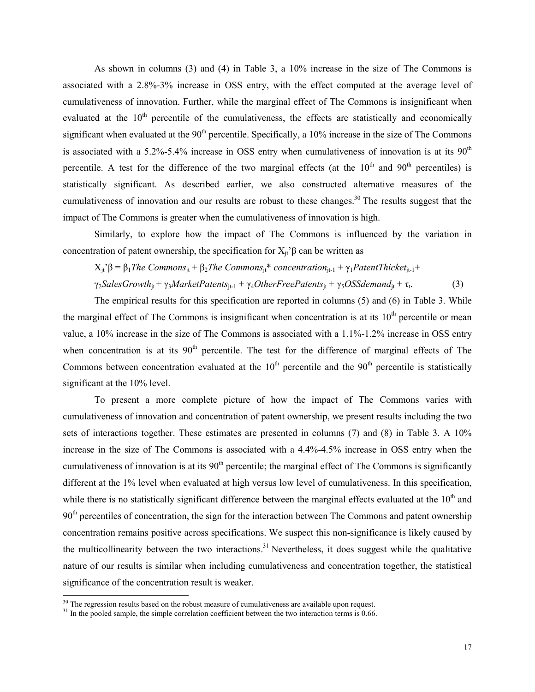As shown in columns (3) and (4) in Table 3, a 10% increase in the size of The Commons is associated with a 2.8%-3% increase in OSS entry, with the effect computed at the average level of cumulativeness of innovation. Further, while the marginal effect of The Commons is insignificant when evaluated at the  $10<sup>th</sup>$  percentile of the cumulativeness, the effects are statistically and economically significant when evaluated at the  $90<sup>th</sup>$  percentile. Specifically, a 10% increase in the size of The Commons is associated with a 5.2%-5.4% increase in OSS entry when cumulativeness of innovation is at its  $90<sup>th</sup>$ percentile. A test for the difference of the two marginal effects (at the  $10<sup>th</sup>$  and  $90<sup>th</sup>$  percentiles) is statistically significant. As described earlier, we also constructed alternative measures of the cumulativeness of innovation and our results are robust to these changes.<sup>30</sup> The results suggest that the impact of The Commons is greater when the cumulativeness of innovation is high.

Similarly, to explore how the impact of The Commons is influenced by the variation in concentration of patent ownership, the specification for  $X_i$ <sup>3</sup> $\beta$  can be written as

 $X_i$ <sup>2</sup> $\beta = \beta_1$ *The Commons*<sub>it</sub> +  $\beta_2$ *The Commons*<sub>it</sub><sup>\*</sup> *concentration*<sub>it-1</sub> + γ<sub>1</sub>*PatentThicket*<sub>it-1</sub> +

γ2*SalesGrowth*jt + γ3*MarketPatents*jt-1 + γ4*OtherFreePatents*jt + γ5*OSSdemand*jt + τ<sup>t</sup> . (3)

The empirical results for this specification are reported in columns (5) and (6) in Table 3. While the marginal effect of The Commons is insignificant when concentration is at its  $10<sup>th</sup>$  percentile or mean value, a 10% increase in the size of The Commons is associated with a 1.1%-1.2% increase in OSS entry when concentration is at its  $90<sup>th</sup>$  percentile. The test for the difference of marginal effects of The Commons between concentration evaluated at the  $10<sup>th</sup>$  percentile and the  $90<sup>th</sup>$  percentile is statistically significant at the 10% level.

 To present a more complete picture of how the impact of The Commons varies with cumulativeness of innovation and concentration of patent ownership, we present results including the two sets of interactions together. These estimates are presented in columns (7) and (8) in Table 3. A 10% increase in the size of The Commons is associated with a 4.4%-4.5% increase in OSS entry when the cumulativeness of innovation is at its  $90<sup>th</sup>$  percentile; the marginal effect of The Commons is significantly different at the 1% level when evaluated at high versus low level of cumulativeness. In this specification, while there is no statistically significant difference between the marginal effects evaluated at the 10<sup>th</sup> and  $90<sup>th</sup>$  percentiles of concentration, the sign for the interaction between The Commons and patent ownership concentration remains positive across specifications. We suspect this non-significance is likely caused by the multicollinearity between the two interactions.<sup>31</sup> Nevertheless, it does suggest while the qualitative nature of our results is similar when including cumulativeness and concentration together, the statistical significance of the concentration result is weaker.

<u>.</u>

 $30$  The regression results based on the robust measure of cumulativeness are available upon request.

 $31$  In the pooled sample, the simple correlation coefficient between the two interaction terms is 0.66.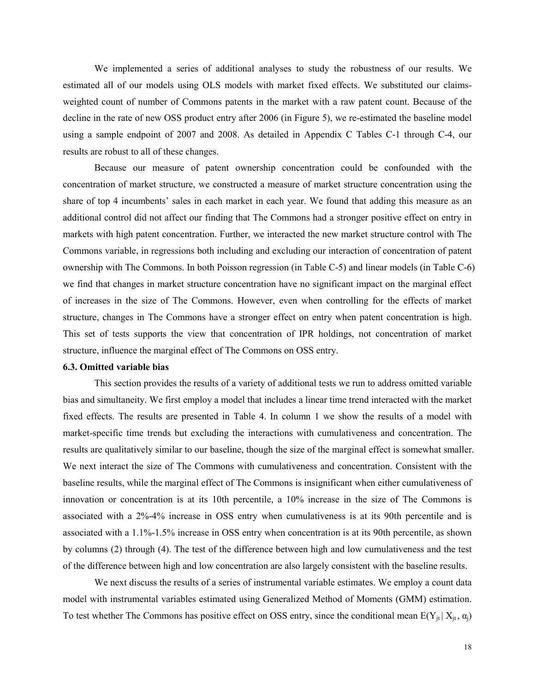We implemented a series of additional analyses to study the robustness of our results. We estimated all of our models using OLS models with market fixed effects. We substituted our claimsweighted count of number of Commons patents in the market with a raw patent count. Because of the decline in the rate of new OSS product entry after 2006 (in Figure 5), we re-estimated the baseline model using a sample endpoint of 2007 and 2008. As detailed in Appendix C Tables C-1 through C-4, our results are robust to all of these changes.

Because our measure of patent ownership concentration could be confounded with the concentration of market structure, we constructed a measure of market structure concentration using the share of top 4 incumbents' sales in each market in each year. We found that adding this measure as an additional control did not affect our finding that The Commons had a stronger positive effect on entry in markets with high patent concentration. Further, we interacted the new market structure control with The Commons variable, in regressions both including and excluding our interaction of concentration of patent ownership with The Commons. In both Poisson regression (in Table C-5) and linear models (in Table C-6) we find that changes in market structure concentration have no significant impact on the marginal effect of increases in the size of The Commons. However, even when controlling for the effects of market structure, changes in The Commons have a stronger effect on entry when patent concentration is high. This set of tests supports the view that concentration of IPR holdings, not concentration of market structure, influence the marginal effect of The Commons on OSS entry.

## **6.3. Omitted variable bias**

 This section provides the results of a variety of additional tests we run to address omitted variable bias and simultaneity. We first employ a model that includes a linear time trend interacted with the market fixed effects. The results are presented in Table 4. In column 1 we show the results of a model with market-specific time trends but excluding the interactions with cumulativeness and concentration. The results are qualitatively similar to our baseline, though the size of the marginal effect is somewhat smaller. We next interact the size of The Commons with cumulativeness and concentration. Consistent with the baseline results, while the marginal effect of The Commons is insignificant when either cumulativeness of innovation or concentration is at its 10th percentile, a 10% increase in the size of The Commons is associated with a 2%-4% increase in OSS entry when cumulativeness is at its 90th percentile and is associated with a 1.1%-1.5% increase in OSS entry when concentration is at its 90th percentile, as shown by columns (2) through (4). The test of the difference between high and low cumulativeness and the test of the difference between high and low concentration are also largely consistent with the baseline results.

We next discuss the results of a series of instrumental variable estimates. We employ a count data model with instrumental variables estimated using Generalized Method of Moments (GMM) estimation. To test whether The Commons has positive effect on OSS entry, since the conditional mean  $E(Y_{it} | X_{it}, \alpha_i)$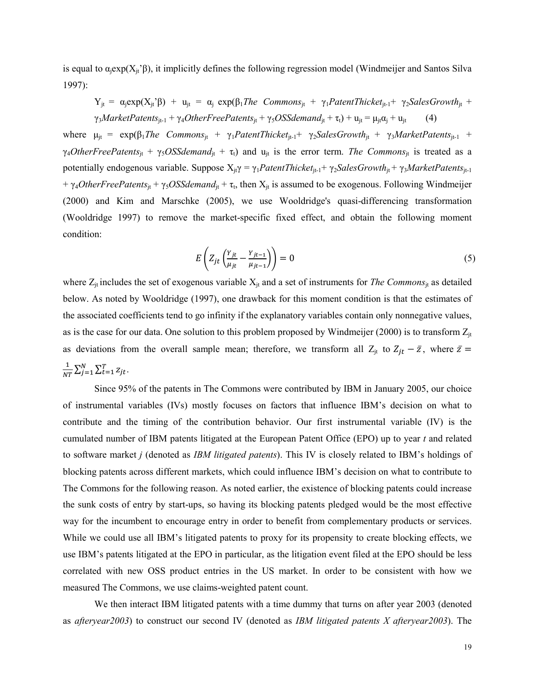is equal to  $\alpha_i \exp(X_i \beta)$ , it implicitly defines the following regression model (Windmeijer and Santos Silva 1997):

 $Y_{it} = \alpha_i \exp(X_{it} \hat{\beta}) + u_{it} = \alpha_i \exp(\beta_i)$  The Commons<sub>it</sub> +  $\gamma_1$  PatentThicket<sub>it-1</sub>+  $\gamma_2$ SalesGrowth<sub>it</sub> +  $\gamma_3$ *MarketPatents*<sub>jt-1</sub> +  $\gamma_4$ *OtherFreePatents*<sub>jt</sub> +  $\gamma_5$ *OSSdemand*<sub>jt</sub> +  $\tau_t$ ) +  $u_{jt} = \mu_{jt} \alpha_j + u_{jt}$  (4)

where  $\mu_{it} = \exp(\beta_1)$ *The Commons*<sub>it</sub> +  $\gamma_1$ *PatentThicket*<sub>it-1</sub>+  $\gamma_2$ *SalesGrowth*<sub>it</sub> +  $\gamma_3$ *MarketPatents*<sub>it-1</sub> +  $\gamma_4$ *OtherFreePatents*<sub>it</sub> +  $\gamma_5$ *OSSdemand*<sub>it</sub> +  $\tau_t$ ) and  $u_{it}$  is the error term. *The Commons*<sub>it</sub> is treated as a potentially endogenous variable. Suppose  $X_{it\gamma} = \gamma_1$ *PatentThicket<sub>it-1</sub>+*  $\gamma_2$ *SalesGrowth<sub>it</sub> +*  $\gamma_3$ *MarketPatents<sub>it-1</sub>* +  $\gamma_4$ *OtherFreePatents*<sub>jt</sub> +  $\gamma_5$ *OSSdemand*<sub>jt</sub> +  $\tau_t$ , then  $X_{jt}$  is assumed to be exogenous. Following Windmeijer (2000) and Kim and Marschke (2005), we use Wooldridge's quasi-differencing transformation (Wooldridge 1997) to remove the market-specific fixed effect, and obtain the following moment condition:

$$
E\left(Z_{jt}\left(\frac{Y_{jt}}{\mu_{jt}} - \frac{Y_{jt-1}}{\mu_{jt-1}}\right)\right) = 0\tag{5}
$$

where  $Z_{jt}$  includes the set of exogenous variable  $X_{jt}$  and a set of instruments for *The Commons*<sub>jt</sub> as detailed below. As noted by Wooldridge (1997), one drawback for this moment condition is that the estimates of the associated coefficients tend to go infinity if the explanatory variables contain only nonnegative values, as is the case for our data. One solution to this problem proposed by Windmeijer (2000) is to transform  $Z_{it}$ as deviations from the overall sample mean; therefore, we transform all  $Z_{jt}$  to  $Z_{jt} - \bar{z}$ , where  $\bar{z} =$  $\mathbf{1}$  $\frac{1}{NT} \sum_{j=1}^{N} \sum_{t=1}^{T} z_{jt}.$ 

 Since 95% of the patents in The Commons were contributed by IBM in January 2005, our choice of instrumental variables (IVs) mostly focuses on factors that influence IBM's decision on what to contribute and the timing of the contribution behavior. Our first instrumental variable (IV) is the cumulated number of IBM patents litigated at the European Patent Office (EPO) up to year *t* and related to software market *j* (denoted as *IBM litigated patents*). This IV is closely related to IBM's holdings of blocking patents across different markets, which could influence IBM's decision on what to contribute to The Commons for the following reason. As noted earlier, the existence of blocking patents could increase the sunk costs of entry by start-ups, so having its blocking patents pledged would be the most effective way for the incumbent to encourage entry in order to benefit from complementary products or services. While we could use all IBM's litigated patents to proxy for its propensity to create blocking effects, we use IBM's patents litigated at the EPO in particular, as the litigation event filed at the EPO should be less correlated with new OSS product entries in the US market. In order to be consistent with how we measured The Commons, we use claims-weighted patent count.

We then interact IBM litigated patents with a time dummy that turns on after year 2003 (denoted as *afteryear2003*) to construct our second IV (denoted as *IBM litigated patents X afteryear2003*). The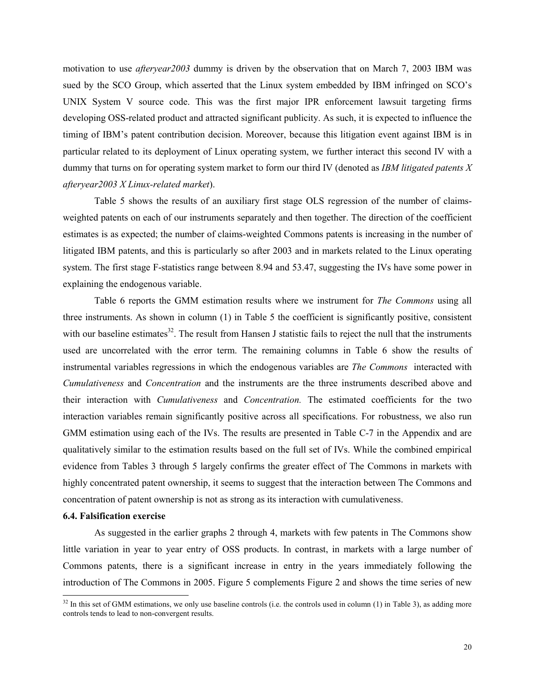motivation to use *afteryear2003* dummy is driven by the observation that on March 7, 2003 IBM was sued by the SCO Group, which asserted that the Linux system embedded by IBM infringed on SCO's UNIX System V source code. This was the first major IPR enforcement lawsuit targeting firms developing OSS-related product and attracted significant publicity. As such, it is expected to influence the timing of IBM's patent contribution decision. Moreover, because this litigation event against IBM is in particular related to its deployment of Linux operating system, we further interact this second IV with a dummy that turns on for operating system market to form our third IV (denoted as *IBM litigated patents X afteryear2003 X Linux-related market*).

Table 5 shows the results of an auxiliary first stage OLS regression of the number of claimsweighted patents on each of our instruments separately and then together. The direction of the coefficient estimates is as expected; the number of claims-weighted Commons patents is increasing in the number of litigated IBM patents, and this is particularly so after 2003 and in markets related to the Linux operating system. The first stage F-statistics range between 8.94 and 53.47, suggesting the IVs have some power in explaining the endogenous variable.

 Table 6 reports the GMM estimation results where we instrument for *The Commons* using all three instruments. As shown in column (1) in Table 5 the coefficient is significantly positive, consistent with our baseline estimates $32$ . The result from Hansen J statistic fails to reject the null that the instruments used are uncorrelated with the error term. The remaining columns in Table 6 show the results of instrumental variables regressions in which the endogenous variables are *The Commons* interacted with *Cumulativeness* and *Concentration* and the instruments are the three instruments described above and their interaction with *Cumulativeness* and *Concentration.* The estimated coefficients for the two interaction variables remain significantly positive across all specifications. For robustness, we also run GMM estimation using each of the IVs. The results are presented in Table C-7 in the Appendix and are qualitatively similar to the estimation results based on the full set of IVs. While the combined empirical evidence from Tables 3 through 5 largely confirms the greater effect of The Commons in markets with highly concentrated patent ownership, it seems to suggest that the interaction between The Commons and concentration of patent ownership is not as strong as its interaction with cumulativeness.

#### **6.4. Falsification exercise**

<u>.</u>

As suggested in the earlier graphs 2 through 4, markets with few patents in The Commons show little variation in year to year entry of OSS products. In contrast, in markets with a large number of Commons patents, there is a significant increase in entry in the years immediately following the introduction of The Commons in 2005. Figure 5 complements Figure 2 and shows the time series of new

 $32$  In this set of GMM estimations, we only use baseline controls (i.e. the controls used in column (1) in Table 3), as adding more controls tends to lead to non-convergent results.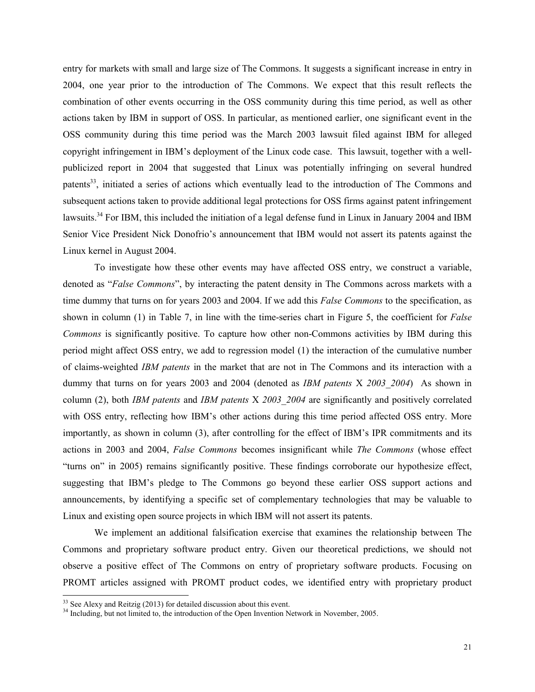entry for markets with small and large size of The Commons. It suggests a significant increase in entry in 2004, one year prior to the introduction of The Commons. We expect that this result reflects the combination of other events occurring in the OSS community during this time period, as well as other actions taken by IBM in support of OSS. In particular, as mentioned earlier, one significant event in the OSS community during this time period was the March 2003 lawsuit filed against IBM for alleged copyright infringement in IBM's deployment of the Linux code case. This lawsuit, together with a wellpublicized report in 2004 that suggested that Linux was potentially infringing on several hundred patents<sup>33</sup>, initiated a series of actions which eventually lead to the introduction of The Commons and subsequent actions taken to provide additional legal protections for OSS firms against patent infringement lawsuits.<sup>34</sup> For IBM, this included the initiation of a legal defense fund in Linux in January 2004 and IBM Senior Vice President Nick Donofrio's announcement that IBM would not assert its patents against the Linux kernel in August 2004.

To investigate how these other events may have affected OSS entry, we construct a variable, denoted as "*False Commons*", by interacting the patent density in The Commons across markets with a time dummy that turns on for years 2003 and 2004. If we add this *False Commons* to the specification, as shown in column (1) in Table 7, in line with the time-series chart in Figure 5, the coefficient for *False Commons* is significantly positive. To capture how other non-Commons activities by IBM during this period might affect OSS entry, we add to regression model (1) the interaction of the cumulative number of claims-weighted *IBM patents* in the market that are not in The Commons and its interaction with a dummy that turns on for years 2003 and 2004 (denoted as *IBM patents* X *2003\_2004*) As shown in column (2), both *IBM patents* and *IBM patents* X *2003\_2004* are significantly and positively correlated with OSS entry, reflecting how IBM's other actions during this time period affected OSS entry. More importantly, as shown in column (3), after controlling for the effect of IBM's IPR commitments and its actions in 2003 and 2004, *False Commons* becomes insignificant while *The Commons* (whose effect "turns on" in 2005) remains significantly positive. These findings corroborate our hypothesize effect, suggesting that IBM's pledge to The Commons go beyond these earlier OSS support actions and announcements, by identifying a specific set of complementary technologies that may be valuable to Linux and existing open source projects in which IBM will not assert its patents.

We implement an additional falsification exercise that examines the relationship between The Commons and proprietary software product entry. Given our theoretical predictions, we should not observe a positive effect of The Commons on entry of proprietary software products. Focusing on PROMT articles assigned with PROMT product codes, we identified entry with proprietary product

<u>.</u>

 $33$  See Alexy and Reitzig (2013) for detailed discussion about this event.

<sup>&</sup>lt;sup>34</sup> Including, but not limited to, the introduction of the Open Invention Network in November, 2005.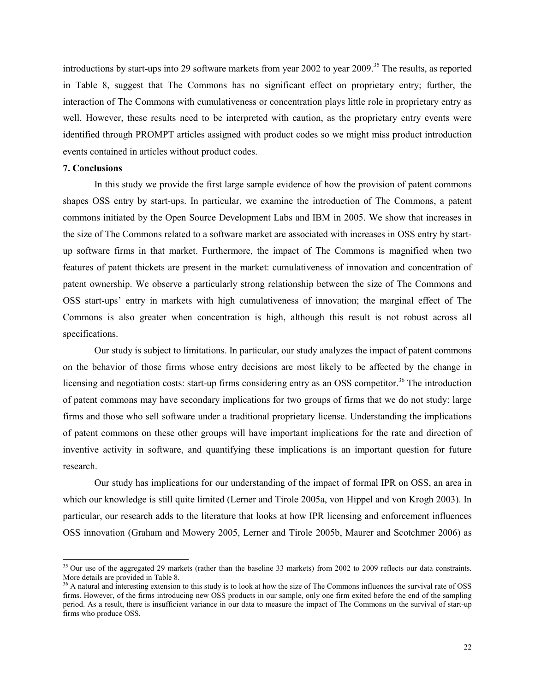introductions by start-ups into 29 software markets from year 2002 to year 2009.<sup>35</sup> The results, as reported in Table 8, suggest that The Commons has no significant effect on proprietary entry; further, the interaction of The Commons with cumulativeness or concentration plays little role in proprietary entry as well. However, these results need to be interpreted with caution, as the proprietary entry events were identified through PROMPT articles assigned with product codes so we might miss product introduction events contained in articles without product codes.

#### **7. Conclusions**

-

In this study we provide the first large sample evidence of how the provision of patent commons shapes OSS entry by start-ups. In particular, we examine the introduction of The Commons, a patent commons initiated by the Open Source Development Labs and IBM in 2005. We show that increases in the size of The Commons related to a software market are associated with increases in OSS entry by startup software firms in that market. Furthermore, the impact of The Commons is magnified when two features of patent thickets are present in the market: cumulativeness of innovation and concentration of patent ownership. We observe a particularly strong relationship between the size of The Commons and OSS start-ups' entry in markets with high cumulativeness of innovation; the marginal effect of The Commons is also greater when concentration is high, although this result is not robust across all specifications.

 Our study is subject to limitations. In particular, our study analyzes the impact of patent commons on the behavior of those firms whose entry decisions are most likely to be affected by the change in licensing and negotiation costs: start-up firms considering entry as an OSS competitor.<sup>36</sup> The introduction of patent commons may have secondary implications for two groups of firms that we do not study: large firms and those who sell software under a traditional proprietary license. Understanding the implications of patent commons on these other groups will have important implications for the rate and direction of inventive activity in software, and quantifying these implications is an important question for future research.

Our study has implications for our understanding of the impact of formal IPR on OSS, an area in which our knowledge is still quite limited (Lerner and Tirole 2005a, von Hippel and von Krogh 2003). In particular, our research adds to the literature that looks at how IPR licensing and enforcement influences OSS innovation (Graham and Mowery 2005, Lerner and Tirole 2005b, Maurer and Scotchmer 2006) as

<sup>&</sup>lt;sup>35</sup> Our use of the aggregated 29 markets (rather than the baseline 33 markets) from 2002 to 2009 reflects our data constraints. More details are provided in Table 8.

<sup>&</sup>lt;sup>36</sup> A natural and interesting extension to this study is to look at how the size of The Commons influences the survival rate of OSS firms. However, of the firms introducing new OSS products in our sample, only one firm exited before the end of the sampling period. As a result, there is insufficient variance in our data to measure the impact of The Commons on the survival of start-up firms who produce OSS.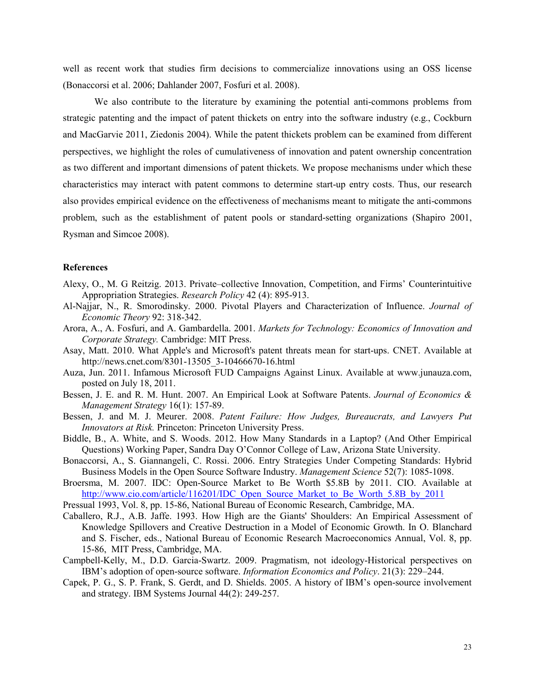well as recent work that studies firm decisions to commercialize innovations using an OSS license (Bonaccorsi et al. 2006; Dahlander 2007, Fosfuri et al. 2008).

We also contribute to the literature by examining the potential anti-commons problems from strategic patenting and the impact of patent thickets on entry into the software industry (e.g., Cockburn and MacGarvie 2011, Ziedonis 2004). While the patent thickets problem can be examined from different perspectives, we highlight the roles of cumulativeness of innovation and patent ownership concentration as two different and important dimensions of patent thickets. We propose mechanisms under which these characteristics may interact with patent commons to determine start-up entry costs. Thus, our research also provides empirical evidence on the effectiveness of mechanisms meant to mitigate the anti-commons problem, such as the establishment of patent pools or standard-setting organizations (Shapiro 2001, Rysman and Simcoe 2008).

#### **References**

- Alexy, O., M. G Reitzig. 2013. Private–collective Innovation, Competition, and Firms' Counterintuitive Appropriation Strategies. *Research Policy* 42 (4): 895-913.
- Al-Najjar, N., R. Smorodinsky. 2000. Pivotal Players and Characterization of Influence. *Journal of Economic Theory* 92: 318-342.
- Arora, A., A. Fosfuri, and A. Gambardella. 2001. *Markets for Technology: Economics of Innovation and Corporate Strategy.* Cambridge: MIT Press.
- Asay, Matt. 2010. What Apple's and Microsoft's patent threats mean for start-ups. CNET. Available at http://news.cnet.com/8301-13505\_3-10466670-16.html
- Auza, Jun. 2011. Infamous Microsoft FUD Campaigns Against Linux. Available at www.junauza.com, posted on July 18, 2011.
- Bessen, J. E. and R. M. Hunt. 2007. An Empirical Look at Software Patents. *Journal of Economics & Management Strategy* 16(1): 157-89.
- Bessen, J. and M. J. Meurer. 2008. *Patent Failure: How Judges, Bureaucrats, and Lawyers Put Innovators at Risk.* Princeton: Princeton University Press.
- Biddle, B., A. White, and S. Woods. 2012. How Many Standards in a Laptop? (And Other Empirical Questions) Working Paper, Sandra Day O'Connor College of Law, Arizona State University.
- Bonaccorsi, A., S. Giannangeli, C. Rossi. 2006. Entry Strategies Under Competing Standards: Hybrid Business Models in the Open Source Software Industry. *Management Science* 52(7): 1085-1098.
- Broersma, M. 2007. IDC: Open-Source Market to Be Worth \$5.8B by 2011. CIO. Available at http://www.cio.com/article/116201/IDC\_Open\_Source\_Market\_to\_Be\_Worth\_5.8B\_by\_2011
- Pressual 1993, Vol. 8, pp. 15-86, National Bureau of Economic Research, Cambridge, MA.
- Caballero, R.J., A.B. Jaffe. 1993. How High are the Giants' Shoulders: An Empirical Assessment of Knowledge Spillovers and Creative Destruction in a Model of Economic Growth. In O. Blanchard and S. Fischer, eds., National Bureau of Economic Research Macroeconomics Annual, Vol. 8, pp. 15-86, MIT Press, Cambridge, MA.
- Campbell-Kelly, M., D.D. Garcia-Swartz. 2009. Pragmatism, not ideology-Historical perspectives on IBM's adoption of open-source software. *Information Economics and Policy*. 21(3): 229–244.
- Capek, P. G., S. P. Frank, S. Gerdt, and D. Shields. 2005. A history of IBM's open-source involvement and strategy. IBM Systems Journal 44(2): 249-257.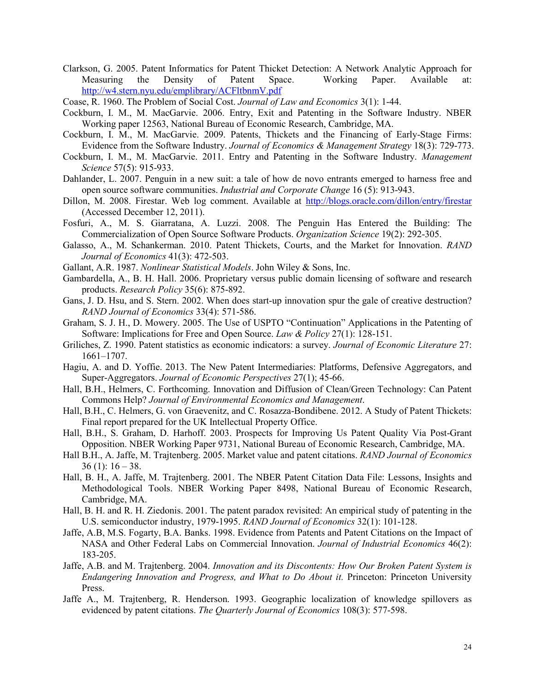Clarkson, G. 2005. Patent Informatics for Patent Thicket Detection: A Network Analytic Approach for Measuring the Density of Patent Space. Working Paper. Available at: http://w4.stern.nyu.edu/emplibrary/ACFltbnmV.pdf

- Cockburn, I. M., M. MacGarvie. 2006. Entry, Exit and Patenting in the Software Industry. NBER Working paper 12563, National Bureau of Economic Research, Cambridge, MA.
- Cockburn, I. M., M. MacGarvie. 2009. Patents, Thickets and the Financing of Early-Stage Firms: Evidence from the Software Industry. *Journal of Economics & Management Strategy* 18(3): 729-773.
- Cockburn, I. M., M. MacGarvie. 2011. Entry and Patenting in the Software Industry. *Management Science* 57(5): 915-933.
- Dahlander, L. 2007. Penguin in a new suit: a tale of how de novo entrants emerged to harness free and open source software communities. *Industrial and Corporate Change* 16 (5): 913-943.
- Dillon, M. 2008. Firestar. Web log comment. Available at http://blogs.oracle.com/dillon/entry/firestar (Accessed December 12, 2011).
- Fosfuri, A., M. S. Giarratana, A. Luzzi. 2008. The Penguin Has Entered the Building: The Commercialization of Open Source Software Products. *Organization Science* 19(2): 292-305.
- Galasso, A., M. Schankerman. 2010. Patent Thickets, Courts, and the Market for Innovation. *RAND Journal of Economics* 41(3): 472-503.
- Gallant, A.R. 1987. *Nonlinear Statistical Models*. John Wiley & Sons, Inc.
- Gambardella, A., B. H. Hall. 2006. Proprietary versus public domain licensing of software and research products. *Research Policy* 35(6): 875-892.
- Gans, J. D. Hsu, and S. Stern. 2002. When does start-up innovation spur the gale of creative destruction? *RAND Journal of Economics* 33(4): 571-586.
- Graham, S. J. H., D. Mowery. 2005. The Use of USPTO "Continuation" Applications in the Patenting of Software: Implications for Free and Open Source. *Law & Policy* 27(1): 128-151.
- Griliches, Z. 1990. Patent statistics as economic indicators: a survey. *Journal of Economic Literature* 27: 1661–1707.
- Hagiu, A. and D. Yoffie. 2013. The New Patent Intermediaries: Platforms, Defensive Aggregators, and Super-Aggregators. *Journal of Economic Perspectives* 27(1); 45-66.
- Hall, B.H., Helmers, C. Forthcoming. Innovation and Diffusion of Clean/Green Technology: Can Patent Commons Help? *Journal of Environmental Economics and Management*.
- Hall, B.H., C. Helmers, G. von Graevenitz, and C. Rosazza-Bondibene. 2012. A Study of Patent Thickets: Final report prepared for the UK Intellectual Property Office.
- Hall, B.H., S. Graham, D. Harhoff. 2003. Prospects for Improving Us Patent Quality Via Post-Grant Opposition. NBER Working Paper 9731, National Bureau of Economic Research, Cambridge, MA.
- Hall B.H., A. Jaffe, M. Trajtenberg. 2005. Market value and patent citations. *RAND Journal of Economics*  $36$  (1):  $16 - 38$ .
- Hall, B. H., A. Jaffe, M. Trajtenberg. 2001. The NBER Patent Citation Data File: Lessons, Insights and Methodological Tools. NBER Working Paper 8498, National Bureau of Economic Research, Cambridge, MA.
- Hall, B. H. and R. H. Ziedonis. 2001. The patent paradox revisited: An empirical study of patenting in the U.S. semiconductor industry, 1979-1995. *RAND Journal of Economics* 32(1): 101-128.
- Jaffe, A.B, M.S. Fogarty, B.A. Banks. 1998. Evidence from Patents and Patent Citations on the Impact of NASA and Other Federal Labs on Commercial Innovation. *Journal of Industrial Economics* 46(2): 183-205.
- Jaffe, A.B. and M. Trajtenberg. 2004. *Innovation and its Discontents: How Our Broken Patent System is*  Endangering Innovation and Progress, and What to Do About it. Princeton: Princeton University Press.
- Jaffe A., M. Trajtenberg, R. Henderson. 1993. Geographic localization of knowledge spillovers as evidenced by patent citations. *The Quarterly Journal of Economics* 108(3): 577-598.

Coase, R. 1960. The Problem of Social Cost. *Journal of Law and Economics* 3(1): 1-44.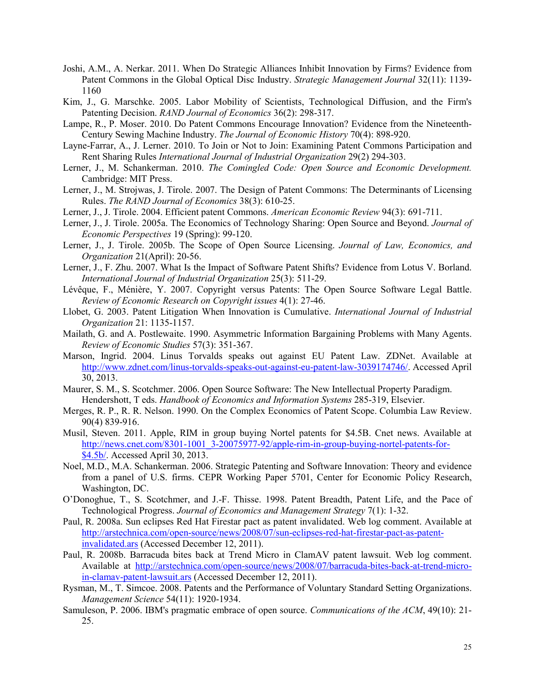- Joshi, A.M., A. Nerkar. 2011. When Do Strategic Alliances Inhibit Innovation by Firms? Evidence from Patent Commons in the Global Optical Disc Industry. *Strategic Management Journal* 32(11): 1139- 1160
- Kim, J., G. Marschke. 2005. Labor Mobility of Scientists, Technological Diffusion, and the Firm's Patenting Decision. *RAND Journal of Economics* 36(2): 298-317.
- Lampe, R., P. Moser. 2010. Do Patent Commons Encourage Innovation? Evidence from the Nineteenth-Century Sewing Machine Industry. *The Journal of Economic History* 70(4): 898-920.
- Layne-Farrar, A., J. Lerner. 2010. To Join or Not to Join: Examining Patent Commons Participation and Rent Sharing Rules *International Journal of Industrial Organization* 29(2) 294-303.
- Lerner, J., M. Schankerman. 2010. *The Comingled Code: Open Source and Economic Development.*  Cambridge: MIT Press.
- Lerner, J., M. Strojwas, J. Tirole. 2007. The Design of Patent Commons: The Determinants of Licensing Rules. *The RAND Journal of Economics* 38(3): 610-25.
- Lerner, J., J. Tirole. 2004. Efficient patent Commons. *American Economic Review* 94(3): 691-711.
- Lerner, J., J. Tirole. 2005a. The Economics of Technology Sharing: Open Source and Beyond. *Journal of Economic Perspectives* 19 (Spring): 99-120.
- Lerner, J., J. Tirole. 2005b. The Scope of Open Source Licensing. *Journal of Law, Economics, and Organization* 21(April): 20-56.
- Lerner, J., F. Zhu. 2007. What Is the Impact of Software Patent Shifts? Evidence from Lotus V. Borland. *International Journal of Industrial Organization* 25(3): 511-29.
- Lévêque, F., Ménière, Y. 2007. Copyright versus Patents: The Open Source Software Legal Battle. *Review of Economic Research on Copyright issues* 4(1): 27-46.
- Llobet, G. 2003. Patent Litigation When Innovation is Cumulative. *International Journal of Industrial Organization* 21: 1135-1157.
- Mailath, G. and A. Postlewaite. 1990. Asymmetric Information Bargaining Problems with Many Agents. *Review of Economic Studies* 57(3): 351-367.
- Marson, Ingrid. 2004. Linus Torvalds speaks out against EU Patent Law. ZDNet. Available at http://www.zdnet.com/linus-torvalds-speaks-out-against-eu-patent-law-3039174746/. Accessed April 30, 2013.
- Maurer, S. M., S. Scotchmer. 2006. Open Source Software: The New Intellectual Property Paradigm. Hendershott, T eds. *Handbook of Economics and Information Systems* 285-319, Elsevier.
- Merges, R. P., R. R. Nelson. 1990. On the Complex Economics of Patent Scope. Columbia Law Review. 90(4) 839-916.
- Musil, Steven. 2011. Apple, RIM in group buying Nortel patents for \$4.5B. Cnet news. Available at http://news.cnet.com/8301-1001\_3-20075977-92/apple-rim-in-group-buying-nortel-patents-for-\$4.5b/. Accessed April 30, 2013.
- Noel, M.D., M.A. Schankerman. 2006. Strategic Patenting and Software Innovation: Theory and evidence from a panel of U.S. firms. CEPR Working Paper 5701, Center for Economic Policy Research, Washington, DC.
- O'Donoghue, T., S. Scotchmer, and J.-F. Thisse. 1998. Patent Breadth, Patent Life, and the Pace of Technological Progress. *Journal of Economics and Management Strategy* 7(1): 1-32.
- Paul, R. 2008a. Sun eclipses Red Hat Firestar pact as patent invalidated. Web log comment. Available at http://arstechnica.com/open-source/news/2008/07/sun-eclipses-red-hat-firestar-pact-as-patentinvalidated.ars (Accessed December 12, 2011).
- Paul, R. 2008b. Barracuda bites back at Trend Micro in ClamAV patent lawsuit. Web log comment. Available at http://arstechnica.com/open-source/news/2008/07/barracuda-bites-back-at-trend-microin-clamav-patent-lawsuit.ars (Accessed December 12, 2011).
- Rysman, M., T. Simcoe. 2008. Patents and the Performance of Voluntary Standard Setting Organizations. *Management Science* 54(11): 1920-1934.
- Samuleson, P. 2006. IBM's pragmatic embrace of open source. *Communications of the ACM*, 49(10): 21- 25.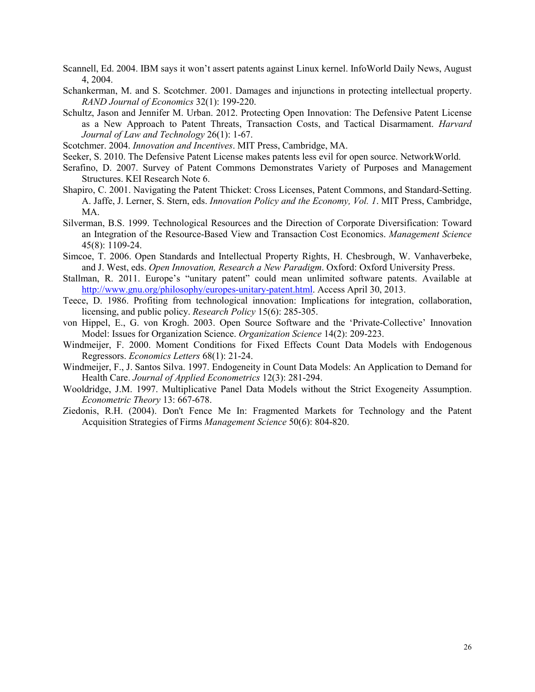- Scannell, Ed. 2004. IBM says it won't assert patents against Linux kernel. InfoWorld Daily News, August 4, 2004.
- Schankerman, M. and S. Scotchmer. 2001. Damages and injunctions in protecting intellectual property. *RAND Journal of Economics* 32(1): 199-220.
- Schultz, Jason and Jennifer M. Urban. 2012. Protecting Open Innovation: The Defensive Patent License as a New Approach to Patent Threats, Transaction Costs, and Tactical Disarmament. *Harvard Journal of Law and Technology* 26(1): 1-67.
- Scotchmer. 2004. *Innovation and Incentives*. MIT Press, Cambridge, MA.
- Seeker, S. 2010. The Defensive Patent License makes patents less evil for open source. NetworkWorld.
- Serafino, D. 2007. Survey of Patent Commons Demonstrates Variety of Purposes and Management Structures. KEI Research Note 6.
- Shapiro, C. 2001. Navigating the Patent Thicket: Cross Licenses, Patent Commons, and Standard-Setting. A. Jaffe, J. Lerner, S. Stern, eds. *Innovation Policy and the Economy, Vol. 1*. MIT Press, Cambridge, MA.
- Silverman, B.S. 1999. Technological Resources and the Direction of Corporate Diversification: Toward an Integration of the Resource-Based View and Transaction Cost Economics. *Management Science* 45(8): 1109-24.
- Simcoe, T. 2006. Open Standards and Intellectual Property Rights, H. Chesbrough, W. Vanhaverbeke, and J. West, eds. *Open Innovation, Research a New Paradigm*. Oxford: Oxford University Press.
- Stallman, R. 2011. Europe's "unitary patent" could mean unlimited software patents. Available at http://www.gnu.org/philosophy/europes-unitary-patent.html. Access April 30, 2013.
- Teece, D. 1986. Profiting from technological innovation: Implications for integration, collaboration, licensing, and public policy. *Research Policy* 15(6): 285-305.
- von Hippel, E., G. von Krogh. 2003. Open Source Software and the 'Private-Collective' Innovation Model: Issues for Organization Science. *Organization Science* 14(2): 209-223.
- Windmeijer, F. 2000. Moment Conditions for Fixed Effects Count Data Models with Endogenous Regressors. *Economics Letters* 68(1): 21-24.
- Windmeijer, F., J. Santos Silva. 1997. Endogeneity in Count Data Models: An Application to Demand for Health Care. *Journal of Applied Econometrics* 12(3): 281-294.
- Wooldridge, J.M. 1997. Multiplicative Panel Data Models without the Strict Exogeneity Assumption. *Econometric Theory* 13: 667-678.
- Ziedonis, R.H. (2004). Don't Fence Me In: Fragmented Markets for Technology and the Patent Acquisition Strategies of Firms *Management Science* 50(6): 804-820.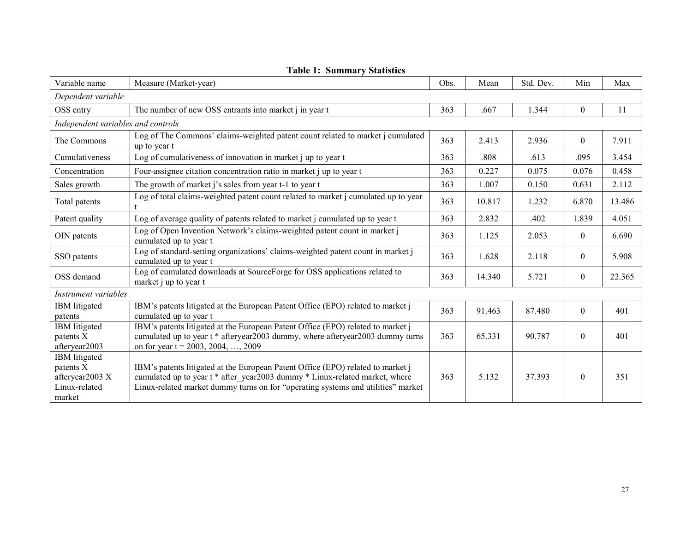| Variable name                                                                   | Measure (Market-year)                                                                                                                                                                                                                              | Obs. | Mean   | Std. Dev. | Min            | Max    |
|---------------------------------------------------------------------------------|----------------------------------------------------------------------------------------------------------------------------------------------------------------------------------------------------------------------------------------------------|------|--------|-----------|----------------|--------|
| Dependent variable                                                              |                                                                                                                                                                                                                                                    |      |        |           |                |        |
| OSS entry                                                                       | The number of new OSS entrants into market <i>i</i> in year t                                                                                                                                                                                      | 363  | .667   | 1.344     | $\overline{0}$ | 11     |
| Independent variables and controls                                              |                                                                                                                                                                                                                                                    |      |        |           |                |        |
| The Commons                                                                     | Log of The Commons' claims-weighted patent count related to market j cumulated<br>up to year t                                                                                                                                                     | 363  | 2.413  | 2.936     | $\theta$       | 7.911  |
| Cumulativeness                                                                  | Log of cumulativeness of innovation in market j up to year t                                                                                                                                                                                       | 363  | .808   | .613      | .095           | 3.454  |
| Concentration                                                                   | Four-assignee citation concentration ratio in market j up to year t                                                                                                                                                                                | 363  | 0.227  | 0.075     | 0.076          | 0.458  |
| Sales growth                                                                    | The growth of market j's sales from year t-1 to year t                                                                                                                                                                                             | 363  | 1.007  | 0.150     | 0.631          | 2.112  |
| Total patents                                                                   | Log of total claims-weighted patent count related to market j cumulated up to year                                                                                                                                                                 | 363  | 10.817 | 1.232     | 6.870          | 13.486 |
| Patent quality                                                                  | Log of average quality of patents related to market j cumulated up to year t                                                                                                                                                                       | 363  | 2.832  | .402      | 1.839          | 4.051  |
| OIN patents                                                                     | Log of Open Invention Network's claims-weighted patent count in market j<br>cumulated up to year t                                                                                                                                                 | 363  | 1.125  | 2.053     | $\theta$       | 6.690  |
| SSO patents                                                                     | Log of standard-setting organizations' claims-weighted patent count in market j<br>cumulated up to year t                                                                                                                                          | 363  | 1.628  | 2.118     | $\overline{0}$ | 5.908  |
| OSS demand                                                                      | Log of cumulated downloads at SourceForge for OSS applications related to<br>market j up to year t                                                                                                                                                 |      | 14.340 | 5.721     | $\overline{0}$ | 22.365 |
| Instrument variables                                                            |                                                                                                                                                                                                                                                    |      |        |           |                |        |
| IBM litigated<br>patents                                                        | IBM's patents litigated at the European Patent Office (EPO) related to market j<br>cumulated up to year t                                                                                                                                          | 363  | 91.463 | 87.480    | $\theta$       | 401    |
| IBM litigated<br>patents X<br>afteryear2003                                     | IBM's patents litigated at the European Patent Office (EPO) related to market j<br>cumulated up to year t * afteryear2003 dummy, where afteryear2003 dummy turns<br>on for year $t = 2003, 2004, , 2009$                                           | 363  | 65.331 | 90.787    | $\mathbf{0}$   | 401    |
| <b>IBM</b> litigated<br>patents X<br>afteryear2003 X<br>Linux-related<br>market | IBM's patents litigated at the European Patent Office (EPO) related to market j<br>cumulated up to year t * after year2003 dummy * Linux-related market, where<br>Linux-related market dummy turns on for "operating systems and utilities" market | 363  | 5.132  | 37.393    | $\theta$       | 351    |

|  | <b>Table 1: Summary Statistics</b> |  |
|--|------------------------------------|--|
|--|------------------------------------|--|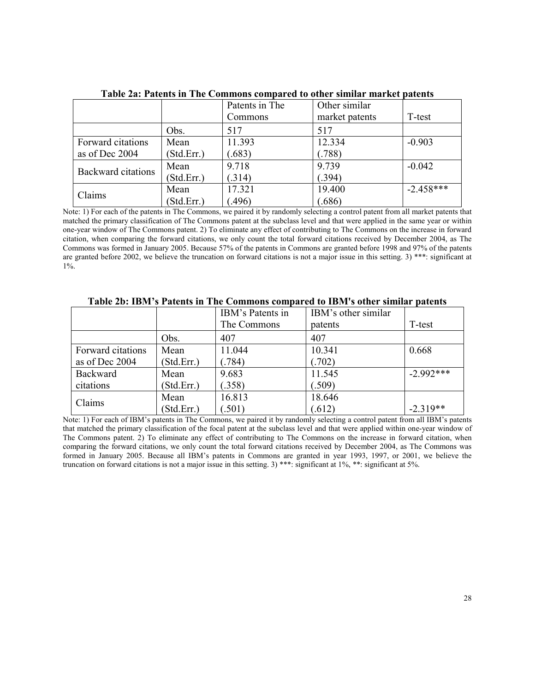|                           |            | Patents in The | Other similar  |             |
|---------------------------|------------|----------------|----------------|-------------|
|                           |            | Commons        | market patents | T-test      |
|                           | Obs.       | 517            | 517            |             |
| Forward citations         | Mean       | 11.393         | 12.334         | $-0.903$    |
| as of Dec 2004            | (Std.Err.) | .683)          | (788)          |             |
| <b>Backward citations</b> | Mean       | 9.718          | 9.739          | $-0.042$    |
|                           | (Std.Err.) | (314)          | (394)          |             |
| Claims                    | Mean       | 17.321         | 19.400         | $-2.458***$ |
|                           | (Std.Err.) | .496)          | .686           |             |

**Table 2a: Patents in The Commons compared to other similar market patents** 

Note: 1) For each of the patents in The Commons, we paired it by randomly selecting a control patent from all market patents that matched the primary classification of The Commons patent at the subclass level and that were applied in the same year or within one-year window of The Commons patent. 2) To eliminate any effect of contributing to The Commons on the increase in forward citation, when comparing the forward citations, we only count the total forward citations received by December 2004, as The Commons was formed in January 2005. Because 57% of the patents in Commons are granted before 1998 and 97% of the patents are granted before 2002, we believe the truncation on forward citations is not a major issue in this setting. 3) \*\*\*: significant at 1%.

|                   |            | IBM's Patents in | IBM's other similar |             |
|-------------------|------------|------------------|---------------------|-------------|
|                   |            | The Commons      | patents             | T-test      |
|                   | Obs.       | 407              | 407                 |             |
| Forward citations | Mean       | 11.044           | 10.341              | 0.668       |
| as of Dec 2004    | (Std.Err.) | (0.784)          | (.702)              |             |
| Backward          | Mean       | 9.683            | 11.545              | $-2.992***$ |
| citations         | (StdErr.)  | (.358)           | (.509)              |             |
| Claims            | Mean       | 16.813           | 18.646              |             |
|                   | (StdErr.)  | (.501)           | (.612)              | $-2.319**$  |

**Table 2b: IBM's Patents in The Commons compared to IBM's other similar patents** 

Note: 1) For each of IBM's patents in The Commons, we paired it by randomly selecting a control patent from all IBM's patents that matched the primary classification of the focal patent at the subclass level and that were applied within one-year window of The Commons patent. 2) To eliminate any effect of contributing to The Commons on the increase in forward citation, when comparing the forward citations, we only count the total forward citations received by December 2004, as The Commons was formed in January 2005. Because all IBM's patents in Commons are granted in year 1993, 1997, or 2001, we believe the truncation on forward citations is not a major issue in this setting. 3) \*\*\*: significant at 1%, \*\*: significant at 5%.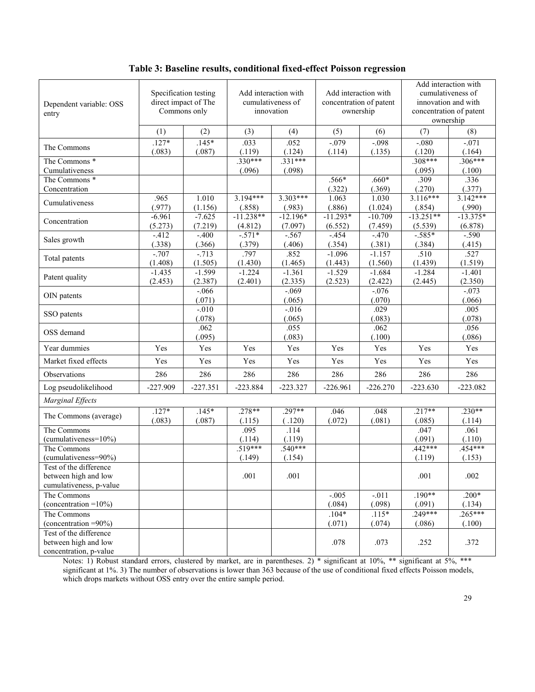| Dependent variable: OSS<br>entry                                          |                     | Specification testing<br>direct impact of The<br>Commons only |                        | Add interaction with<br>cumulativeness of<br>innovation | Add interaction with<br>concentration of patent<br>ownership |                      |                        | Add interaction with<br>cumulativeness of<br>innovation and with<br>concentration of patent<br>ownership |
|---------------------------------------------------------------------------|---------------------|---------------------------------------------------------------|------------------------|---------------------------------------------------------|--------------------------------------------------------------|----------------------|------------------------|----------------------------------------------------------------------------------------------------------|
|                                                                           | (1)                 | (2)                                                           | (3)                    | (4)                                                     | (5)                                                          | (6)                  | (7)                    | (8)                                                                                                      |
| The Commons                                                               | $.127*$<br>(.083)   | $.145*$<br>(.087)                                             | .033<br>(.119)         | .052<br>(.124)                                          | $-0.079$<br>(.114)                                           | $-.098$<br>(.135)    | $-.080$<br>(.120)      | $-.071$<br>(.164)                                                                                        |
| The Commons <sup>*</sup><br>Cumulativeness                                |                     |                                                               | $.330***$<br>(.096)    | $.331***$<br>(.098)                                     |                                                              |                      | $.308***$<br>(.095)    | $.306***$<br>(.100)                                                                                      |
| The Commons *<br>Concentration                                            |                     |                                                               |                        |                                                         | $.566*$<br>(.322)                                            | $.660*$<br>(.369)    | .309<br>(.270)         | .336<br>(.377)                                                                                           |
| Cumulativeness                                                            | .965<br>(.977)      | 1.010<br>(1.156)                                              | $3.194***$<br>(.858)   | $3.303***$<br>(.983)                                    | 1.063<br>(.886)                                              | 1.030<br>(1.024)     | $3.116***$<br>(.854)   | $3.\overline{142***}$<br>(.990)                                                                          |
| Concentration                                                             | $-6.961$<br>(5.273) | $-7.625$<br>(7.219)                                           | $-11.238**$<br>(4.812) | $-12.196*$<br>(7.097)                                   | $-11.293*$<br>(6.552)                                        | $-10.709$<br>(7.459) | $-13.251**$<br>(5.539) | $-13.375*$<br>(6.878)                                                                                    |
| Sales growth                                                              | $-412$<br>(.338)    | $-.400$<br>(.366)                                             | $-571*$<br>(.379)      | $-.567$<br>(.406)                                       | $-454$<br>(.354)                                             | $-.470$<br>(.381)    | $-.585*$<br>(.384)     | $-.590$<br>(.415)                                                                                        |
| Total patents                                                             | $-.707$<br>(1.408)  | $-713$<br>(1.505)                                             | .797<br>(1.430)        | .852<br>(1.465)                                         | $-1.096$<br>(1.443)                                          | $-1.157$<br>(1.560)  | .510<br>(1.439)        | .527<br>(1.519)                                                                                          |
| Patent quality                                                            | $-1.435$<br>(2.453) | $-1.599$<br>(2.387)                                           | $-1.224$<br>(2.401)    | $-1.361$<br>(2.335)                                     | $-1.529$<br>(2.523)                                          | $-1.684$<br>(2.422)  | $-1.284$<br>(2.445)    | $-1.401$<br>(2.350)                                                                                      |
| OIN patents                                                               |                     | $-0.066$<br>(.071)                                            |                        | $-0.069$<br>(.065)                                      |                                                              | $-0.076$<br>(.070)   |                        | $-0.073$<br>(.066)                                                                                       |
| SSO patents                                                               |                     | $-.010$<br>(.078)                                             |                        | $-.016$<br>(.065)                                       |                                                              | .029<br>(.083)       |                        | .005<br>(.078)                                                                                           |
| OSS demand                                                                |                     | .062<br>(.095)                                                |                        | .055<br>(.083)                                          |                                                              | .062<br>(.100)       |                        | .056<br>(.086)                                                                                           |
| Year dummies                                                              | Yes                 | Yes                                                           | Yes                    | Yes                                                     | Yes                                                          | Yes                  | Yes                    | Yes                                                                                                      |
| Market fixed effects                                                      | Yes                 | Yes                                                           | Yes                    | Yes                                                     | Yes                                                          | Yes                  | Yes                    | Yes                                                                                                      |
| Observations                                                              | 286                 | 286                                                           | 286                    | 286                                                     | 286                                                          | 286                  | 286                    | 286                                                                                                      |
| Log pseudolikelihood                                                      | $-227.909$          | $-227.351$                                                    | $-223.884$             | $-223.327$                                              | $-226.961$                                                   | $-226.270$           | $-223.630$             | $-223.082$                                                                                               |
| Marginal Effects                                                          |                     |                                                               |                        |                                                         |                                                              |                      |                        |                                                                                                          |
| The Commons (average)                                                     | $.127*$<br>(.083)   | $.145*$<br>(.087)                                             | $.278**$<br>(.115)     | $.297**$<br>(.120)                                      | .046<br>(.072)                                               | .048<br>(.081)       | $.217**$<br>(.085)     | $.230**$<br>(.114)                                                                                       |
| The Commons<br>$(cumulativeness = 10\%)$                                  |                     |                                                               | .095<br>(.114)         | .114<br>(.119)                                          |                                                              |                      | .047<br>(.091)         | .061<br>(.110)                                                                                           |
| The Commons<br>(cumulativeness=90%)                                       |                     |                                                               | $.519***$<br>(.149)    | $.540***$<br>(.154)                                     |                                                              |                      | $.442***$<br>(.119)    | $.454***$<br>(.153)                                                                                      |
| Test of the difference<br>between high and low<br>cumulativeness, p-value |                     |                                                               | .001                   | .001                                                    |                                                              |                      | .001                   | .002                                                                                                     |
| The Commons<br>(concentration = $10\%$ )                                  |                     |                                                               |                        |                                                         | $-.005$<br>(.084)                                            | $-.011$<br>(.098)    | $.190**$<br>(.091)     | $.200*$<br>(.134)                                                                                        |
| The Commons<br>(concentration $=90\%$ )                                   |                     |                                                               |                        |                                                         | $.104*$<br>(.071)                                            | $.115*$<br>(.074)    | $.249***$<br>(.086)    | $.265***$<br>(.100)                                                                                      |
| Test of the difference<br>between high and low<br>concentration, p-value  |                     |                                                               |                        |                                                         | .078                                                         | .073                 | .252                   | .372                                                                                                     |

**Table 3: Baseline results, conditional fixed-effect Poisson regression**

Notes: 1) Robust standard errors, clustered by market, are in parentheses. 2) \* significant at 10%, \*\* significant at 5%, \*\*\* significant at 1%. 3) The number of observations is lower than 363 because of the use of conditional fixed effects Poisson models, which drops markets without OSS entry over the entire sample period.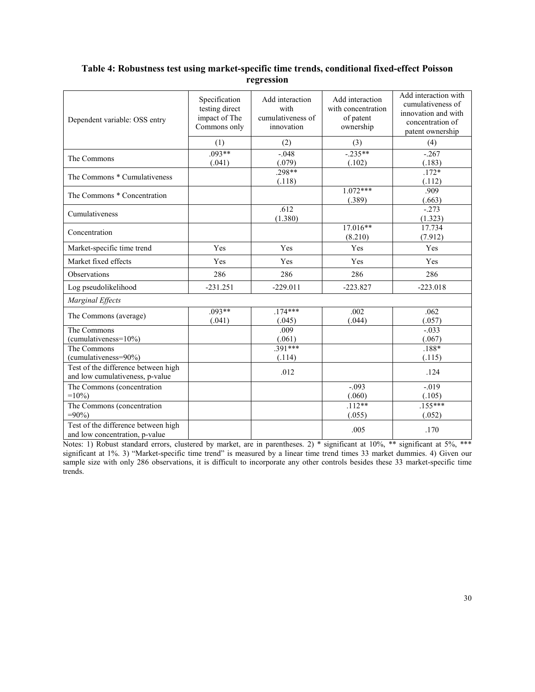# **Table 4: Robustness test using market-specific time trends, conditional fixed-effect Poisson regression**

| Dependent variable: OSS entry                                          | Specification<br>testing direct<br>impact of The<br>Commons only | Add interaction<br>with<br>cumulativeness of<br>innovation | Add interaction<br>with concentration<br>of patent<br>ownership | Add interaction with<br>cumulativeness of<br>innovation and with<br>concentration of<br>patent ownership |
|------------------------------------------------------------------------|------------------------------------------------------------------|------------------------------------------------------------|-----------------------------------------------------------------|----------------------------------------------------------------------------------------------------------|
|                                                                        | (1)                                                              | (2)                                                        | (3)                                                             | (4)                                                                                                      |
| The Commons                                                            | $.093**$<br>(.041)                                               | $-0.048$<br>(.079)                                         | $-.235**$<br>(.102)                                             | $-267$<br>(.183)                                                                                         |
| The Commons * Cumulativeness                                           |                                                                  | $.298**$<br>(.118)                                         |                                                                 | $.172*$<br>(.112)                                                                                        |
| The Commons * Concentration                                            |                                                                  |                                                            | $1.072***$<br>(.389)                                            | .909<br>(.663)                                                                                           |
| Cumulativeness                                                         |                                                                  | .612<br>(1.380)                                            |                                                                 | $-.273$<br>(1.323)                                                                                       |
| Concentration                                                          |                                                                  |                                                            | $17.016**$<br>(8.210)                                           | 17.734<br>(7.912)                                                                                        |
| Market-specific time trend                                             | Yes                                                              | Yes                                                        | Yes                                                             | Yes                                                                                                      |
| Market fixed effects                                                   | Yes                                                              | Yes                                                        | Yes                                                             | Yes                                                                                                      |
| Observations                                                           | 286                                                              | 286                                                        | 286                                                             | 286                                                                                                      |
| Log pseudolikelihood                                                   | $-231.251$                                                       | $-229.011$                                                 | $-223.827$                                                      | $-223.018$                                                                                               |
| Marginal Effects                                                       |                                                                  |                                                            |                                                                 |                                                                                                          |
| The Commons (average)                                                  | $.093**$<br>(.041)                                               | $.174***$<br>(.045)                                        | .002<br>(.044)                                                  | .062<br>(.057)                                                                                           |
| The Commons<br>$(cumulativeness = 10\%)$                               |                                                                  | .009<br>(.061)                                             |                                                                 | $-.033$<br>(.067)                                                                                        |
| The Commons<br>(cumulativeness=90%)                                    |                                                                  | $.391***$<br>(.114)                                        |                                                                 | $.188*$<br>(.115)                                                                                        |
| Test of the difference between high<br>and low cumulativeness, p-value |                                                                  | .012                                                       |                                                                 | .124                                                                                                     |
| The Commons (concentration<br>$=10\%$                                  |                                                                  |                                                            | $-.093$<br>(.060)                                               | $-.019$<br>(.105)                                                                                        |
| The Commons (concentration<br>$=90\%$                                  |                                                                  |                                                            | $.112**$<br>(.055)                                              | $.155***$<br>(.052)                                                                                      |
| Test of the difference between high<br>and low concentration, p-value  |                                                                  |                                                            | .005                                                            | .170                                                                                                     |

Notes: 1) Robust standard errors, clustered by market, are in parentheses. 2) \* significant at 10%, \*\* significant at 5%, \*\*\* significant at 1%. 3) "Market-specific time trend" is measured by a linear time trend times 33 market dummies. 4) Given our sample size with only 286 observations, it is difficult to incorporate any other controls besides these 33 market-specific time trends.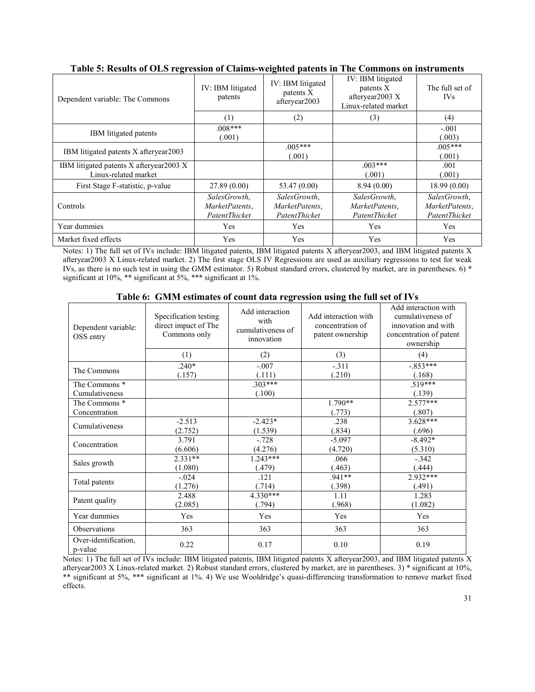| Dependent variable: The Commons                                  | IV: IBM litigated<br>patents                    | IV: IBM litigated<br>patents X<br>afteryear2003 | IV: IBM litigated<br>patents X<br>afteryear2003 X<br>Linux-related market | The full set of<br><b>IVs</b>                   |
|------------------------------------------------------------------|-------------------------------------------------|-------------------------------------------------|---------------------------------------------------------------------------|-------------------------------------------------|
|                                                                  | (1)                                             | (2)                                             | (3)                                                                       | (4)                                             |
| <b>IBM</b> litigated patents                                     | $.008***$<br>(.001)                             |                                                 |                                                                           | $-.001$<br>(.003)                               |
| IBM litigated patents X afteryear 2003                           |                                                 | $005***$<br>(.001)                              |                                                                           | $005***$<br>(.001)                              |
| IBM litigated patents X afteryear 2003 X<br>Linux-related market |                                                 |                                                 | $.003***$<br>(.001)                                                       | .001<br>(.001)                                  |
| First Stage F-statistic, p-value                                 | 27.89(0.00)                                     | 53.47 (0.00)                                    | 8.94(0.00)                                                                | 18.99(0.00)                                     |
| Controls                                                         | SalesGrowth.<br>MarketPatents.<br>PatentThicket | SalesGrowth.<br>MarketPatents,<br>PatentThicket | SalesGrowth,<br>MarketPatents,<br>PatentThicket                           | SalesGrowth,<br>MarketPatents,<br>PatentThicket |
| Year dummies                                                     | Yes                                             | Yes                                             | Yes                                                                       | Yes                                             |
| Market fixed effects                                             | Yes                                             | Yes                                             | Yes                                                                       | Yes                                             |

# **Table 5: Results of OLS regression of Claims-weighted patents in The Commons on instruments**

Notes: 1) The full set of IVs include: IBM litigated patents, IBM litigated patents X afteryear2003, and IBM litigated patents X afteryear2003 X Linux-related market. 2) The first stage OLS IV Regressions are used as auxiliary regressions to test for weak IVs, as there is no such test in using the GMM estimator. 5) Robust standard errors, clustered by market, are in parentheses. 6) \* significant at 10%, \*\* significant at 5%, \*\*\* significant at 1%.

| Dependent variable:<br>OSS entry | Specification testing<br>direct impact of The<br>Commons only | Add interaction<br>with<br>cumulativeness of<br>innovation | Add interaction with<br>concentration of<br>patent ownership | Add interaction with<br>cumulativeness of<br>innovation and with<br>concentration of patent<br>ownership |
|----------------------------------|---------------------------------------------------------------|------------------------------------------------------------|--------------------------------------------------------------|----------------------------------------------------------------------------------------------------------|
|                                  | (1)                                                           | (2)                                                        | (3)                                                          | (4)                                                                                                      |
| The Commons                      | $.240*$<br>(.157)                                             | $-.007$<br>(.111)                                          | $-.311$<br>(.210)                                            | $-.853***$<br>(.168)                                                                                     |
| The Commons *                    |                                                               | $.303***$                                                  |                                                              | $.519***$                                                                                                |
| Cumulativeness                   |                                                               | (.100)                                                     |                                                              | (.139)                                                                                                   |
| The Commons *                    |                                                               |                                                            | 1.790**                                                      | $2.577***$                                                                                               |
| Concentration                    |                                                               |                                                            | (.773)                                                       | (.807)                                                                                                   |
| Cumulativeness                   | $-2.513$                                                      | $-2.423*$                                                  | .238                                                         | $3.628***$                                                                                               |
|                                  | (2.752)                                                       | (1.539)                                                    | (.834)                                                       | (.696)                                                                                                   |
| Concentration                    | 3.791                                                         | $-.728$                                                    | $-5.097$                                                     | $-8.492*$                                                                                                |
|                                  | (6.606)                                                       | (4.276)                                                    | (4.720)                                                      | (5.310)                                                                                                  |
| Sales growth                     | $2.331**$                                                     | $1.243***$                                                 | .066                                                         | $-.342$                                                                                                  |
|                                  | (1.080)                                                       | (.479)                                                     | (.463)                                                       | (.444)                                                                                                   |
|                                  | $-.024$                                                       | .121                                                       | $.941**$                                                     | 2.932***                                                                                                 |
| Total patents                    | (1.276)                                                       | (.714)                                                     | (.398)                                                       | (.491)                                                                                                   |
|                                  | 2.488                                                         | $4.330***$                                                 | 1.11                                                         | 1.283                                                                                                    |
| Patent quality                   | (2.085)                                                       | (.794)                                                     | (.968)                                                       | (1.082)                                                                                                  |
| Year dummies                     | Yes                                                           | Yes                                                        | Yes                                                          | Yes                                                                                                      |
| Observations                     | 363                                                           | 363                                                        | 363                                                          | 363                                                                                                      |
| Over-identification,<br>p-value  | 0.22                                                          | 0.17                                                       | 0.10                                                         | 0.19                                                                                                     |

**Table 6: GMM estimates of count data regression using the full set of IVs**

Notes: 1) The full set of IVs include: IBM litigated patents, IBM litigated patents X afteryear2003, and IBM litigated patents X afteryear2003 X Linux-related market. 2) Robust standard errors, clustered by market, are in parentheses. 3) \* significant at 10%, \*\* significant at 5%, \*\*\* significant at 1%. 4) We use Wooldridge's quasi-differencing transformation to remove market fixed effects.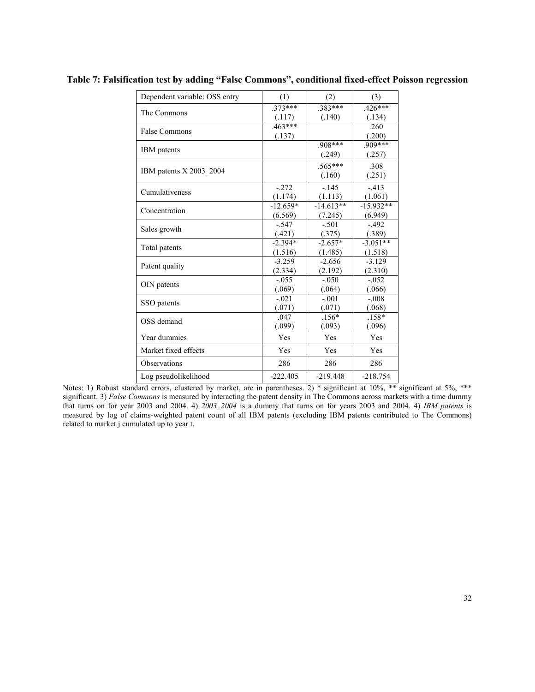| Dependent variable: OSS entry | (1)        | (2)         | (3)         |
|-------------------------------|------------|-------------|-------------|
| The Commons                   | $.373***$  | $.383***$   | $.426***$   |
|                               | (.117)     | (.140)      | (.134)      |
| <b>False Commons</b>          | $.463***$  |             | .260        |
|                               | (.137)     |             | (.200)      |
| <b>IBM</b> patents            |            | $.908***$   | $.909***$   |
|                               |            | (.249)      | (.257)      |
|                               |            | $.565***$   | .308        |
| IBM patents X 2003 2004       |            | (.160)      | (.251)      |
| Cumulativeness                | $-272$     | $-145$      | $-413$      |
|                               | (1.174)    | (1.113)     | (1.061)     |
| Concentration                 | $-12.659*$ | $-14.613**$ | $-15.932**$ |
|                               | (6.569)    | (7.245)     | (6.949)     |
| Sales growth                  | $-.547$    | $-501$      | $-.492$     |
|                               | (.421)     | (.375)      | (.389)      |
| Total patents                 | $-2.394*$  | $-2.657*$   | $-3.051**$  |
|                               | (1.516)    | (1.485)     | (1.518)     |
| Patent quality                | $-3.259$   | $-2.656$    | $-3.129$    |
|                               | (2.334)    | (2.192)     | (2.310)     |
| OIN patents                   | $-.055$    | $-.050$     | $-.052$     |
|                               | (.069)     | (.064)      | (.066)      |
| SSO patents                   | $-.021$    | $-.001$     | $-.008$     |
|                               | (.071)     | (.071)      | (.068)      |
| OSS demand                    | .047       | $.156*$     | $.158*$     |
|                               | (.099)     | (.093)      | (.096)      |
| Year dummies                  | Yes        | Yes         | Yes         |
| Market fixed effects          | Yes        | Yes         | Yes         |
| Observations                  | 286        | 286         | 286         |
| Log pseudolikelihood          | $-222.405$ | $-219.448$  | $-218.754$  |

**Table 7: Falsification test by adding "False Commons", conditional fixed-effect Poisson regression** 

Notes: 1) Robust standard errors, clustered by market, are in parentheses. 2) \* significant at 10%, \*\* significant at 5%, \*\*\* significant. 3) *False Commons* is measured by interacting the patent density in The Commons across markets with a time dummy that turns on for year 2003 and 2004. 4) *2003\_2004* is a dummy that turns on for years 2003 and 2004. 4) *IBM patents* is measured by log of claims-weighted patent count of all IBM patents (excluding IBM patents contributed to The Commons) related to market j cumulated up to year t.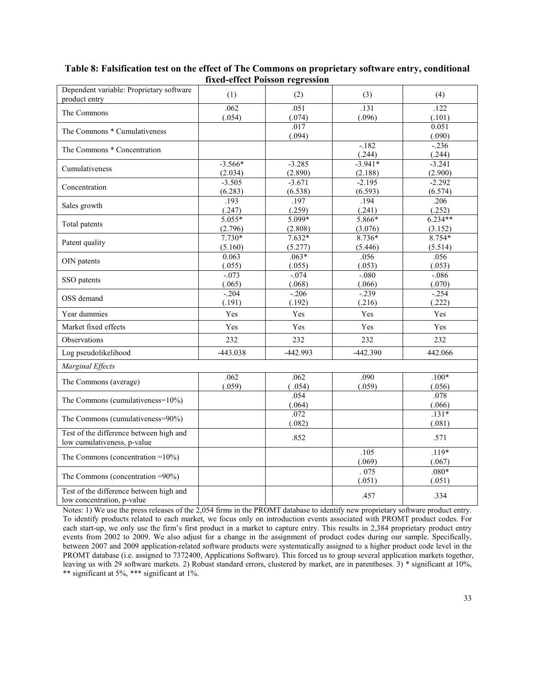| Dependent variable: Proprietary software<br>product entry              | (1)                  | (2)                 | (3)                  | (4)                  |
|------------------------------------------------------------------------|----------------------|---------------------|----------------------|----------------------|
| The Commons                                                            | .062<br>(.054)       | .051<br>(.074)      | .131<br>(.096)       | .122<br>(.101)       |
| The Commons * Cumulativeness                                           |                      | .017<br>(.094)      |                      | 0.051<br>(.090)      |
| The Commons * Concentration                                            |                      |                     | $-.182$<br>(.244)    | $-236$<br>(.244)     |
| Cumulativeness                                                         | $-3.566*$<br>(2.034) | $-3.285$<br>(2.890) | $-3.941*$<br>(2.188) | $-3.241$<br>(2.900)  |
| Concentration                                                          | $-3.505$<br>(6.283)  | $-3.671$<br>(6.538) | $-2.195$<br>(6.593)  | $-2.292$<br>(6.574)  |
| Sales growth                                                           | .193<br>(.247)       | .197<br>(.259)      | .194<br>(.241)       | .206<br>(.252)       |
| Total patents                                                          | $5.055*$<br>(2.796)  | $5.099*$<br>(2.808) | $5.866*$<br>(3.076)  | $6.234**$<br>(3.152) |
| Patent quality                                                         | $7.730*$<br>(5.160)  | $7.632*$<br>(5.277) | $8.736*$<br>(5.446)  | $8.754*$<br>(5.514)  |
| OIN patents                                                            | 0.063<br>(.055)      | $.063*$<br>(.055)   | .056<br>(.053)       | .056<br>(.053)       |
| SSO patents                                                            | $-.073$<br>(.065)    | $-0.074$<br>(.068)  | $-080$<br>(.066)     | $-0.086$<br>(.070)   |
| OSS demand                                                             | $-.204$<br>(.191)    | $-.206$<br>(.192)   | $-239$<br>(.216)     | $-254$<br>(.222)     |
| Year dummies                                                           | Yes                  | Yes                 | Yes                  | Yes                  |
| Market fixed effects                                                   | Yes                  | Yes                 | Yes                  | Yes                  |
| <b>Observations</b>                                                    | 232                  | 232                 | 232                  | 232                  |
| Log pseudolikelihood                                                   | $-443.038$           | -442.993            | $-442.390$           | 442.066              |
| Marginal Effects                                                       |                      |                     |                      |                      |
| The Commons (average)                                                  | .062<br>(.059)       | .062<br>(.054)      | .090<br>(.059)       | $.100*$<br>(.056)    |
| The Commons (cumulativeness=10%)                                       |                      | .054<br>(.064)      |                      | .078<br>(.066)       |
| The Commons (cumulativeness=90%)                                       |                      | .072<br>(.082)      |                      | $.131*$<br>(.081)    |
| Test of the difference between high and<br>low cumulativeness, p-value |                      | .852                |                      | .571                 |
| The Commons (concentration = $10\%$ )                                  |                      |                     | .105<br>(.069)       | $.119*$<br>(.067)    |
| The Commons (concentration =90%)                                       |                      |                     | .075<br>(.051)       | $.080*$<br>(.051)    |
| Test of the difference between high and<br>low concentration, p-value  |                      |                     | .457                 | .334                 |

# **Table 8: Falsification test on the effect of The Commons on proprietary software entry, conditional fixed-effect Poisson regression**

Notes: 1) We use the press releases of the 2,054 firms in the PROMT database to identify new proprietary software product entry. To identify products related to each market, we focus only on introduction events associated with PROMT product codes. For each start-up, we only use the firm's first product in a market to capture entry. This results in 2,384 proprietary product entry events from 2002 to 2009. We also adjust for a change in the assignment of product codes during our sample. Specifically, between 2007 and 2009 application-related software products were systematically assigned to a higher product code level in the PROMT database (i.e. assigned to 7372400, Applications Software). This forced us to group several application markets together, leaving us with 29 software markets. 2) Robust standard errors, clustered by market, are in parentheses. 3) \* significant at 10%, \*\* significant at 5%, \*\*\* significant at 1%.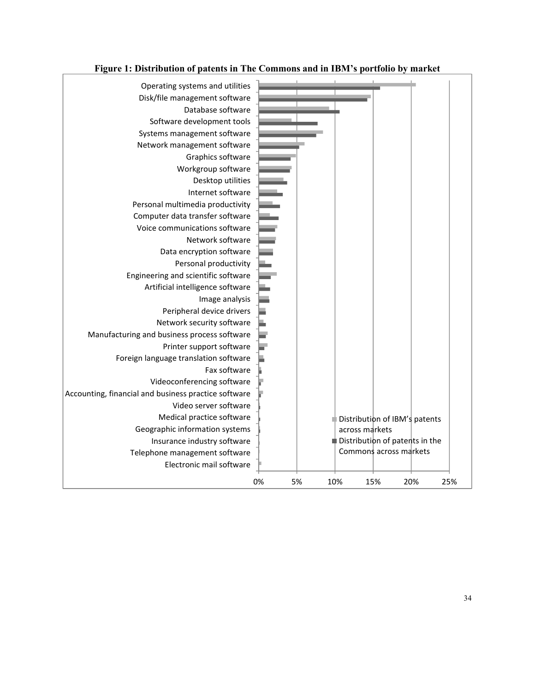

# **Figure 1: Distribution of patents in The Commons and in IBM's portfolio by market**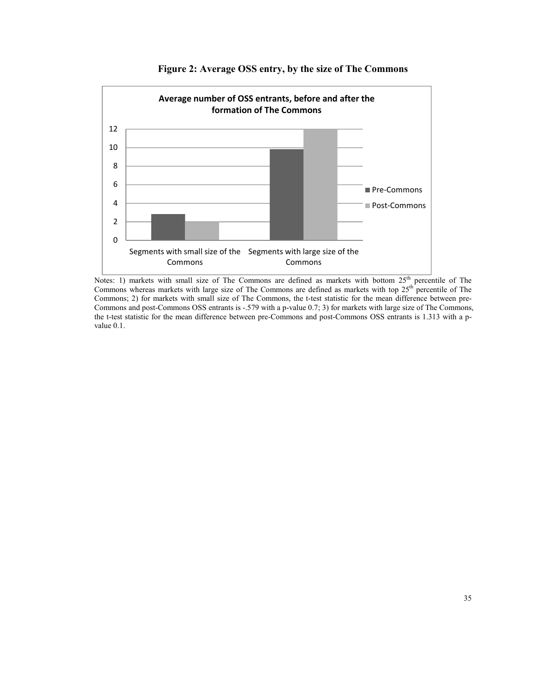

# **Figure 2: Average OSS entry, by the size of The Commons**

Notes: 1) markets with small size of The Commons are defined as markets with bottom  $25<sup>th</sup>$  percentile of The Commons whereas markets with large size of The Commons are defined as markets with top  $25<sup>th</sup>$  percentile of The Commons; 2) for markets with small size of The Commons, the t-test statistic for the mean difference between pre-Commons and post-Commons OSS entrants is -.579 with a p-value 0.7; 3) for markets with large size of The Commons, the t-test statistic for the mean difference between pre-Commons and post-Commons OSS entrants is 1.313 with a pvalue 0.1.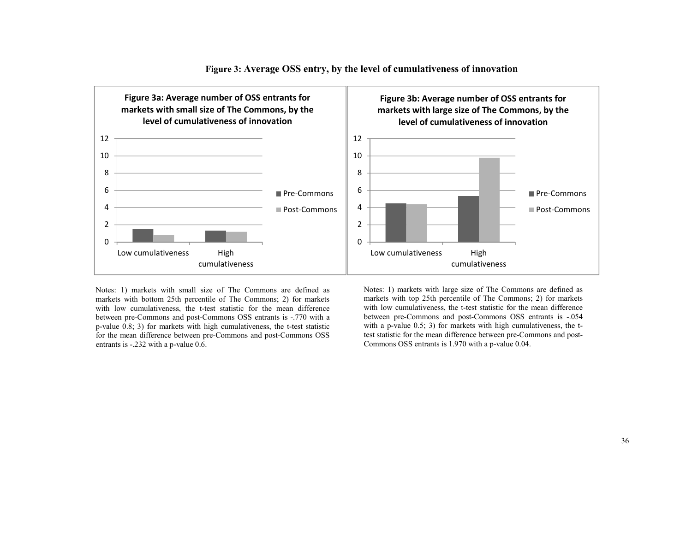

## **Figure 3: Average OSS entry, by the level of cumulativeness of innovation**

Notes: 1) markets with small size of The Commons are defined as markets with bottom 25th percentile of The Commons; 2) for markets with low cumulativeness, the t-test statistic for the mean difference between pre-Commons and post-Commons OSS entrants is -.770 with a p-value 0.8; 3) for markets with high cumulativeness, the t-test statistic for the mean difference between pre-Commons and post-Commons OSS entrants is -.232 with a p-value 0.6.

Notes: 1) markets with large size of The Commons are defined as markets with top 25th percentile of The Commons; 2) for markets with low cumulativeness, the t-test statistic for the mean difference between pre-Commons and post-Commons OSS entrants is -.054 with a p-value 0.5; 3) for markets with high cumulativeness, the ttest statistic for the mean difference between pre-Commons and post-Commons OSS entrants is 1.970 with a p-value 0.04.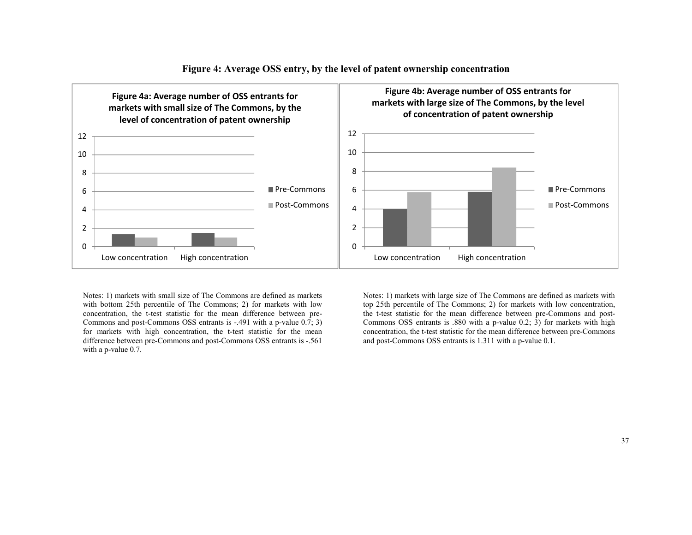

# **Figure 4: Average OSS entry, by the level of patent ownership concentration**

Notes: 1) markets with small size of The Commons are defined as markets with bottom 25th percentile of The Commons; 2) for markets with low concentration, the t-test statistic for the mean difference between pre-Commons and post-Commons OSS entrants is -.491 with a p-value  $0.\overline{7}$ ; 3) for markets with high concentration, the t-test statistic for the mean difference between pre-Commons and post-Commons OSS entrants is -.561 with a p-value 0.7.

Notes: 1) markets with large size of The Commons are defined as markets with top 25th percentile of The Commons; 2) for markets with low concentration, the t-test statistic for the mean difference between pre-Commons and post-Commons OSS entrants is .880 with a p-value  $(0.2; 3)$  for markets with high concentration, the t-test statistic for the mean difference between pre-Commons and post-Commons OSS entrants is 1.311 with a p-value 0.1.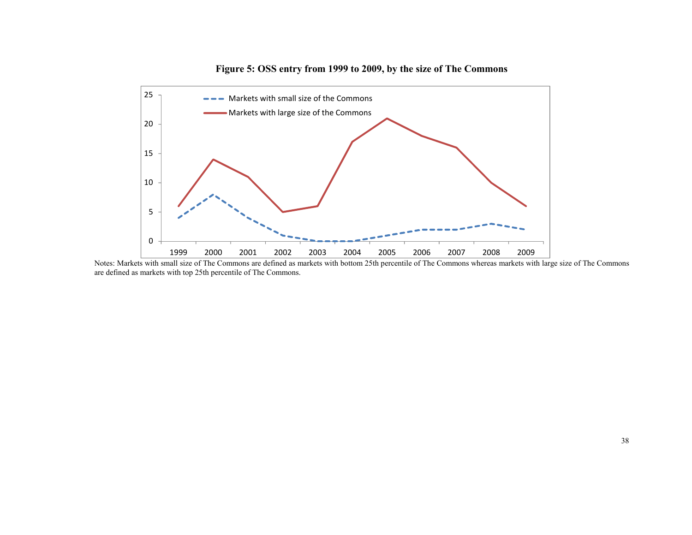

**Figure 5: OSS entry from 1999 to 2009, by the size of The Commons** 

Notes: Markets with small size of The Commons are defined as markets with bottom 25th percentile of The Commons whereas markets with large size of The Commons are defined as markets with top 25th percentile of The Commons.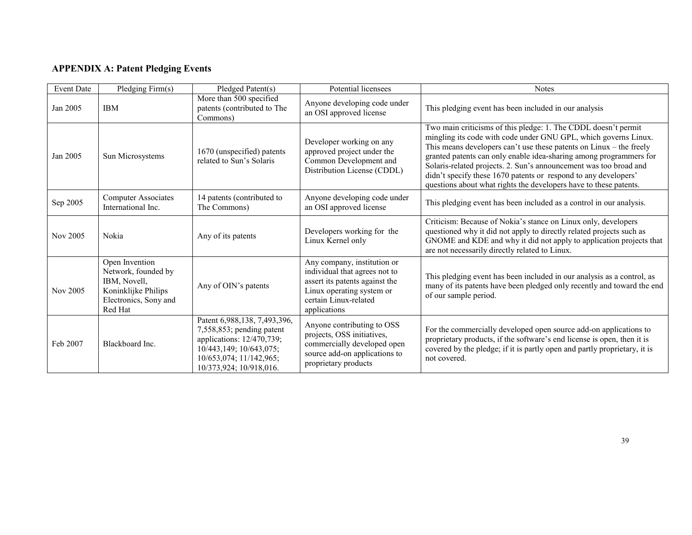# **APPENDIX A: Patent Pledging Events**

| <b>Event Date</b> | Pledging Firm(s)                                                                                                 | Pledged Patent(s)                                                                                                                                                          | Potential licensees                                                                                                                                                  | <b>Notes</b>                                                                                                                                                                                                                                                                                                                                                                                                                                                                                |
|-------------------|------------------------------------------------------------------------------------------------------------------|----------------------------------------------------------------------------------------------------------------------------------------------------------------------------|----------------------------------------------------------------------------------------------------------------------------------------------------------------------|---------------------------------------------------------------------------------------------------------------------------------------------------------------------------------------------------------------------------------------------------------------------------------------------------------------------------------------------------------------------------------------------------------------------------------------------------------------------------------------------|
| Jan 2005          | <b>IBM</b>                                                                                                       | More than 500 specified<br>patents (contributed to The<br>Commons)                                                                                                         | Anyone developing code under<br>an OSI approved license                                                                                                              | This pledging event has been included in our analysis                                                                                                                                                                                                                                                                                                                                                                                                                                       |
| Jan 2005          | Sun Microsystems                                                                                                 | 1670 (unspecified) patents<br>related to Sun's Solaris                                                                                                                     | Developer working on any<br>approved project under the<br>Common Development and<br>Distribution License (CDDL)                                                      | Two main criticisms of this pledge: 1. The CDDL doesn't permit<br>mingling its code with code under GNU GPL, which governs Linux.<br>This means developers can't use these patents on Linux - the freely<br>granted patents can only enable idea-sharing among programmers for<br>Solaris-related projects. 2. Sun's announcement was too broad and<br>didn't specify these 1670 patents or respond to any developers'<br>questions about what rights the developers have to these patents. |
| Sep 2005          | <b>Computer Associates</b><br>International Inc.                                                                 | 14 patents (contributed to<br>The Commons)                                                                                                                                 | Anyone developing code under<br>an OSI approved license                                                                                                              | This pledging event has been included as a control in our analysis.                                                                                                                                                                                                                                                                                                                                                                                                                         |
| Nov 2005          | Nokia                                                                                                            | Any of its patents                                                                                                                                                         | Developers working for the<br>Linux Kernel only                                                                                                                      | Criticism: Because of Nokia's stance on Linux only, developers<br>questioned why it did not apply to directly related projects such as<br>GNOME and KDE and why it did not apply to application projects that<br>are not necessarily directly related to Linux.                                                                                                                                                                                                                             |
| Nov 2005          | Open Invention<br>Network, founded by<br>IBM, Novell,<br>Koninklijke Philips<br>Electronics, Sony and<br>Red Hat | Any of OIN's patents                                                                                                                                                       | Any company, institution or<br>individual that agrees not to<br>assert its patents against the<br>Linux operating system or<br>certain Linux-related<br>applications | This pledging event has been included in our analysis as a control, as<br>many of its patents have been pledged only recently and toward the end<br>of our sample period.                                                                                                                                                                                                                                                                                                                   |
| Feb 2007          | Blackboard Inc.                                                                                                  | Patent 6,988,138, 7,493,396,<br>$7,558,853$ ; pending patent<br>applications: 12/470,739;<br>10/443,149; 10/643,075;<br>10/653,074; 11/142,965;<br>10/373,924; 10/918,016. | Anyone contributing to OSS<br>projects, OSS initiatives,<br>commercially developed open<br>source add-on applications to<br>proprietary products                     | For the commercially developed open source add-on applications to<br>proprietary products, if the software's end license is open, then it is<br>covered by the pledge; if it is partly open and partly proprietary, it is<br>not covered.                                                                                                                                                                                                                                                   |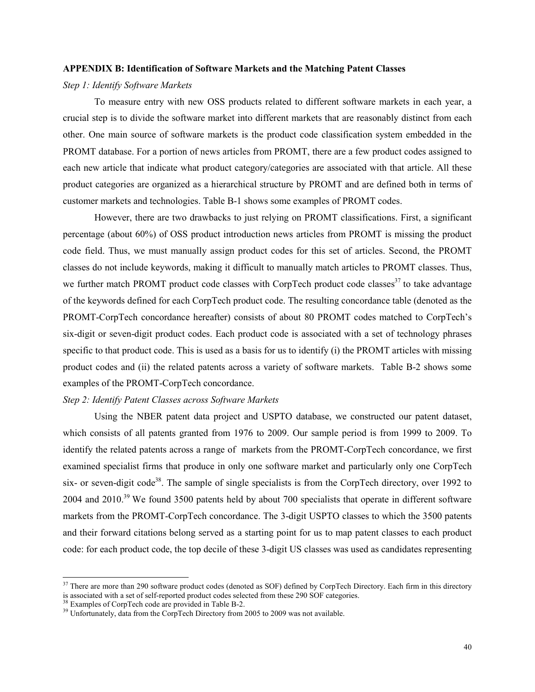#### **APPENDIX B: Identification of Software Markets and the Matching Patent Classes**

# *Step 1: Identify Software Markets*

To measure entry with new OSS products related to different software markets in each year, a crucial step is to divide the software market into different markets that are reasonably distinct from each other. One main source of software markets is the product code classification system embedded in the PROMT database. For a portion of news articles from PROMT, there are a few product codes assigned to each new article that indicate what product category/categories are associated with that article. All these product categories are organized as a hierarchical structure by PROMT and are defined both in terms of customer markets and technologies. Table B-1 shows some examples of PROMT codes.

However, there are two drawbacks to just relying on PROMT classifications. First, a significant percentage (about 60%) of OSS product introduction news articles from PROMT is missing the product code field. Thus, we must manually assign product codes for this set of articles. Second, the PROMT classes do not include keywords, making it difficult to manually match articles to PROMT classes. Thus, we further match PROMT product code classes with CorpTech product code classes $37$  to take advantage of the keywords defined for each CorpTech product code. The resulting concordance table (denoted as the PROMT-CorpTech concordance hereafter) consists of about 80 PROMT codes matched to CorpTech's six-digit or seven-digit product codes. Each product code is associated with a set of technology phrases specific to that product code. This is used as a basis for us to identify (i) the PROMT articles with missing product codes and (ii) the related patents across a variety of software markets. Table B-2 shows some examples of the PROMT-CorpTech concordance.

## *Step 2: Identify Patent Classes across Software Markets*

Using the NBER patent data project and USPTO database, we constructed our patent dataset, which consists of all patents granted from 1976 to 2009. Our sample period is from 1999 to 2009. To identify the related patents across a range of markets from the PROMT-CorpTech concordance, we first examined specialist firms that produce in only one software market and particularly only one CorpTech six- or seven-digit code<sup>38</sup>. The sample of single specialists is from the CorpTech directory, over 1992 to 2004 and 2010.<sup>39</sup> We found 3500 patents held by about 700 specialists that operate in different software markets from the PROMT-CorpTech concordance. The 3-digit USPTO classes to which the 3500 patents and their forward citations belong served as a starting point for us to map patent classes to each product code: for each product code, the top decile of these 3-digit US classes was used as candidates representing

<u>.</u>

<sup>&</sup>lt;sup>37</sup> There are more than 290 software product codes (denoted as SOF) defined by CorpTech Directory. Each firm in this directory is associated with a set of self-reported product codes selected from these 290 SOF categories.

<sup>&</sup>lt;sup>38</sup> Examples of CorpTech code are provided in Table B-2.

<sup>&</sup>lt;sup>39</sup> Unfortunately, data from the CorpTech Directory from 2005 to 2009 was not available.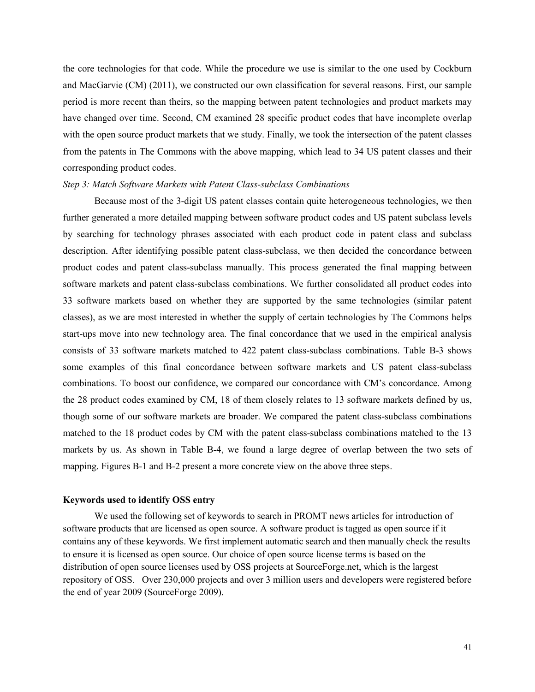the core technologies for that code. While the procedure we use is similar to the one used by Cockburn and MacGarvie (CM) (2011), we constructed our own classification for several reasons. First, our sample period is more recent than theirs, so the mapping between patent technologies and product markets may have changed over time. Second, CM examined 28 specific product codes that have incomplete overlap with the open source product markets that we study. Finally, we took the intersection of the patent classes from the patents in The Commons with the above mapping, which lead to 34 US patent classes and their corresponding product codes.

# *Step 3: Match Software Markets with Patent Class-subclass Combinations*

Because most of the 3-digit US patent classes contain quite heterogeneous technologies, we then further generated a more detailed mapping between software product codes and US patent subclass levels by searching for technology phrases associated with each product code in patent class and subclass description. After identifying possible patent class-subclass, we then decided the concordance between product codes and patent class-subclass manually. This process generated the final mapping between software markets and patent class-subclass combinations. We further consolidated all product codes into 33 software markets based on whether they are supported by the same technologies (similar patent classes), as we are most interested in whether the supply of certain technologies by The Commons helps start-ups move into new technology area. The final concordance that we used in the empirical analysis consists of 33 software markets matched to 422 patent class-subclass combinations. Table B-3 shows some examples of this final concordance between software markets and US patent class-subclass combinations. To boost our confidence, we compared our concordance with CM's concordance. Among the 28 product codes examined by CM, 18 of them closely relates to 13 software markets defined by us, though some of our software markets are broader. We compared the patent class-subclass combinations matched to the 18 product codes by CM with the patent class-subclass combinations matched to the 13 markets by us. As shown in Table B-4, we found a large degree of overlap between the two sets of mapping. Figures B-1 and B-2 present a more concrete view on the above three steps.

# **Keywords used to identify OSS entry**

We used the following set of keywords to search in PROMT news articles for introduction of software products that are licensed as open source. A software product is tagged as open source if it contains any of these keywords. We first implement automatic search and then manually check the results to ensure it is licensed as open source. Our choice of open source license terms is based on the distribution of open source licenses used by OSS projects at SourceForge.net, which is the largest repository of OSS. Over 230,000 projects and over 3 million users and developers were registered before the end of year 2009 (SourceForge 2009).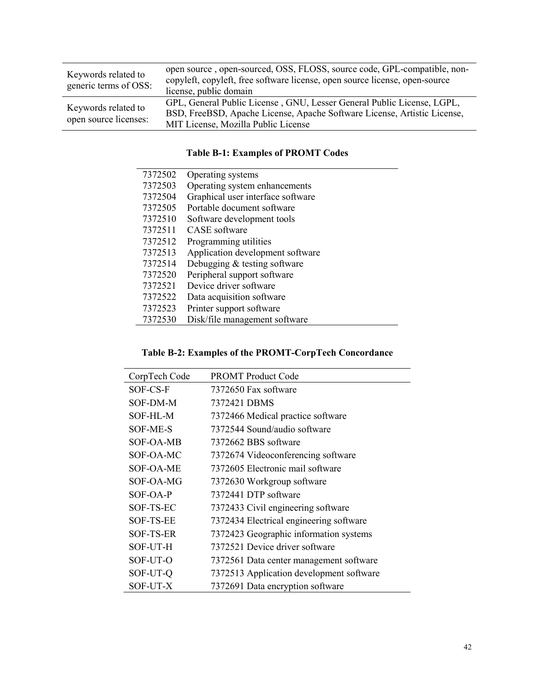| Keywords related to<br>generic terms of OSS: | open source, open-sourced, OSS, FLOSS, source code, GPL-compatible, non-<br>copyleft, copyleft, free software license, open source license, open-source<br>license, public domain         |
|----------------------------------------------|-------------------------------------------------------------------------------------------------------------------------------------------------------------------------------------------|
| Keywords related to<br>open source licenses: | GPL, General Public License, GNU, Lesser General Public License, LGPL,<br>BSD, FreeBSD, Apache License, Apache Software License, Artistic License,<br>MIT License, Mozilla Public License |

# **Table B-1: Examples of PROMT Codes**

| 7372502 | Operating systems                 |
|---------|-----------------------------------|
| 7372503 | Operating system enhancements     |
| 7372504 | Graphical user interface software |
| 7372505 | Portable document software        |
| 7372510 | Software development tools        |
| 7372511 | <b>CASE</b> software              |
| 7372512 | Programming utilities             |
| 7372513 | Application development software  |
| 7372514 | Debugging $&$ testing software    |
| 7372520 | Peripheral support software       |
| 7372521 | Device driver software            |
| 7372522 | Data acquisition software         |
| 7372523 | Printer support software          |
| 7372530 | Disk/file management software     |

# **Table B-2: Examples of the PROMT-CorpTech Concordance**

| CorpTech Code    | <b>PROMT</b> Product Code                |
|------------------|------------------------------------------|
| SOF-CS-F         | 7372650 Fax software                     |
| SOF-DM-M         | 7372421 DBMS                             |
| SOF-HL-M         | 7372466 Medical practice software        |
| SOF-ME-S         | 7372544 Sound/audio software             |
| SOF-OA-MB        | 7372662 BBS software                     |
| SOF-OA-MC        | 7372674 Videoconferencing software       |
| SOF-OA-ME        | 7372605 Electronic mail software         |
| SOF-OA-MG        | 7372630 Workgroup software               |
| SOF-OA-P         | 7372441 DTP software                     |
| SOF-TS-EC        | 7372433 Civil engineering software       |
| <b>SOF-TS-EE</b> | 7372434 Electrical engineering software  |
| SOF-TS-ER        | 7372423 Geographic information systems   |
| SOF-UT-H         | 7372521 Device driver software           |
| SOF-UT-O         | 7372561 Data center management software  |
| SOF-UT-Q         | 7372513 Application development software |
| SOF-UT-X         | 7372691 Data encryption software         |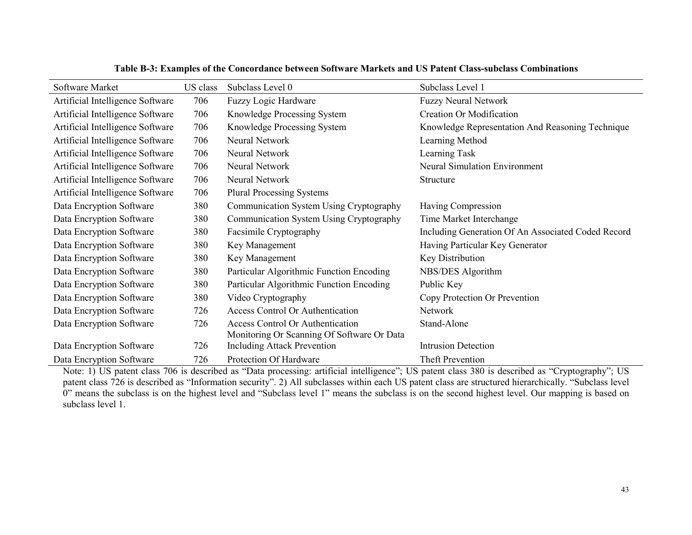| Software Market                  | US class | Subclass Level 0                           | Subclass Level 1                                   |
|----------------------------------|----------|--------------------------------------------|----------------------------------------------------|
| Artificial Intelligence Software | 706      | Fuzzy Logic Hardware                       | <b>Fuzzy Neural Network</b>                        |
| Artificial Intelligence Software | 706      | Knowledge Processing System                | <b>Creation Or Modification</b>                    |
| Artificial Intelligence Software | 706      | Knowledge Processing System                | Knowledge Representation And Reasoning Technique   |
| Artificial Intelligence Software | 706      | Neural Network                             | Learning Method                                    |
| Artificial Intelligence Software | 706      | Neural Network                             | Learning Task                                      |
| Artificial Intelligence Software | 706      | Neural Network                             | <b>Neural Simulation Environment</b>               |
| Artificial Intelligence Software | 706      | Neural Network                             | Structure                                          |
| Artificial Intelligence Software | 706      | <b>Plural Processing Systems</b>           |                                                    |
| Data Encryption Software         | 380      | Communication System Using Cryptography    | Having Compression                                 |
| Data Encryption Software         | 380      | Communication System Using Cryptography    | Time Market Interchange                            |
| Data Encryption Software         | 380      | Facsimile Cryptography                     | Including Generation Of An Associated Coded Record |
| Data Encryption Software         | 380      | Key Management                             | Having Particular Key Generator                    |
| Data Encryption Software         | 380      | Key Management                             | Key Distribution                                   |
| Data Encryption Software         | 380      | Particular Algorithmic Function Encoding   | NBS/DES Algorithm                                  |
| Data Encryption Software         | 380      | Particular Algorithmic Function Encoding   | Public Key                                         |
| Data Encryption Software         | 380      | Video Cryptography                         | Copy Protection Or Prevention                      |
| Data Encryption Software         | 726      | <b>Access Control Or Authentication</b>    | Network                                            |
| Data Encryption Software         | 726      | <b>Access Control Or Authentication</b>    | Stand-Alone                                        |
|                                  |          | Monitoring Or Scanning Of Software Or Data |                                                    |
| Data Encryption Software         | 726      | <b>Including Attack Prevention</b>         | <b>Intrusion Detection</b>                         |
| Data Encryption Software         | 726      | Protection Of Hardware                     | Theft Prevention                                   |

**Table B-3: Examples of the Concordance between Software Markets and US Patent Class-subclass Combinations** 

 Note: 1) US patent class 706 is described as "Data processing: artificial intelligence"; US patent class 380 is described as "Cryptography"; US patent class 726 is described as "Information security". 2) All subclasses within each US patent class are structured hierarchically. "Subclass level 0" means the subclass is on the highest level and "Subclass level 1" means the subclass is on the second highest level. Our mapping is based on subclass level 1.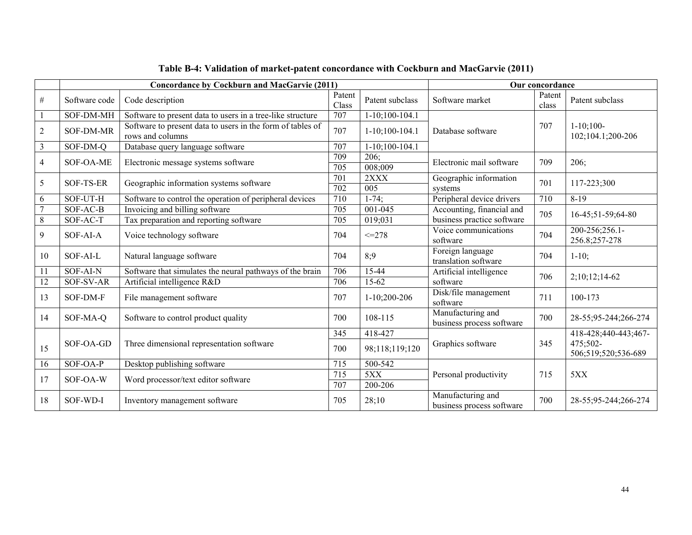|                  |                  | <b>Concordance by Cockburn and MacGarvie (2011)</b>                            |                         |                       | Our concordance                                |                 |                                  |  |
|------------------|------------------|--------------------------------------------------------------------------------|-------------------------|-----------------------|------------------------------------------------|-----------------|----------------------------------|--|
| $\#$             | Software code    | Code description                                                               | Patent<br>Class         | Patent subclass       | Software market                                | Patent<br>class | Patent subclass                  |  |
|                  | SOF-DM-MH        | Software to present data to users in a tree-like structure                     | 707                     | $1-10;100-104.1$      |                                                |                 |                                  |  |
| $\overline{2}$   | <b>SOF-DM-MR</b> | Software to present data to users in the form of tables of<br>rows and columns | 707                     | $1-10;100-104.1$      | Database software                              | 707             | $1-10:100-$<br>102;104.1;200-206 |  |
| $\mathfrak{Z}$   | $SOF-DM-Q$       | Database query language software                                               | $\overline{707}$        | $1-10;100-104.1$      |                                                |                 |                                  |  |
| $\overline{4}$   | SOF-OA-ME        | Electronic message systems software                                            | 709<br>$\overline{705}$ | 206:<br>008;009       | Electronic mail software                       | 709             | 206:                             |  |
| $\sqrt{5}$       | SOF-TS-ER        |                                                                                | 701                     | 2XXX                  | Geographic information                         | 701             | 117-223;300                      |  |
|                  |                  | Geographic information systems software                                        |                         | 005                   | systems                                        |                 |                                  |  |
| 6                | SOF-UT-H         | Software to control the operation of peripheral devices                        | 710                     | $1-74$ ;              | Peripheral device drivers                      | 710             | $8-19$                           |  |
| $\overline{7}$   | SOF-AC-B         | Invoicing and billing software                                                 | 705                     | 001-045               | Accounting, financial and                      | 705             | 16-45;51-59;64-80                |  |
| $\overline{8}$   | SOF-AC-T         | Tax preparation and reporting software                                         | 705                     | 019;031               | business practice software                     |                 |                                  |  |
| $\boldsymbol{9}$ | SOF-AI-A         | Voice technology software                                                      | 704                     | $\leq$ -278           | Voice communications<br>software               | 704             | 200-256;256.1-<br>256.8;257-278  |  |
| 10               | SOF-ALL          | Natural language software                                                      | 704                     | 8:9                   | Foreign language<br>translation software       | 704             | $1-10$ ;                         |  |
| 11               | SOF-AI-N         | Software that simulates the neural pathways of the brain                       | 706                     | 15-44                 | Artificial intelligence                        | 706             | $2;10;12;14-62$                  |  |
| $\overline{12}$  | SOF-SV-AR        | Artificial intelligence R&D                                                    | 706                     | 15-62                 | software                                       |                 |                                  |  |
| 13               | SOF-DM-F         | File management software                                                       | 707                     | $1-10;200-206$        | Disk/file management<br>software               | 711             | 100-173                          |  |
| 14               | SOF-MA-Q         | Software to control product quality                                            | 700                     | 108-115               | Manufacturing and<br>business process software | 700             | 28-55;95-244;266-274             |  |
|                  |                  |                                                                                | 345                     | 418-427               |                                                |                 | 418-428;440-443;467-             |  |
| 15               | SOF-OA-GD        | Three dimensional representation software                                      | 700                     | 98;118;119;120        | Graphics software                              | 345             | 475:502-<br>506;519;520;536-689  |  |
| 16               | $SOF-OA-P$       | Desktop publishing software                                                    | 715                     | 500-542               |                                                |                 |                                  |  |
| 17               | SOF-OA-W         |                                                                                |                         | 5XX                   | Personal productivity                          | 715             | 5XX                              |  |
|                  |                  | Word processor/text editor software                                            | 707                     | $\overline{200}$ -206 |                                                |                 |                                  |  |
| 18               | SOF-WD-I         | Inventory management software                                                  | 705                     | 28;10                 | Manufacturing and<br>business process software | 700             | 28-55;95-244;266-274             |  |

# **Table B-4: Validation of market-patent concordance with Cockburn and MacGarvie (2011)**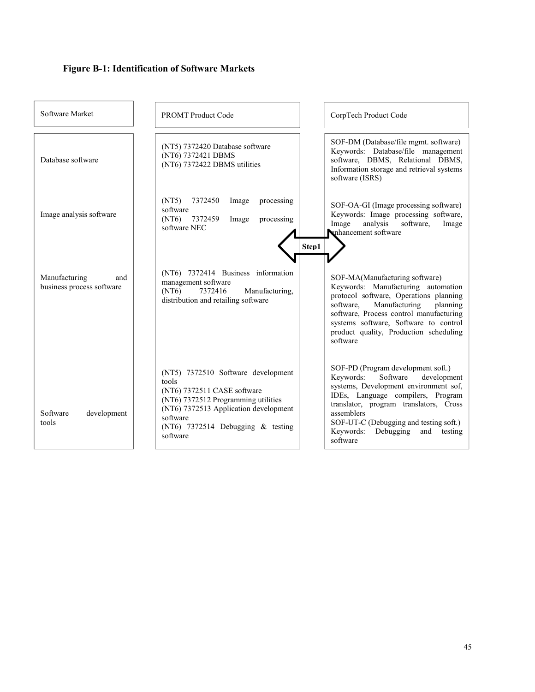# **Figure B-1: Identification of Software Markets**

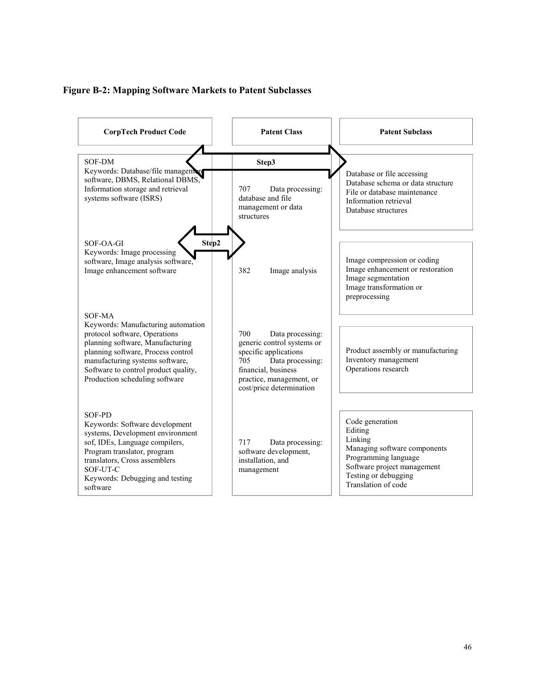# **Figure B-2: Mapping Software Markets to Patent Subclasses**

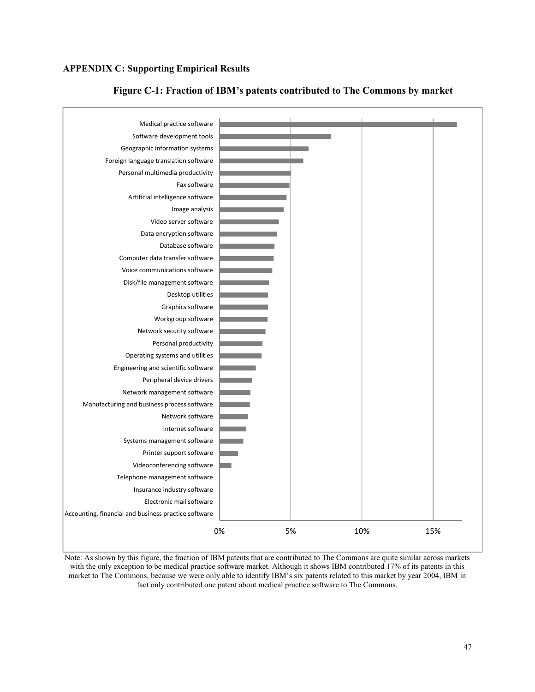# **APPENDIX C: Supporting Empirical Results**



**Figure C-1: Fraction of IBM's patents contributed to The Commons by market** 

Note: As shown by this figure, the fraction of IBM patents that are contributed to The Commons are quite similar across markets with the only exception to be medical practice software market. Although it shows IBM contributed 17% of its patents in this market to The Commons, because we were only able to identify IBM's six patents related to this market by year 2004, IBM in fact only contributed one patent about medical practice software to The Commons.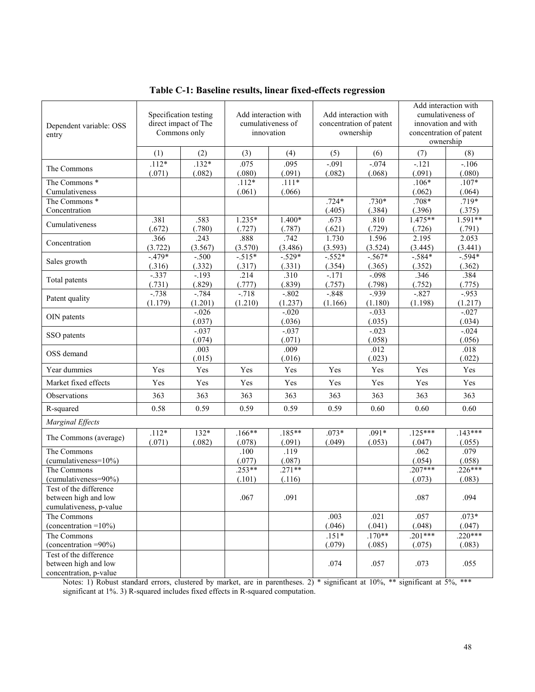| Dependent variable: OSS<br>entry                                          |                   | Specification testing<br>direct impact of The<br>Commons only |                    | Add interaction with<br>cumulativeness of<br>innovation | Add interaction with<br>concentration of patent<br>ownership |                     | Add interaction with<br>cumulativeness of<br>innovation and with<br>concentration of patent<br>ownership |                     |  |
|---------------------------------------------------------------------------|-------------------|---------------------------------------------------------------|--------------------|---------------------------------------------------------|--------------------------------------------------------------|---------------------|----------------------------------------------------------------------------------------------------------|---------------------|--|
|                                                                           | (1)               | (2)                                                           | (3)                | (4)                                                     | (5)                                                          | (6)                 | (7)                                                                                                      | (8)                 |  |
| The Commons                                                               | $.112*$<br>(.071) | $.132*$<br>(.082)                                             | .075<br>(.080)     | .095<br>(.091)                                          | $-.091$<br>(.082)                                            | $-0.074$<br>(.068)  | $-121$<br>(.091)                                                                                         | $-106$<br>(.080)    |  |
| The Commons *                                                             |                   |                                                               | $.112*$            | $.111*$                                                 |                                                              |                     | $.106*$                                                                                                  | $.107*$             |  |
| Cumulativeness<br>The Commons <sup>*</sup>                                |                   |                                                               | (.061)             | (.066)                                                  | $.724*$                                                      | $.730*$             | (.062)<br>$.708*$                                                                                        | (.064)<br>$.719*$   |  |
| Concentration                                                             |                   |                                                               |                    |                                                         | (.405)                                                       | (.384)              | (.396)                                                                                                   | (.375)              |  |
| Cumulativeness                                                            | .381<br>(.672)    | .583<br>(.780)                                                | $1.235*$<br>(.727) | 1.400*<br>(.787)                                        | .673<br>(.621)                                               | .810<br>(.729)      | $1.475**$<br>(.726)                                                                                      | $1.591**$<br>(.791) |  |
| Concentration                                                             | .366              | .243                                                          | .888               | .742                                                    | 1.730                                                        | 1.596               | 2.195                                                                                                    | 2.053               |  |
|                                                                           | (3.722)           | (3.567)                                                       | (3.570)            | (3.486)                                                 | (3.593)                                                      | (3.524)             | (3.445)                                                                                                  | (3.441)             |  |
| Sales growth                                                              | $-479*$<br>(.316) | $-.500$<br>(.332)                                             | $-515*$<br>(.317)  | $-529*$<br>(.331)                                       | $-552*$<br>(.354)                                            | $-.567*$<br>(.365)  | $-.584*$<br>(.352)                                                                                       | $-594*$<br>(.362)   |  |
|                                                                           | $-.337$           | $-.193$                                                       | .214               | .310                                                    | $-.171$                                                      | $-0.098$            | .346                                                                                                     | .384                |  |
| Total patents                                                             | (.731)            | (.829)                                                        | (.777)             | (.839)                                                  | (.757)                                                       | (.798)              | (.752)                                                                                                   | (.775)              |  |
| Patent quality                                                            | $-738$<br>(1.179) | $-.784$<br>(1.201)                                            | $-.718$<br>(1.210) | $-.802$<br>(1.237)                                      | $-.848$<br>(1.166)                                           | $-0.939$<br>(1.180) | $-0.827$<br>(1.198)                                                                                      | $-0.953$<br>(1.217) |  |
| OIN patents                                                               |                   | $-0.026$<br>(.037)                                            |                    | $-.020$<br>(.036)                                       |                                                              | $-0.033$<br>(.035)  |                                                                                                          | $-.027$<br>(.034)   |  |
| SSO patents                                                               |                   | $-0.037$<br>(.074)                                            |                    | $-0.037$<br>(.071)                                      |                                                              | $-0.023$<br>(.058)  |                                                                                                          | $-0.024$<br>(.056)  |  |
| OSS demand                                                                |                   | .003<br>(.015)                                                |                    | .009<br>(.016)                                          |                                                              | .012<br>(.023)      |                                                                                                          | .018<br>(.022)      |  |
| Year dummies                                                              | Yes               | Yes                                                           | Yes                | Yes                                                     | Yes                                                          | Yes                 | Yes                                                                                                      | Yes                 |  |
| Market fixed effects                                                      | Yes               | Yes                                                           | Yes                | Yes                                                     | Yes                                                          | Yes                 | Yes                                                                                                      | Yes                 |  |
| Observations                                                              | 363               | 363                                                           | 363                | 363                                                     | 363                                                          | 363                 | 363                                                                                                      | 363                 |  |
| R-squared                                                                 | 0.58              | 0.59                                                          | 0.59               | 0.59                                                    | 0.59                                                         | 0.60                | 0.60                                                                                                     | 0.60                |  |
| Marginal Effects                                                          |                   |                                                               |                    |                                                         |                                                              |                     |                                                                                                          |                     |  |
| The Commons (average)                                                     | $.112*$           | $132*$                                                        | $.166**$           | $.185**$                                                | $.073*$                                                      | $.091*$             | $.125***$                                                                                                | $.143***$           |  |
| The Commons                                                               | (.071)            | (.082)                                                        | (.078)<br>.100     | (.091)<br>.119                                          | (.049)                                                       | (.053)              | (.047)<br>.062                                                                                           | (.055)<br>.079      |  |
| $(cumulativeness = 10\%)$                                                 |                   |                                                               | (.077)             | (.087)                                                  |                                                              |                     | (.054)                                                                                                   | (.058)              |  |
| The Commons                                                               |                   |                                                               | $.253**$           | $.271**$                                                |                                                              |                     | $.207***$                                                                                                | $.226***$           |  |
| (cumulativeness=90%)                                                      |                   |                                                               | (.101)             | (.116)                                                  |                                                              |                     | (.073)                                                                                                   | (.083)              |  |
| Test of the difference<br>between high and low<br>cumulativeness, p-value |                   |                                                               | .067               | .091                                                    |                                                              |                     | .087                                                                                                     | .094                |  |
| The Commons                                                               |                   |                                                               |                    |                                                         | .003                                                         | .021                | .057                                                                                                     | $.073*$             |  |
| (concentration = $10\%$ )                                                 |                   |                                                               |                    |                                                         | (.046)                                                       | (.041)              | (.048)                                                                                                   | (.047)              |  |
| The Commons                                                               |                   |                                                               |                    |                                                         | $.151*$                                                      | $.170**$            | $.201***$                                                                                                | $.220***$           |  |
| (concentration $=90\%$ )<br>Test of the difference                        |                   |                                                               |                    |                                                         | (.079)                                                       | (.085)              | (.075)                                                                                                   | (.083)              |  |
| between high and low<br>concentration, p-value                            |                   |                                                               |                    |                                                         | .074                                                         | .057                | .073                                                                                                     | .055                |  |

**Table C-1: Baseline results, linear fixed-effects regression**

Notes: 1) Robust standard errors, clustered by market, are in parentheses. 2) \* significant at 10%, \*\* significant at 5%, \*\*\* significant at 1%. 3) R-squared includes fixed effects in R-squared computation.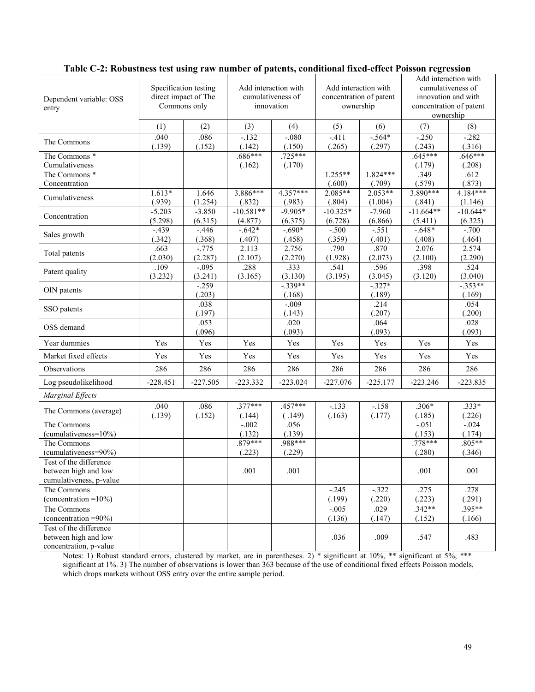| Dependent variable: OSS<br>entry                                                                     | Specification testing<br>direct impact of The<br>Commons only |                     |                        | Add interaction with<br>cumulativeness of<br>innovation | Add interaction with<br>concentration of patent<br>ownership |                      | Add interaction with<br>cumulativeness of<br>innovation and with<br>concentration of patent<br>ownership |                       |  |
|------------------------------------------------------------------------------------------------------|---------------------------------------------------------------|---------------------|------------------------|---------------------------------------------------------|--------------------------------------------------------------|----------------------|----------------------------------------------------------------------------------------------------------|-----------------------|--|
|                                                                                                      | (1)                                                           | (2)                 | (3)                    | (4)                                                     | (5)                                                          | (6)                  | (7)                                                                                                      | (8)                   |  |
| The Commons                                                                                          | .040<br>(.139)                                                | .086<br>(.152)      | $-132$<br>(.142)       | $-0.080$<br>(.150)                                      | $-411$<br>(.265)                                             | $-564*$<br>(.297)    | $-.250$<br>(.243)                                                                                        | $-.282$<br>(.316)     |  |
| The Commons <sup>*</sup><br>Cumulativeness                                                           |                                                               |                     | $.686***$<br>(.162)    | $.725***$<br>(.170)                                     |                                                              |                      | $.645***$<br>(.179)                                                                                      | $.646***$<br>(.208)   |  |
| The Commons *<br>Concentration                                                                       |                                                               |                     |                        |                                                         | $1.255**$<br>(.600)                                          | 1.824***<br>(.709)   | .349<br>(.579)                                                                                           | .612<br>(.873)        |  |
| Cumulativeness                                                                                       | $1.613*$<br>(.939)                                            | 1.646<br>(1.254)    | 3.886***<br>(.832)     | $4.357***$<br>(.983)                                    | $2.085**$<br>(.804)                                          | $2.053**$<br>(1.004) | $3.890***$<br>(.841)                                                                                     | 4.184***<br>(1.146)   |  |
| Concentration                                                                                        | $-5.203$<br>(5.298)                                           | $-3.850$<br>(6.315) | $-10.581**$<br>(4.877) | $-9.905*$<br>(6.375)                                    | $-10.325*$<br>(6.728)                                        | $-7.960$<br>(6.866)  | $-11.664**$<br>(5.411)                                                                                   | $-10.644*$<br>(6.325) |  |
| Sales growth                                                                                         | $-439$<br>(.342)                                              | $-.446$<br>(.368)   | $-642*$<br>(.407)      | $-.690*$<br>(.458)                                      | $-.500$<br>(.359)                                            | $-.551$<br>(.401)    | $-.648*$<br>(.408)                                                                                       | $-.700$<br>(.464)     |  |
| Total patents                                                                                        | .663<br>(2.030)                                               | $-0.775$<br>(2.287) | 2.113<br>(2.107)       | 2.756<br>(2.270)                                        | .790<br>(1.928)                                              | .870<br>(2.073)      | 2.076<br>(2.100)                                                                                         | 2.574<br>(2.290)      |  |
| Patent quality                                                                                       | .109<br>(3.232)                                               | $-.095$<br>(3.241)  | .288<br>(3.165)        | .333<br>(3.130)                                         | .541<br>(3.195)                                              | .596<br>(3.045)      | .398<br>(3.120)                                                                                          | .524<br>(3.040)       |  |
| OIN patents                                                                                          |                                                               | $-0.259$<br>(.203)  |                        | $-339**$<br>(.168)                                      |                                                              | $-327*$<br>(.189)    |                                                                                                          | $-353**$<br>(.169)    |  |
| SSO patents                                                                                          |                                                               | .038<br>(.197)      |                        | $-.009$<br>(.143)                                       |                                                              | .214<br>(.207)       |                                                                                                          | .054<br>(.200)        |  |
| OSS demand                                                                                           |                                                               | .053<br>(.096)      |                        | .020<br>(.093)                                          |                                                              | .064<br>(.093)       |                                                                                                          | .028<br>(.093)        |  |
| Year dummies                                                                                         | Yes                                                           | Yes                 | Yes                    | Yes                                                     | Yes                                                          | Yes                  | Yes                                                                                                      | Yes                   |  |
| Market fixed effects                                                                                 | Yes                                                           | Yes                 | Yes                    | Yes                                                     | Yes                                                          | Yes                  | Yes                                                                                                      | Yes                   |  |
| Observations                                                                                         | 286                                                           | 286                 | 286                    | 286                                                     | 286                                                          | 286                  | 286                                                                                                      | 286                   |  |
| Log pseudolikelihood                                                                                 | $-228.451$                                                    | $-227.505$          | $-223.332$             | $-223.024$                                              | $-227.076$                                                   | $-225.177$           | $-223.246$                                                                                               | $-223.835$            |  |
| Marginal Effects                                                                                     |                                                               |                     |                        |                                                         |                                                              |                      |                                                                                                          |                       |  |
| The Commons (average)                                                                                | .040<br>(.139)                                                | .086<br>(.152)      | $.377***$<br>(.144)    | $.457***$<br>(.149)                                     | $-133$<br>(.163)                                             | $-158$<br>(.177)     | $.306*$<br>(.185)                                                                                        | $.333*$<br>(.226)     |  |
| The Commons<br>(cumulativeness=10%)                                                                  |                                                               |                     | $-0.002$<br>(.132)     | .056<br>(.139)                                          |                                                              |                      | $-.051$<br>(.153)                                                                                        | $-.024$<br>(.174)     |  |
| The Commons<br>(cumulativeness=90%)                                                                  |                                                               |                     | $.879***$<br>(.223)    | .988***<br>(.229)                                       |                                                              |                      | $.778***$<br>(.280)                                                                                      | $.805**$<br>(.346)    |  |
| Test of the difference<br>between high and low<br>cumulativeness, p-value                            |                                                               |                     | .001                   | .001                                                    |                                                              |                      | .001                                                                                                     | .001                  |  |
| The Commons<br>(concentration $=10\%$ )                                                              |                                                               |                     |                        |                                                         | $-.245$<br>(.199)                                            | $-.322$<br>(.220)    | .275<br>(.223)                                                                                           | .278<br>(.291)        |  |
| The Commons                                                                                          |                                                               |                     |                        |                                                         | $-.005$                                                      | .029                 | $.342**$                                                                                                 | $.395**$              |  |
| (concentration $=90\%$ )<br>Test of the difference<br>between high and low<br>concentration, p-value |                                                               |                     |                        |                                                         | (.136)<br>.036                                               | (.147)<br>.009       | (.152)<br>.547                                                                                           | (.166)<br>.483        |  |
|                                                                                                      |                                                               |                     |                        |                                                         |                                                              |                      |                                                                                                          |                       |  |

# **Table C-2: Robustness test using raw number of patents, conditional fixed-effect Poisson regression**

Notes: 1) Robust standard errors, clustered by market, are in parentheses. 2) \* significant at 10%, \*\* significant at 5%, \*\*\* significant at 1%. 3) The number of observations is lower than 363 because of the use of conditional fixed effects Poisson models, which drops markets without OSS entry over the entire sample period.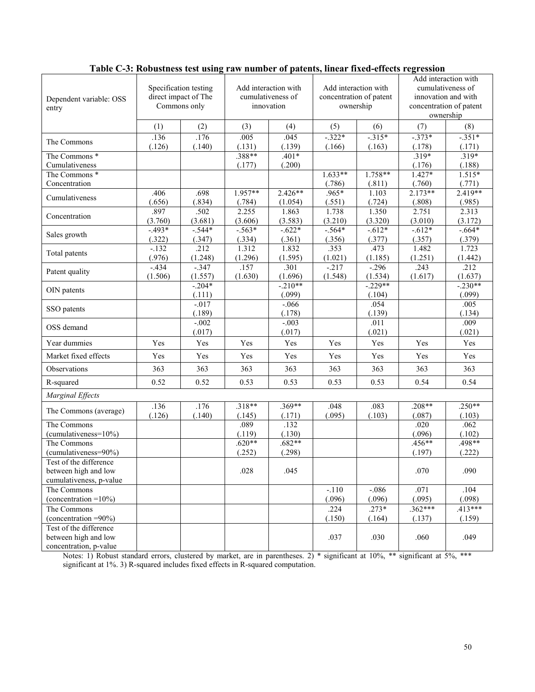| Dependent variable: OSS<br>entry                                          | Specification testing<br>direct impact of The<br>Commons only |                    |                    | Add interaction with<br>cumulativeness of<br>innovation | Add interaction with<br>concentration of patent<br>ownership |                    | Add interaction with<br>cumulativeness of<br>innovation and with<br>concentration of patent<br>ownership |                     |  |
|---------------------------------------------------------------------------|---------------------------------------------------------------|--------------------|--------------------|---------------------------------------------------------|--------------------------------------------------------------|--------------------|----------------------------------------------------------------------------------------------------------|---------------------|--|
|                                                                           | (1)                                                           | (2)                | (3)                | (4)                                                     | (5)                                                          | (6)                | (7)                                                                                                      | (8)                 |  |
| The Commons                                                               | .136<br>(.126)                                                | .176<br>(.140)     | .005<br>(.131)     | .045<br>(.139)                                          | $-322*$<br>(.166)                                            | $-315*$<br>(.163)  | $-.373*$<br>(.178)                                                                                       | $-.351*$<br>(.171)  |  |
| The Commons *<br>Cumulativeness                                           |                                                               |                    | $.388**$<br>(.177) | $.401*$<br>(.200)                                       |                                                              |                    | $.319*$<br>(.176)                                                                                        | $.319*$<br>(.188)   |  |
| The Commons <sup>*</sup>                                                  |                                                               |                    |                    |                                                         | $1.633**$                                                    | $1.758**$          | $1.427*$                                                                                                 | $1.515*$            |  |
| Concentration                                                             |                                                               |                    |                    |                                                         | (.786)                                                       | (.811)             | (.760)                                                                                                   | (.771)              |  |
| Cumulativeness                                                            | .406<br>(.656)                                                | .698<br>(.834)     | 1.957**<br>(.784)  | $2.426**$<br>(1.054)                                    | .965*<br>(.551)                                              | 1.103<br>(.724)    | $2.173**$<br>(.808)                                                                                      | 2.419**<br>(.985)   |  |
| Concentration                                                             | .897<br>(3.760)                                               | .502<br>(3.681)    | 2.255<br>(3.606)   | 1.863<br>(3.583)                                        | 1.738<br>(3.210)                                             | 1.350<br>(3.320)   | 2.751<br>(3.010)                                                                                         | 2.313<br>(3.172)    |  |
|                                                                           | $-493*$                                                       | $-544*$            | $-563*$            | $-0.622*$                                               | $-564*$                                                      | $-0.612*$          | $-0.612*$                                                                                                | $-0.664*$           |  |
| Sales growth                                                              | (.322)                                                        | (.347)             | (.334)             | (.361)                                                  | (.356)                                                       | (.377)             | (.357)                                                                                                   | (.379)              |  |
| Total patents                                                             | $-.132$                                                       | .212               | 1.312              | 1.832                                                   | .353                                                         | .473               | 1.482                                                                                                    | 1.723               |  |
|                                                                           | (.976)                                                        | (1.248)            | (1.296)            | (1.595)                                                 | (1.021)                                                      | (1.185)            | (1.251)                                                                                                  | (1.442)             |  |
| Patent quality                                                            | $-434$<br>(1.506)                                             | $-.347$<br>(1.557) | .157<br>(1.630)    | .301<br>(1.696)                                         | $-217$<br>(1.548)                                            | $-296$<br>(1.534)  | .243<br>(1.617)                                                                                          | .212<br>(1.637)     |  |
| OIN patents                                                               |                                                               | $-.204*$<br>(.111) |                    | $-210**$<br>(.099)                                      |                                                              | $-229**$<br>(.104) |                                                                                                          | $-.230**$<br>(.099) |  |
| SSO patents                                                               |                                                               | $-.017$<br>(.189)  |                    | $-.066$<br>(.178)                                       |                                                              | .054<br>(.139)     |                                                                                                          | .005<br>(.134)      |  |
| OSS demand                                                                |                                                               | $-.002$<br>(.017)  |                    | $-.003$<br>(.017)                                       |                                                              | .011<br>(.021)     |                                                                                                          | .009<br>(.021)      |  |
| Year dummies                                                              | Yes                                                           | Yes                | Yes                | Yes                                                     | Yes                                                          | Yes                | Yes                                                                                                      | Yes                 |  |
| Market fixed effects                                                      | Yes                                                           | Yes                | Yes                | Yes                                                     | Yes                                                          | Yes                | Yes                                                                                                      | Yes                 |  |
| Observations                                                              | 363                                                           | 363                | 363                | 363                                                     | 363                                                          | 363                | 363                                                                                                      | 363                 |  |
| R-squared                                                                 | 0.52                                                          | 0.52               | 0.53               | 0.53                                                    | 0.53                                                         | 0.53               | 0.54                                                                                                     | 0.54                |  |
| Marginal Effects                                                          |                                                               |                    |                    |                                                         |                                                              |                    |                                                                                                          |                     |  |
| The Commons (average)                                                     | .136<br>(.126)                                                | .176<br>(.140)     | $.318**$<br>(.145) | $.369**$<br>(.171)                                      | .048<br>(.095)                                               | .083<br>(.103)     | $.208**$<br>(.087)                                                                                       | $.250**$<br>(.103)  |  |
| The Commons                                                               |                                                               |                    | .089               | .132                                                    |                                                              |                    | .020                                                                                                     | .062                |  |
| $(cumulativeness = 10\%)$                                                 |                                                               |                    | (.119)             | (.130)                                                  |                                                              |                    | (.096)                                                                                                   | (.102)              |  |
| The Commons                                                               |                                                               |                    | $.620**$           | $.682**$                                                |                                                              |                    | $.456**$                                                                                                 | $.498**$            |  |
| (cumulativeness=90%)                                                      |                                                               |                    | (.252)             | (.298)                                                  |                                                              |                    | (.197)                                                                                                   | (.222)              |  |
| Test of the difference<br>between high and low<br>cumulativeness, p-value |                                                               |                    | .028               | .045                                                    |                                                              |                    | .070                                                                                                     | .090                |  |
| The Commons                                                               |                                                               |                    |                    |                                                         | $-.110$                                                      | $-.086$            | .071                                                                                                     | .104                |  |
| (concentration $=10\%$ )                                                  |                                                               |                    |                    |                                                         | (.096)                                                       | (.096)             | (.095)                                                                                                   | (.098)              |  |
| The Commons                                                               |                                                               |                    |                    |                                                         | .224                                                         | $.273*$            | $.362***$                                                                                                | $.413***$           |  |
| (concentration $=90\%$ )                                                  |                                                               |                    |                    |                                                         | (.150)                                                       | (.164)             | (.137)                                                                                                   | (.159)              |  |
| Test of the difference<br>between high and low<br>concentration, p-value  |                                                               |                    |                    |                                                         | .037                                                         | .030               | .060                                                                                                     | .049                |  |

# **Table C-3: Robustness test using raw number of patents, linear fixed-effects regression**

Notes: 1) Robust standard errors, clustered by market, are in parentheses. 2) \* significant at 10%, \*\* significant at 5%, \*\*\* significant at 1%. 3) R-squared includes fixed effects in R-squared computation.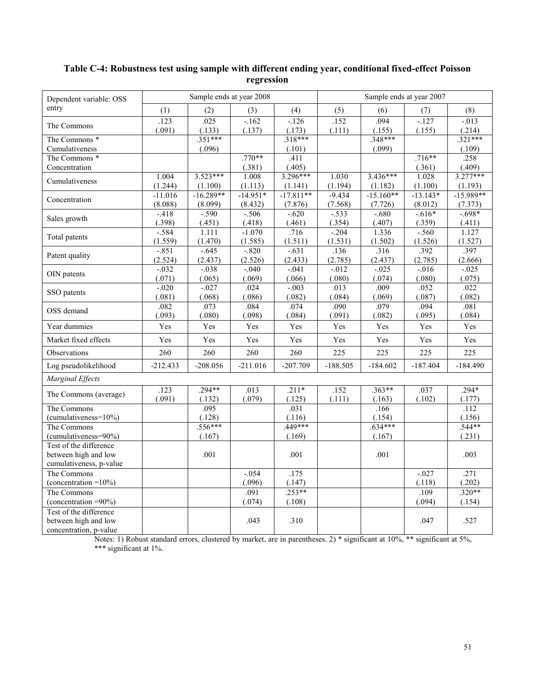# **Table C-4: Robustness test using sample with different ending year, conditional fixed-effect Poisson regression**

| Dependent variable: OSS                   |                |                   | Sample ends at year 2008 |                | Sample ends at year 2007 |                |                    |                |
|-------------------------------------------|----------------|-------------------|--------------------------|----------------|--------------------------|----------------|--------------------|----------------|
| entry                                     | (1)            | (2)               | (3)                      | (4)            | (5)                      | (6)            | (7)                | (8)            |
| The Commons                               | .123           | .025              | $-162$                   | $-126$         | .152                     | .094           | $-127$             | $-0.013$       |
|                                           | (.091)         | (.133)            | (.137)                   | (.173)         | (.111)                   | (.155)         | (.155)             | (.214)         |
| The Commons *                             |                | $.351***$         |                          | $.318***$      |                          | $.348***$      |                    | $.321***$      |
| Cumulativeness                            |                | (.096)            |                          | (.101)<br>.411 |                          | (.099)         |                    | (.109)         |
| The Commons <sup>*</sup><br>Concentration |                |                   | $.770**$<br>(.381)       | (.405)         |                          |                | $.716**$<br>(.361) | .258<br>(.409) |
|                                           | 1.004          | $3.523***$        | 1.008                    | $3.296***$     | 1.030                    | $3.436***$     | 1.028              | $3.277***$     |
| Cumulativeness                            | (1.244)        | (1.100)           | (1.113)                  | (1.141)        | (1.194)                  | (1.182)        | (1.100)            | (1.193)        |
|                                           | $-11.016$      | $-16.289**$       | $-14.951*$               | $-17.811**$    | $-9.434$                 | $-15.160**$    | $-13.143*$         | $-15.989**$    |
| Concentration                             | (8.088)        | (8.099)           | (8.432)                  | (7.876)        | (7.568)                  | (7.726)        | (8.012)            | (7.373)        |
|                                           | $-418$         | $-0.590$          | $-.506$                  | $-0.620$       | $-.533$                  | $-0.680$       | $-0.616*$          | $-698*$        |
| Sales growth                              | (.398)         | (.451)            | (.418)                   | (.461)         | (.354)                   | (.407)         | (.359)             | (.411)         |
| Total patents                             | $-584$         | 1.111             | $-1.070$                 | .716           | $-204$                   | 1.336          | $-560$             | 1.127          |
|                                           | (1.559)        | (1.470)           | (1.585)                  | (1.511)        | (1.531)                  | (1.502)        | (1.526)            | (1.527)        |
| Patent quality                            | $-0.851$       | $-.645$           | $-0.820$                 | $-.631$        | .136                     | .316           | .392               | .397           |
|                                           | (2.524)        | (2.437)           | (2.526)                  | (2.433)        | (2.785)                  | (2.437)        | (2.785)            | (2.666)        |
| OIN patents                               | $-0.032$       | $-.038$           | $-.040$                  | $-041$         | $-0.012$                 | $-0.025$       | $-0.016$           | $-.025$        |
|                                           | (.071)         | (.065)            | (.069)                   | (.066)         | (.080)                   | (.074)         | (.080)             | (.075)         |
| SSO patents                               | $-.020$        | $-.027$<br>(.068) | .024                     | $-0.003$       | .013                     | .009           | .052               | .022<br>(.082) |
|                                           | (.081)<br>.082 | .073              | (.086)<br>.084           | (.082)<br>.074 | (.084)<br>.090           | (.069)<br>.079 | (.087)<br>.094     | .081           |
| OSS demand                                | (.093)         | (.080)            | (.098)                   | (.084)         | (.091)                   | (.082)         | (.095)             | (.084)         |
| Year dummies                              | Yes            | Yes               | Yes                      | Yes            | Yes                      | Yes            | Yes                | Yes            |
| Market fixed effects                      | Yes            | Yes               | Yes                      | Yes            | Yes                      | Yes            | Yes                | Yes            |
| Observations                              | 260            | 260               | 260                      | 260            | 225                      | 225            | 225                | 225            |
| Log pseudolikelihood                      | $-212.433$     | $-208.056$        | $-211.016$               | $-207.709$     | $-188.505$               | $-184.602$     | $-187.404$         | $-184.490$     |
| Marginal Effects                          |                |                   |                          |                |                          |                |                    |                |
|                                           | .123           | $.294**$          | .013                     | $.211*$        | .152                     | $.363**$       | .037               | $.294*$        |
| The Commons (average)                     | (.091)         | (.132)            | (.079)                   | (.125)         | (.111)                   | (.163)         | (.102)             | (.177)         |
| The Commons                               |                | .095              |                          | .031           |                          | .166           |                    | .112           |
| $(cumulativeness = 10\%)$                 |                | (.128)            |                          | (.116)         |                          | (.154)         |                    | (.156)         |
| The Commons                               |                | $.556***$         |                          | 449***         |                          | $.634***$      |                    | $.544**$       |
| (cumulativeness=90%)                      |                | (.167)            |                          | (.169)         |                          | (.167)         |                    | (.231)         |
| Test of the difference                    |                |                   |                          |                |                          |                |                    |                |
| between high and low                      |                | .001              |                          | .001           |                          | .001           |                    | .003           |
| cumulativeness, p-value                   |                |                   |                          | .175           |                          |                |                    | .271           |
| The Commons<br>(concentration = $10\%$ )  |                |                   | $-.054$<br>(.096)        | (.147)         |                          |                | $-.027$<br>(.118)  | (.202)         |
| The Commons                               |                |                   | .091                     | $.253**$       |                          |                | .109               | $.320**$       |
| (concentration $=90\%$ )                  |                |                   | (.074)                   | (.108)         |                          |                | (.094)             | (.154)         |
| Test of the difference                    |                |                   |                          |                |                          |                |                    |                |
| between high and low                      |                |                   | .043                     | .310           |                          |                | .047               | .527           |
| concentration, p-value                    |                |                   |                          |                |                          |                |                    |                |

Notes: 1) Robust standard errors, clustered by market, are in parentheses. 2) \* significant at 10%, \*\* significant at 5%, \*\*\* significant at 1%.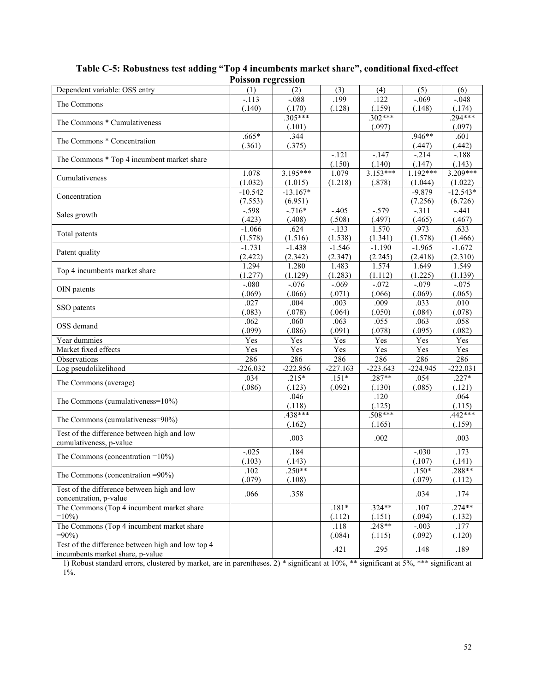|                                                   | т огээлн техтеээглн |            |            |            |            |            |
|---------------------------------------------------|---------------------|------------|------------|------------|------------|------------|
| Dependent variable: OSS entry                     | (1)                 | (2)        | (3)        | (4)        | (5)        | (6)        |
| The Commons                                       | $-.113$             | $-.088$    | .199       | .122       | $-.069$    | $-.048$    |
|                                                   | (.140)              | (.170)     | (.128)     | (.159)     | (.148)     | (.174)     |
| The Commons * Cumulativeness                      |                     | $.305***$  |            | $.302***$  |            | 294***     |
|                                                   |                     | (.101)     |            | (.097)     |            | (.097)     |
| The Commons * Concentration                       | $.665*$             | .344       |            |            | $.946**$   | .601       |
|                                                   | (.361)              | (.375)     |            |            | (.447)     | (.442)     |
| The Commons * Top 4 incumbent market share        |                     |            | $-121$     | $-147$     | $-.214$    | $-188$     |
|                                                   |                     |            | (.150)     | (.140)     | (.147)     | (.143)     |
| Cumulativeness                                    | 1.078               | $3.195***$ | 1.079      | $3.153***$ | $1.192***$ | $3.209***$ |
|                                                   | (1.032)             | (1.015)    | (1.218)    | (.878)     | (1.044)    | (1.022)    |
| Concentration                                     | $-10.542$           | $-13.167*$ |            |            | $-9.879$   | $-12.543*$ |
|                                                   | (7.553)             | (6.951)    |            |            | (7.256)    | (6.726)    |
| Sales growth                                      | $-.598$             | $-.716*$   | $-.405$    | $-.579$    | $-.311$    | $-.441$    |
|                                                   | (.423)              | (.408)     | (.508)     | (.497)     | (.465)     | (.467)     |
| Total patents                                     | $-1.066$            | .624       | $-133$     | 1.570      | .973       | .633       |
|                                                   | (1.578)             | (1.516)    | (1.538)    | (1.341)    | (1.578)    | (1.466)    |
| Patent quality                                    | $-1.731$            | $-1.438$   | $-1.546$   | $-1.190$   | $-1.965$   | $-1.672$   |
|                                                   | (2.422)             | (2.342)    | (2.347)    | (2.245)    | (2.418)    | (2.310)    |
| Top 4 incumbents market share                     | 1.294               | 1.280      | 1.483      | 1.574      | 1.649      | 1.549      |
|                                                   | (1.277)             | (1.129)    | (1.283)    | (1.112)    | (1.225)    | (1.139)    |
| OIN patents                                       | $-080$              | $-0.076$   | $-0.069$   | $-.072$    | $-.079$    | $-0.075$   |
|                                                   | (.069)              | (.066)     | (.071)     | (.066)     | (.069)     | (.065)     |
| SSO patents                                       | .027                | .004       | .003       | .009       | .033       | .010       |
|                                                   | (.083)              | (.078)     | (.064)     | (.050)     | (.084)     | (.078)     |
| OSS demand                                        | .062                | .060       | .063       | .055       | .063       | .058       |
|                                                   | (.099)              | (.086)     | (.091)     | (.078)     | (.095)     | (.082)     |
| Year dummies                                      | Yes                 | Yes        | Yes        | Yes        | Yes        | Yes        |
| Market fixed effects                              | Yes                 | Yes        | Yes        | Yes        | Yes        | Yes        |
| Observations                                      | 286                 | 286        | 286        | 286        | 286        | 286        |
| Log pseudolikelihood                              | $-226.032$          | $-222.856$ | $-227.163$ | $-223.643$ | $-224.945$ | $-222.031$ |
|                                                   | .034                | $.215*$    | $.151*$    | $.287**$   | .054       | $.227*$    |
| The Commons (average)                             | (.086)              | (.123)     | (.092)     | (.130)     | (.085)     | (.121)     |
|                                                   |                     | .046       |            | .120       |            | .064       |
| The Commons (cumulativeness=10%)                  |                     | (.118)     |            | (.125)     |            | (.115)     |
|                                                   |                     | $.438***$  |            | $.508***$  |            | $.442***$  |
| The Commons (cumulativeness=90%)                  |                     | (.162)     |            | (.165)     |            | (.159)     |
| Test of the difference between high and low       |                     |            |            |            |            |            |
| cumulativeness, p-value                           |                     | .003       |            | .002       |            | .003       |
|                                                   | $-.025$             | .184       |            |            | $-.030$    | .173       |
| The Commons (concentration = $10\%$ )             | (.103)              | (.143)     |            |            | (.107)     | (.141)     |
|                                                   | 102                 | $.250**$   |            |            | 150*       | $.288**$   |
| The Commons (concentration =90%)                  | (.079)              | (.108)     |            |            | (.079)     | (.112)     |
| Test of the difference between high and low       |                     |            |            |            |            |            |
| concentration, p-value                            | .066                | .358       |            |            | .034       | .174       |
| The Commons (Top 4 incumbent market share         |                     |            | $.181*$    | $.324**$   | .107       | $.274**$   |
| $=10\%$                                           |                     |            | (.112)     | (.151)     | (.094)     | (.132)     |
| The Commons (Top 4 incumbent market share         |                     |            | .118       | $.248**$   | $-.003$    | .177       |
| $=90\%$                                           |                     |            | (.084)     | (.115)     | (.092)     | (.120)     |
| Test of the difference between high and low top 4 |                     |            |            |            |            |            |
| incumbents market share, p-value                  |                     |            | .421       | .295       | .148       | .189       |
|                                                   |                     |            |            |            |            |            |

# **Table C-5: Robustness test adding "Top 4 incumbents market share", conditional fixed-effect Poisson regression**

1) Robust standard errors, clustered by market, are in parentheses. 2) \* significant at 10%, \*\* significant at 5%, \*\*\* significant at 1%.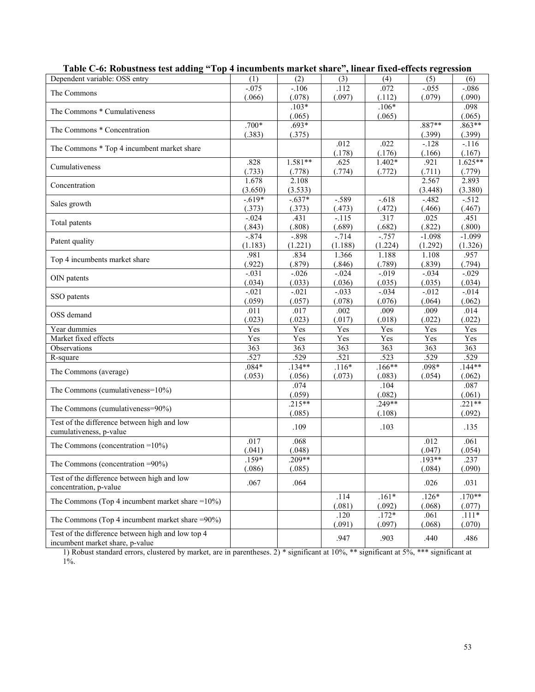| Dependent variable: OSS entry                                                        | (1)                 | (2)                 | (3)               | (4)                | (5)                | (6)                |
|--------------------------------------------------------------------------------------|---------------------|---------------------|-------------------|--------------------|--------------------|--------------------|
| The Commons                                                                          | $-.075$<br>(.066)   | $-.106$<br>(.078)   | .112<br>(.097)    | .072<br>(.112)     | $-.055$<br>(.079)  | $-.086$<br>(.090)  |
| The Commons * Cumulativeness                                                         |                     | $.103*$             |                   | $.106*$            |                    | .098               |
| The Commons * Concentration                                                          | $.700*$             | (.065)<br>$.693*$   |                   | (.065)             | $.887**$           | (.065)<br>$.863**$ |
|                                                                                      | (.383)              | (.375)              |                   |                    | (.399)             | (.399)             |
| The Commons * Top 4 incumbent market share                                           |                     |                     | .012<br>(.178)    | .022<br>(.176)     | $-.128$<br>(.166)  | $-116$<br>(.167)   |
| Cumulativeness                                                                       | .828                | $1.581**$           | .625              | $1.402*$           | .921               | $1.625**$          |
| Concentration                                                                        | (.733)<br>1.678     | (.778)<br>2.108     | (.774)            | (.772)             | (.711)<br>2.567    | (.779)<br>2.893    |
|                                                                                      | (3.650)             | (3.533)             |                   |                    | (3.448)            | (3.380)            |
| Sales growth                                                                         | $-0.619*$<br>(.373) | $-0.637*$<br>(.373) | $-.589$<br>(.473) | $-0.618$<br>(.472) | $-482$<br>(.466)   | $-512$<br>(.467)   |
| Total patents                                                                        | $-.024$             | .431                | $-.115$           | .317               | .025               | .451               |
|                                                                                      | (.843)<br>$-0.874$  | (.808)              | (.689)<br>$-714$  | (.682)<br>$-757$   | (.822)<br>$-1.098$ | (.800)<br>$-1.099$ |
| Patent quality                                                                       | (1.183)             | $-0.898$<br>(1.221) | (1.188)           | (1.224)            | (1.292)            | (1.326)            |
| Top 4 incumbents market share                                                        | .981<br>(.922)      | .834<br>(.879)      | 1.366<br>(.846)   | 1.188<br>(.789)    | 1.108<br>(.839)    | .957<br>(.794)     |
|                                                                                      | $-.031$             | $-.026$             | $-.024$           | $-.019$            | $-.034$            | $-.029$            |
| OIN patents                                                                          | (.034)              | (.033)              | (.036)            | (.035)             | (.035)             | (.034)             |
|                                                                                      | $-.021$             | $-.021$             | $-.033$           | $-.034$            | $-.012$            | $-.014$            |
| SSO patents                                                                          | (.059)              | (.057)              | (.078)            | (.076)             | (.064)             | (.062)             |
| OSS demand                                                                           | .011<br>(.023)      | .017<br>(.023)      | .002<br>(.017)    | .009<br>(.018)     | .009<br>(.022)     | .014<br>(.022)     |
| Year dummies                                                                         | Yes                 | Yes                 | Yes               | Yes                | Yes                | Yes                |
| Market fixed effects                                                                 | Yes                 | Yes                 | Yes               | Yes                | Yes                | Yes                |
| Observations                                                                         | $\overline{363}$    | 363                 | 363               | $\overline{363}$   | $\overline{363}$   | $\overline{363}$   |
| R-square                                                                             | .527                | .529                | .521              | .523               | .529               | .529               |
|                                                                                      | $.084*$             | $.134**$            | $.116*$           | $.166**$           | .098*              | $.144**$           |
| The Commons (average)                                                                | (.053)              | (.056)              | (.073)            | (.083)             | (.054)             | (.062)             |
|                                                                                      |                     | .074                |                   | .104               |                    | .087               |
| The Commons (cumulativeness=10%)                                                     |                     | (.059)              |                   | (.082)             |                    | (.061)             |
| The Commons (cumulativeness=90%)                                                     |                     | $.215**$            |                   | $.249**$           |                    | $.221**$           |
|                                                                                      |                     | (.085)              |                   | (.108)             |                    | (.092)             |
| Test of the difference between high and low<br>cumulativeness, p-value               |                     | .109                |                   | .103               |                    | .135               |
| The Commons (concentration $=10\%$ )                                                 | .017<br>(.041)      | .068<br>(.048)      |                   |                    | .012<br>(.047)     | .061<br>(.054)     |
|                                                                                      | $.159*$             | $.209**$            |                   |                    | $.193**$           | .237               |
| The Commons (concentration $=90\%$ )                                                 | (.086)              | (.085)              |                   |                    | (.084)             | (.090)             |
| Test of the difference between high and low<br>concentration, p-value                | .067                | .064                |                   |                    | .026               | .031               |
| The Commons (Top 4 incumbent market share = $10\%$ )                                 |                     |                     | .114<br>(.081)    | $.161*$<br>(.092)  | $.126*$<br>(.068)  | $.170**$<br>(.077) |
| The Commons (Top 4 incumbent market share $=90\%$ )                                  |                     |                     | .120              | $.172*$            | .061               | $.111*$            |
|                                                                                      |                     |                     | (.091)            | (.097)             | (.068)             | (.070)             |
| Test of the difference between high and low top 4<br>incumbent market share, p-value |                     |                     | .947              | .903               | .440               | .486               |

| Table C-6: Robustness test adding "Top 4 incumbents market share", linear fixed-effects regression |  |  |  |  |  |  |
|----------------------------------------------------------------------------------------------------|--|--|--|--|--|--|
|----------------------------------------------------------------------------------------------------|--|--|--|--|--|--|

1) Robust standard errors, clustered by market, are in parentheses. 2) \* significant at 10%, \*\* significant at 5%, \*\*\* significant at 1%.